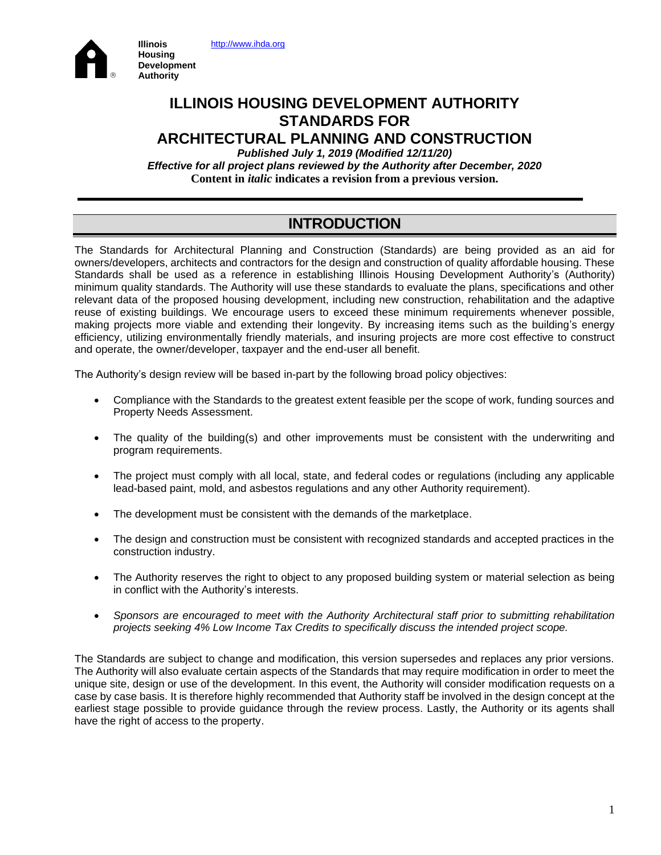



## **ILLINOIS HOUSING DEVELOPMENT AUTHORITY STANDARDS FOR ARCHITECTURAL PLANNING AND CONSTRUCTION**

*Published July 1, 2019 (Modified 12/11/20) Effective for all project plans reviewed by the Authority after December, 2020* **Content in** *italic* **indicates a revision from a previous version.**

# **INTRODUCTION**

The Standards for Architectural Planning and Construction (Standards) are being provided as an aid for owners/developers, architects and contractors for the design and construction of quality affordable housing. These Standards shall be used as a reference in establishing Illinois Housing Development Authority's (Authority) minimum quality standards. The Authority will use these standards to evaluate the plans, specifications and other relevant data of the proposed housing development, including new construction, rehabilitation and the adaptive reuse of existing buildings. We encourage users to exceed these minimum requirements whenever possible, making projects more viable and extending their longevity. By increasing items such as the building's energy efficiency, utilizing environmentally friendly materials, and insuring projects are more cost effective to construct and operate, the owner/developer, taxpayer and the end-user all benefit.

The Authority's design review will be based in-part by the following broad policy objectives:

- Compliance with the Standards to the greatest extent feasible per the scope of work, funding sources and Property Needs Assessment.
- The quality of the building(s) and other improvements must be consistent with the underwriting and program requirements.
- The project must comply with all local, state, and federal codes or regulations (including any applicable lead-based paint, mold, and asbestos regulations and any other Authority requirement).
- The development must be consistent with the demands of the marketplace.
- The design and construction must be consistent with recognized standards and accepted practices in the construction industry.
- The Authority reserves the right to object to any proposed building system or material selection as being in conflict with the Authority's interests.
- *Sponsors are encouraged to meet with the Authority Architectural staff prior to submitting rehabilitation projects seeking 4% Low Income Tax Credits to specifically discuss the intended project scope.*

The Standards are subject to change and modification, this version supersedes and replaces any prior versions. The Authority will also evaluate certain aspects of the Standards that may require modification in order to meet the unique site, design or use of the development. In this event, the Authority will consider modification requests on a case by case basis. It is therefore highly recommended that Authority staff be involved in the design concept at the earliest stage possible to provide guidance through the review process. Lastly, the Authority or its agents shall have the right of access to the property.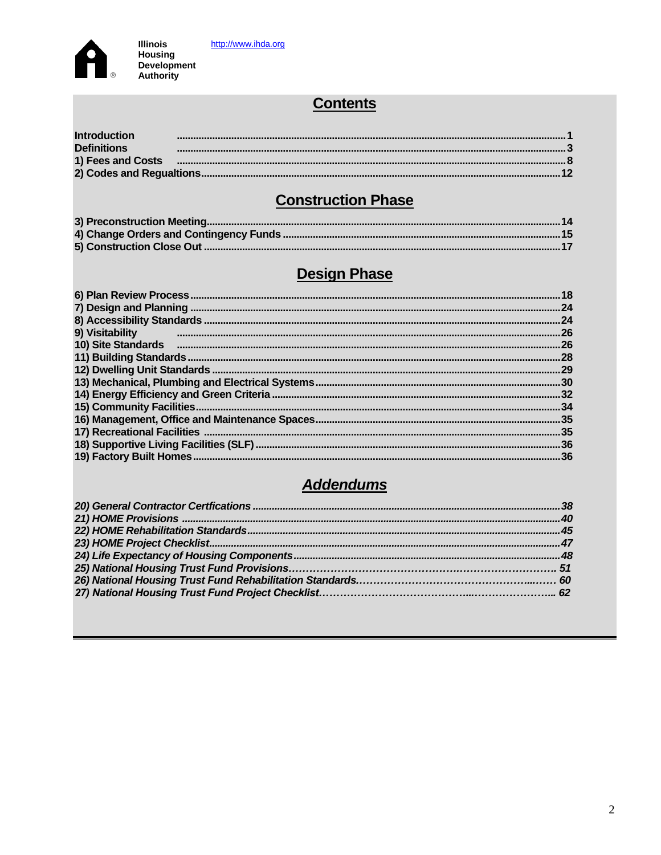

# **Contents**

| <b>Introduction</b> |  |
|---------------------|--|
| <b>Definitions</b>  |  |
| 1) Fees and Costs   |  |
|                     |  |

# **Construction Phase**

# **Design Phase**

|                                                     | .24 |
|-----------------------------------------------------|-----|
| 9) Visitability<br><b>Contract Contract Service</b> |     |
|                                                     |     |
|                                                     |     |
|                                                     |     |
|                                                     |     |
|                                                     |     |
|                                                     |     |
|                                                     |     |
|                                                     |     |
|                                                     |     |
|                                                     |     |
|                                                     |     |

# **Addendums**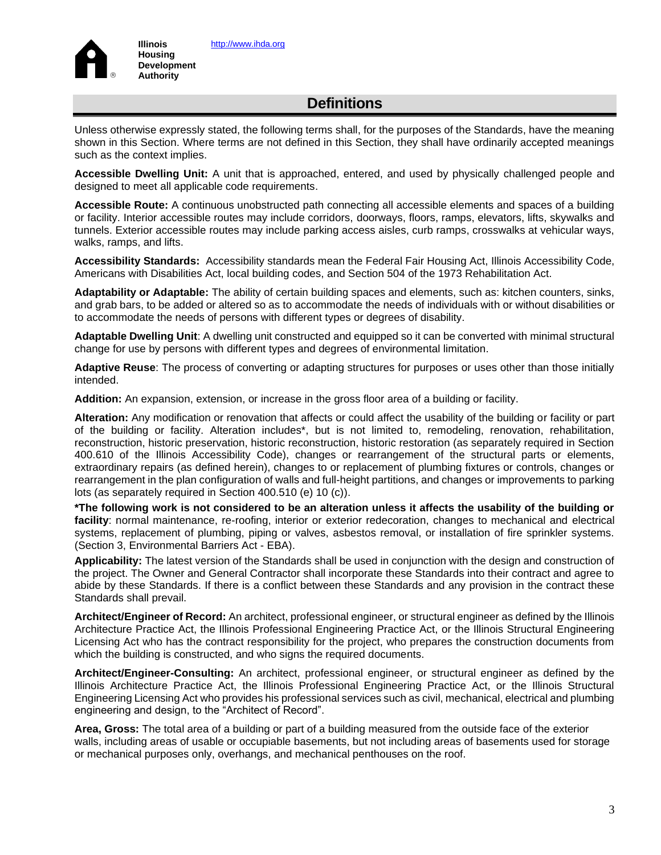

**Illinois Housing Development Authority**

## **Definitions**

Unless otherwise expressly stated, the following terms shall, for the purposes of the Standards, have the meaning shown in this Section. Where terms are not defined in this Section, they shall have ordinarily accepted meanings such as the context implies.

**Accessible Dwelling Unit:** A unit that is approached, entered, and used by physically challenged people and designed to meet all applicable code requirements.

**Accessible Route:** A continuous unobstructed path connecting all accessible elements and spaces of a building or facility. Interior accessible routes may include corridors, doorways, floors, ramps, elevators, lifts, skywalks and tunnels. Exterior accessible routes may include parking access aisles, curb ramps, crosswalks at vehicular ways, walks, ramps, and lifts.

**Accessibility Standards:** Accessibility standards mean the Federal Fair Housing Act, Illinois Accessibility Code, Americans with Disabilities Act, local building codes, and Section 504 of the 1973 Rehabilitation Act.

**Adaptability or Adaptable:** The ability of certain building spaces and elements, such as: kitchen counters, sinks, and grab bars, to be added or altered so as to accommodate the needs of individuals with or without disabilities or to accommodate the needs of persons with different types or degrees of disability.

**Adaptable Dwelling Unit**: A dwelling unit constructed and equipped so it can be converted with minimal structural change for use by persons with different types and degrees of environmental limitation.

**Adaptive Reuse**: The process of converting or adapting structures for purposes or uses other than those initially intended.

**Addition:** An expansion, extension, or increase in the gross floor area of a building or facility.

**Alteration:** Any modification or renovation that affects or could affect the usability of the building or facility or part of the building or facility. Alteration includes\*, but is not limited to, remodeling, renovation, rehabilitation, reconstruction, historic preservation, historic reconstruction, historic restoration (as separately required in Section 400.610 of the Illinois Accessibility Code), changes or rearrangement of the structural parts or elements, extraordinary repairs (as defined herein), changes to or replacement of plumbing fixtures or controls, changes or rearrangement in the plan configuration of walls and full-height partitions, and changes or improvements to parking lots (as separately required in Section 400.510 (e) 10 (c)).

**\*The following work is not considered to be an alteration unless it affects the usability of the building or facility**: normal maintenance, re-roofing, interior or exterior redecoration, changes to mechanical and electrical systems, replacement of plumbing, piping or valves, asbestos removal, or installation of fire sprinkler systems. (Section 3, Environmental Barriers Act - EBA).

**Applicability:** The latest version of the Standards shall be used in conjunction with the design and construction of the project. The Owner and General Contractor shall incorporate these Standards into their contract and agree to abide by these Standards. If there is a conflict between these Standards and any provision in the contract these Standards shall prevail.

**Architect/Engineer of Record:** An architect, professional engineer, or structural engineer as defined by the Illinois Architecture Practice Act, the Illinois Professional Engineering Practice Act, or the Illinois Structural Engineering Licensing Act who has the contract responsibility for the project, who prepares the construction documents from which the building is constructed, and who signs the required documents.

**Architect/Engineer-Consulting:** An architect, professional engineer, or structural engineer as defined by the Illinois Architecture Practice Act, the Illinois Professional Engineering Practice Act, or the Illinois Structural Engineering Licensing Act who provides his professional services such as civil, mechanical, electrical and plumbing engineering and design, to the "Architect of Record".

**Area, Gross:** The total area of a building or part of a building measured from the outside face of the exterior walls, including areas of usable or occupiable basements, but not including areas of basements used for storage or mechanical purposes only, overhangs, and mechanical penthouses on the roof.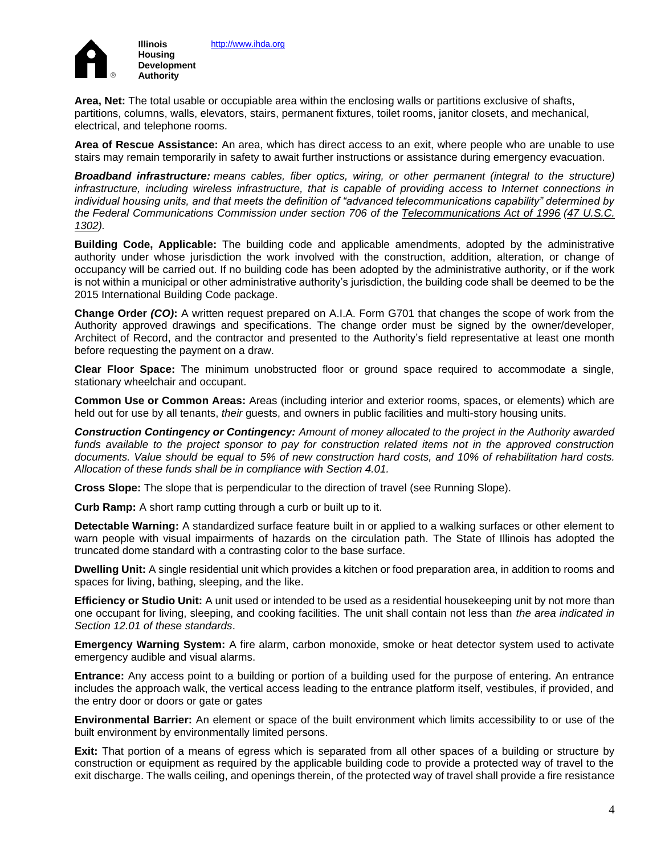

**Area, Net:** The total usable or occupiable area within the enclosing walls or partitions exclusive of shafts, partitions, columns, walls, elevators, stairs, permanent fixtures, toilet rooms, janitor closets, and mechanical, electrical, and telephone rooms.

**Area of Rescue Assistance:** An area, which has direct access to an exit, where people who are unable to use stairs may remain temporarily in safety to await further instructions or assistance during emergency evacuation.

*Broadband infrastructure: means cables, fiber optics, wiring, or other permanent (integral to the structure) infrastructure, including wireless infrastructure, that is capable of providing access to Internet connections in individual housing units, and that meets the definition of "advanced telecommunications capability" determined by the Federal Communications Commission under section 706 of the [Telecommunications Act of 1996](https://www.law.cornell.edu/topn/telecommunications_act_of_1996) [\(47 U.S.C.](https://www.law.cornell.edu/uscode/text/47/1302)  [1302\)](https://www.law.cornell.edu/uscode/text/47/1302).*

**Building Code, Applicable:** The building code and applicable amendments, adopted by the administrative authority under whose jurisdiction the work involved with the construction, addition, alteration, or change of occupancy will be carried out. If no building code has been adopted by the administrative authority, or if the work is not within a municipal or other administrative authority's jurisdiction, the building code shall be deemed to be the 2015 International Building Code package.

**Change Order** *(CO)***:** A written request prepared on A.I.A. Form G701 that changes the scope of work from the Authority approved drawings and specifications. The change order must be signed by the owner/developer, Architect of Record, and the contractor and presented to the Authority's field representative at least one month before requesting the payment on a draw.

**Clear Floor Space:** The minimum unobstructed floor or ground space required to accommodate a single, stationary wheelchair and occupant.

**Common Use or Common Areas:** Areas (including interior and exterior rooms, spaces, or elements) which are held out for use by all tenants, *their* guests, and owners in public facilities and multi-story housing units.

*Construction Contingency or Contingency: Amount of money allocated to the project in the Authority awarded*  funds available to the project sponsor to pay for construction related items not in the approved construction *documents. Value should be equal to 5% of new construction hard costs, and 10% of rehabilitation hard costs. Allocation of these funds shall be in compliance with Section 4.01.*

**Cross Slope:** The slope that is perpendicular to the direction of travel (see Running Slope).

**Curb Ramp:** A short ramp cutting through a curb or built up to it.

**Detectable Warning:** A standardized surface feature built in or applied to a walking surfaces or other element to warn people with visual impairments of hazards on the circulation path. The State of Illinois has adopted the truncated dome standard with a contrasting color to the base surface.

**Dwelling Unit:** A single residential unit which provides a kitchen or food preparation area, in addition to rooms and spaces for living, bathing, sleeping, and the like.

**Efficiency or Studio Unit:** A unit used or intended to be used as a residential housekeeping unit by not more than one occupant for living, sleeping, and cooking facilities. The unit shall contain not less than *the area indicated in Section 12.01 of these standards*.

**Emergency Warning System:** A fire alarm, carbon monoxide, smoke or heat detector system used to activate emergency audible and visual alarms.

**Entrance:** Any access point to a building or portion of a building used for the purpose of entering. An entrance includes the approach walk, the vertical access leading to the entrance platform itself, vestibules, if provided, and the entry door or doors or gate or gates

**Environmental Barrier:** An element or space of the built environment which limits accessibility to or use of the built environment by environmentally limited persons.

**Exit:** That portion of a means of egress which is separated from all other spaces of a building or structure by construction or equipment as required by the applicable building code to provide a protected way of travel to the exit discharge. The walls ceiling, and openings therein, of the protected way of travel shall provide a fire resistance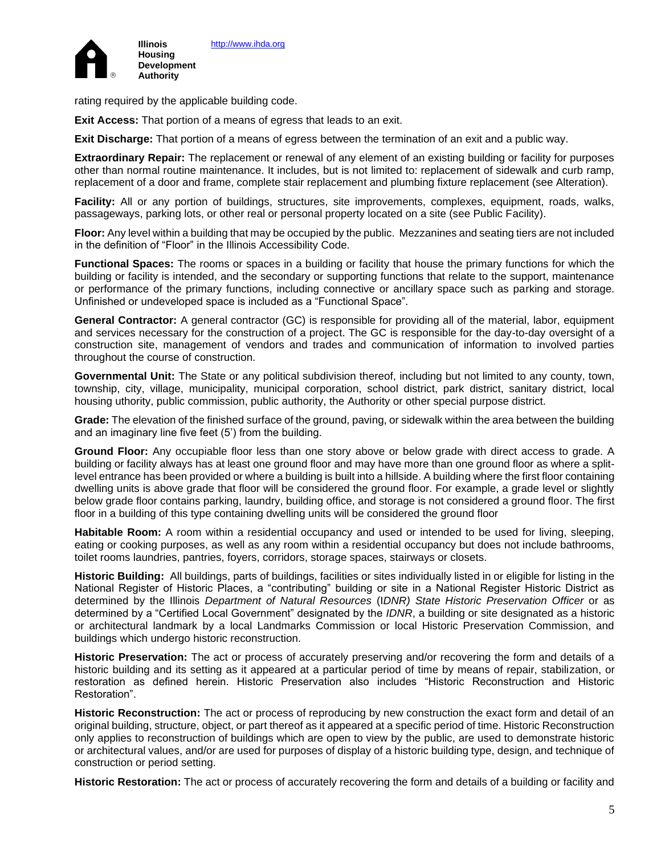

rating required by the applicable building code.

**Exit Access:** That portion of a means of egress that leads to an exit.

**Exit Discharge:** That portion of a means of egress between the termination of an exit and a public way.

**Extraordinary Repair:** The replacement or renewal of any element of an existing building or facility for purposes other than normal routine maintenance. It includes, but is not limited to: replacement of sidewalk and curb ramp, replacement of a door and frame, complete stair replacement and plumbing fixture replacement (see Alteration).

**Facility:** All or any portion of buildings, structures, site improvements, complexes, equipment, roads, walks, passageways, parking lots, or other real or personal property located on a site (see Public Facility).

**Floor:** Any level within a building that may be occupied by the public. Mezzanines and seating tiers are not included in the definition of "Floor" in the Illinois Accessibility Code.

**Functional Spaces:** The rooms or spaces in a building or facility that house the primary functions for which the building or facility is intended, and the secondary or supporting functions that relate to the support, maintenance or performance of the primary functions, including connective or ancillary space such as parking and storage. Unfinished or undeveloped space is included as a "Functional Space".

**General Contractor:** A general contractor (GC) is responsible for providing all of the material, labor, equipment and services necessary for the construction of a project. The GC is responsible for the day-to-day oversight of a construction site, management of vendors and trades and communication of information to involved parties throughout the course of construction.

**Governmental Unit:** The State or any political subdivision thereof, including but not limited to any county, town, township, city, village, municipality, municipal corporation, school district, park district, sanitary district, local housing uthority, public commission, public authority, the Authority or other special purpose district.

**Grade:** The elevation of the finished surface of the ground, paving, or sidewalk within the area between the building and an imaginary line five feet (5') from the building.

**Ground Floor:** Any occupiable floor less than one story above or below grade with direct access to grade. A building or facility always has at least one ground floor and may have more than one ground floor as where a splitlevel entrance has been provided or where a building is built into a hillside. A building where the first floor containing dwelling units is above grade that floor will be considered the ground floor. For example, a grade level or slightly below grade floor contains parking, laundry, building office, and storage is not considered a ground floor. The first floor in a building of this type containing dwelling units will be considered the ground floor

**Habitable Room:** A room within a residential occupancy and used or intended to be used for living, sleeping, eating or cooking purposes, as well as any room within a residential occupancy but does not include bathrooms, toilet rooms laundries, pantries, foyers, corridors, storage spaces, stairways or closets.

**Historic Building:** All buildings, parts of buildings, facilities or sites individually listed in or eligible for listing in the National Register of Historic Places, a "contributing" building or site in a National Register Historic District as determined by the Illinois *Department of Natural Resources* (I*DNR) State Historic Preservation Officer* or as determined by a "Certified Local Government" designated by the *IDNR*, a building or site designated as a historic or architectural landmark by a local Landmarks Commission or local Historic Preservation Commission, and buildings which undergo historic reconstruction.

**Historic Preservation:** The act or process of accurately preserving and/or recovering the form and details of a historic building and its setting as it appeared at a particular period of time by means of repair, stabilization, or restoration as defined herein. Historic Preservation also includes "Historic Reconstruction and Historic Restoration".

**Historic Reconstruction:** The act or process of reproducing by new construction the exact form and detail of an original building, structure, object, or part thereof as it appeared at a specific period of time. Historic Reconstruction only applies to reconstruction of buildings which are open to view by the public, are used to demonstrate historic or architectural values, and/or are used for purposes of display of a historic building type, design, and technique of construction or period setting.

**Historic Restoration:** The act or process of accurately recovering the form and details of a building or facility and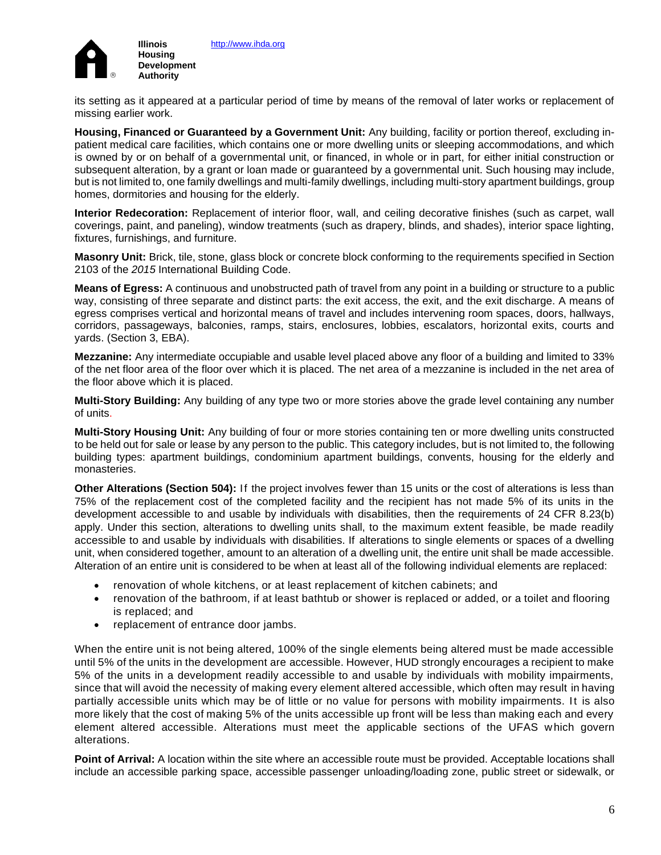

its setting as it appeared at a particular period of time by means of the removal of later works or replacement of missing earlier work.

**Housing, Financed or Guaranteed by a Government Unit:** Any building, facility or portion thereof, excluding inpatient medical care facilities, which contains one or more dwelling units or sleeping accommodations, and which is owned by or on behalf of a governmental unit, or financed, in whole or in part, for either initial construction or subsequent alteration, by a grant or loan made or guaranteed by a governmental unit. Such housing may include, but is not limited to, one family dwellings and multi-family dwellings, including multi-story apartment buildings, group homes, dormitories and housing for the elderly.

**Interior Redecoration:** Replacement of interior floor, wall, and ceiling decorative finishes (such as carpet, wall coverings, paint, and paneling), window treatments (such as drapery, blinds, and shades), interior space lighting, fixtures, furnishings, and furniture.

**Masonry Unit:** Brick, tile, stone, glass block or concrete block conforming to the requirements specified in Section 2103 of the *2015* International Building Code.

**Means of Egress:** A continuous and unobstructed path of travel from any point in a building or structure to a public way, consisting of three separate and distinct parts: the exit access, the exit, and the exit discharge. A means of egress comprises vertical and horizontal means of travel and includes intervening room spaces, doors, hallways, corridors, passageways, balconies, ramps, stairs, enclosures, lobbies, escalators, horizontal exits, courts and yards. (Section 3, EBA).

**Mezzanine:** Any intermediate occupiable and usable level placed above any floor of a building and limited to 33% of the net floor area of the floor over which it is placed. The net area of a mezzanine is included in the net area of the floor above which it is placed.

**Multi-Story Building:** Any building of any type two or more stories above the grade level containing any number of units.

**Multi-Story Housing Unit:** Any building of four or more stories containing ten or more dwelling units constructed to be held out for sale or lease by any person to the public. This category includes, but is not limited to, the following building types: apartment buildings, condominium apartment buildings, convents, housing for the elderly and monasteries.

**Other Alterations (Section 504):** If the project involves fewer than 15 units or the cost of alterations is less than 75% of the replacement cost of the completed facility and the recipient has not made 5% of its units in the development accessible to and usable by individuals with disabilities, then the requirements of 24 CFR 8.23(b) apply. Under this section, alterations to dwelling units shall, to the maximum extent feasible, be made readily accessible to and usable by individuals with disabilities. If alterations to single elements or spaces of a dwelling unit, when considered together, amount to an alteration of a dwelling unit, the entire unit shall be made accessible. Alteration of an entire unit is considered to be when at least all of the following individual elements are replaced:

- renovation of whole kitchens, or at least replacement of kitchen cabinets; and
- renovation of the bathroom, if at least bathtub or shower is replaced or added, or a toilet and flooring is replaced; and
- replacement of entrance door jambs.

When the entire unit is not being altered, 100% of the single elements being altered must be made accessible until 5% of the units in the development are accessible. However, HUD strongly encourages a recipient to make 5% of the units in a development readily accessible to and usable by individuals with mobility impairments, since that will avoid the necessity of making every element altered accessible, which often may result in having partially accessible units which may be of little or no value for persons with mobility impairments. It is also more likely that the cost of making 5% of the units accessible up front will be less than making each and every element altered accessible. Alterations must meet the applicable sections of the UFAS which govern alterations.

**Point of Arrival:** A location within the site where an accessible route must be provided. Acceptable locations shall include an accessible parking space, accessible passenger unloading/loading zone, public street or sidewalk, or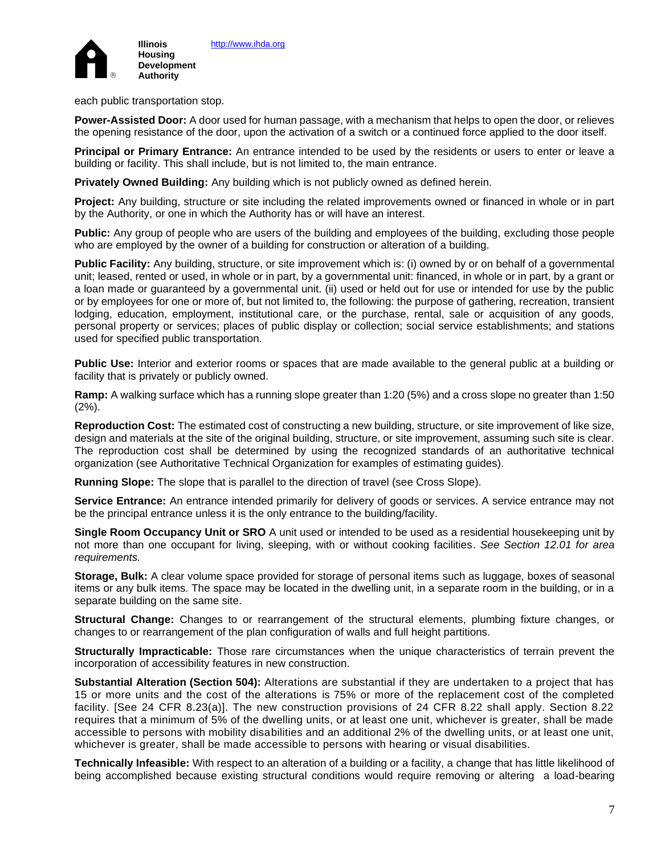

each public transportation stop.

**Power-Assisted Door:** A door used for human passage, with a mechanism that helps to open the door, or relieves the opening resistance of the door, upon the activation of a switch or a continued force applied to the door itself.

**Principal or Primary Entrance:** An entrance intended to be used by the residents or users to enter or leave a building or facility. This shall include, but is not limited to, the main entrance.

**Privately Owned Building:** Any building which is not publicly owned as defined herein.

**Project:** Any building, structure or site including the related improvements owned or financed in whole or in part by the Authority, or one in which the Authority has or will have an interest.

**Public:** Any group of people who are users of the building and employees of the building, excluding those people who are employed by the owner of a building for construction or alteration of a building.

**Public Facility:** Any building, structure, or site improvement which is: (i) owned by or on behalf of a governmental unit; leased, rented or used, in whole or in part, by a governmental unit: financed, in whole or in part, by a grant or a loan made or guaranteed by a governmental unit. (ii) used or held out for use or intended for use by the public or by employees for one or more of, but not limited to, the following: the purpose of gathering, recreation, transient lodging, education, employment, institutional care, or the purchase, rental, sale or acquisition of any goods, personal property or services; places of public display or collection; social service establishments; and stations used for specified public transportation.

**Public Use:** Interior and exterior rooms or spaces that are made available to the general public at a building or facility that is privately or publicly owned.

**Ramp:** A walking surface which has a running slope greater than 1:20 (5%) and a cross slope no greater than 1:50  $(2\%)$ .

**Reproduction Cost:** The estimated cost of constructing a new building, structure, or site improvement of like size, design and materials at the site of the original building, structure, or site improvement, assuming such site is clear. The reproduction cost shall be determined by using the recognized standards of an authoritative technical organization (see Authoritative Technical Organization for examples of estimating guides).

**Running Slope:** The slope that is parallel to the direction of travel (see Cross Slope).

**Service Entrance:** An entrance intended primarily for delivery of goods or services. A service entrance may not be the principal entrance unless it is the only entrance to the building/facility.

**Single Room Occupancy Unit or SRO** A unit used or intended to be used as a residential housekeeping unit by not more than one occupant for living, sleeping, with or without cooking facilities. *See Section 12.01 for area requirements.*

**Storage, Bulk:** A clear volume space provided for storage of personal items such as luggage, boxes of seasonal items or any bulk items. The space may be located in the dwelling unit, in a separate room in the building, or in a separate building on the same site.

**Structural Change:** Changes to or rearrangement of the structural elements, plumbing fixture changes, or changes to or rearrangement of the plan configuration of walls and full height partitions.

**Structurally Impracticable:** Those rare circumstances when the unique characteristics of terrain prevent the incorporation of accessibility features in new construction.

**Substantial Alteration (Section 504):** Alterations are substantial if they are undertaken to a project that has 15 or more units and the cost of the alterations is 75% or more of the replacement cost of the completed facility. [See 24 CFR 8.23(a)]. The new construction provisions of 24 CFR 8.22 shall apply. Section 8.22 requires that a minimum of 5% of the dwelling units, or at least one unit, whichever is greater, shall be made accessible to persons with mobility disabilities and an additional 2% of the dwelling units, or at least one unit, whichever is greater, shall be made accessible to persons with hearing or visual disabilities.

**Technically Infeasible:** With respect to an alteration of a building or a facility, a change that has little likelihood of being accomplished because existing structural conditions would require removing or altering a load-bearing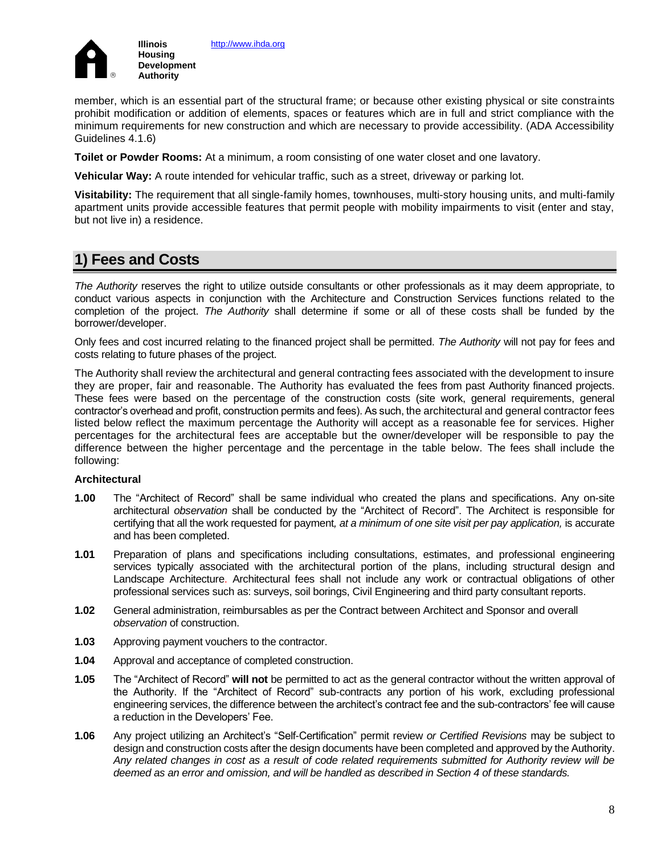

member, which is an essential part of the structural frame; or because other existing physical or site constraints prohibit modification or addition of elements, spaces or features which are in full and strict compliance with the minimum requirements for new construction and which are necessary to provide accessibility. (ADA Accessibility Guidelines 4.1.6)

**Toilet or Powder Rooms:** At a minimum, a room consisting of one water closet and one lavatory.

**Vehicular Way:** A route intended for vehicular traffic, such as a street, driveway or parking lot.

**Visitability:** The requirement that all single-family homes, townhouses, multi-story housing units, and multi-family apartment units provide accessible features that permit people with mobility impairments to visit (enter and stay, but not live in) a residence.

## **1) Fees and Costs**

*The Authority* reserves the right to utilize outside consultants or other professionals as it may deem appropriate, to conduct various aspects in conjunction with the Architecture and Construction Services functions related to the completion of the project. *The Authority* shall determine if some or all of these costs shall be funded by the borrower/developer.

Only fees and cost incurred relating to the financed project shall be permitted. *The Authority* will not pay for fees and costs relating to future phases of the project.

The Authority shall review the architectural and general contracting fees associated with the development to insure they are proper, fair and reasonable. The Authority has evaluated the fees from past Authority financed projects. These fees were based on the percentage of the construction costs (site work, general requirements, general contractor's overhead and profit, construction permits and fees). As such, the architectural and general contractor fees listed below reflect the maximum percentage the Authority will accept as a reasonable fee for services. Higher percentages for the architectural fees are acceptable but the owner/developer will be responsible to pay the difference between the higher percentage and the percentage in the table below. The fees shall include the following:

#### **Architectural**

- **1.00** The "Architect of Record" shall be same individual who created the plans and specifications. Any on-site architectural *observation* shall be conducted by the "Architect of Record". The Architect is responsible for certifying that all the work requested for payment*, at a minimum of one site visit per pay application,* is accurate and has been completed.
- **1.01** Preparation of plans and specifications including consultations, estimates, and professional engineering services typically associated with the architectural portion of the plans, including structural design and Landscape Architecture. Architectural fees shall not include any work or contractual obligations of other professional services such as: surveys, soil borings, Civil Engineering and third party consultant reports.
- **1.02** General administration, reimbursables as per the Contract between Architect and Sponsor and overall *observation* of construction.
- **1.03** Approving payment vouchers to the contractor.
- **1.04** Approval and acceptance of completed construction.
- **1.05** The "Architect of Record" **will not** be permitted to act as the general contractor without the written approval of the Authority. If the "Architect of Record" sub-contracts any portion of his work, excluding professional engineering services, the difference between the architect's contract fee and the sub-contractors' fee will cause a reduction in the Developers' Fee.
- **1.06** Any project utilizing an Architect's "Self-Certification" permit review *or Certified Revisions* may be subject to design and construction costs after the design documents have been completed and approved by the Authority. *Any related changes in cost as a result of code related requirements submitted for Authority review will be deemed as an error and omission, and will be handled as described in Section 4 of these standards.*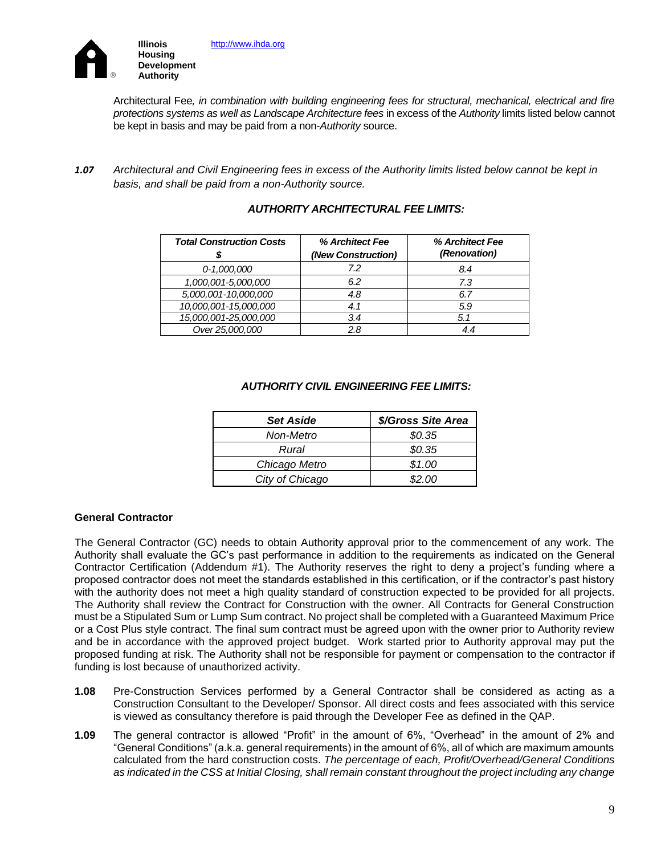

Architectural Fee*, in combination with building engineering fees for structural, mechanical, electrical and fire protections systems as well as Landscape Architecture fees* in excess of the *Authority* limits listed below cannot be kept in basis and may be paid from a non-*Authority* source.

*1.07 Architectural and Civil Engineering fees in excess of the Authority limits listed below cannot be kept in basis, and shall be paid from a non-Authority source.*

| <b>Total Construction Costs</b> | % Architect Fee<br>(New Construction) | % Architect Fee<br>(Renovation) |
|---------------------------------|---------------------------------------|---------------------------------|
| 0-1,000,000                     | 7.2                                   | 8.4                             |
| 1,000,001-5,000,000             | 6.2                                   | 7.3                             |
| 5,000,001-10,000,000            | 4.8                                   | 6.7                             |
| 10,000,001-15,000,000           | 4.1                                   | 5.9                             |
| 15,000,001-25,000,000           | 3.4                                   | 5.1                             |
| Over 25,000,000                 | 2.8                                   | 4.4                             |

### *AUTHORITY ARCHITECTURAL FEE LIMITS:*

### *AUTHORITY CIVIL ENGINEERING FEE LIMITS:*

| <b>Set Aside</b> | \$/Gross Site Area |
|------------------|--------------------|
| Non-Metro        | \$0.35             |
| Rural            | \$0.35             |
| Chicago Metro    | \$1.00             |
| City of Chicago  | \$2.00             |

### **General Contractor**

The General Contractor (GC) needs to obtain Authority approval prior to the commencement of any work. The Authority shall evaluate the GC's past performance in addition to the requirements as indicated on the General Contractor Certification (Addendum #1). The Authority reserves the right to deny a project's funding where a proposed contractor does not meet the standards established in this certification, or if the contractor's past history with the authority does not meet a high quality standard of construction expected to be provided for all projects. The Authority shall review the Contract for Construction with the owner. All Contracts for General Construction must be a Stipulated Sum or Lump Sum contract. No project shall be completed with a Guaranteed Maximum Price or a Cost Plus style contract. The final sum contract must be agreed upon with the owner prior to Authority review and be in accordance with the approved project budget. Work started prior to Authority approval may put the proposed funding at risk. The Authority shall not be responsible for payment or compensation to the contractor if funding is lost because of unauthorized activity.

- **1.08** Pre-Construction Services performed by a General Contractor shall be considered as acting as a Construction Consultant to the Developer/ Sponsor. All direct costs and fees associated with this service is viewed as consultancy therefore is paid through the Developer Fee as defined in the QAP.
- **1.09** The general contractor is allowed "Profit" in the amount of 6%, "Overhead" in the amount of 2% and "General Conditions" (a.k.a. general requirements) in the amount of 6%, all of which are maximum amounts calculated from the hard construction costs. *The percentage of each, Profit/Overhead/General Conditions as indicated in the CSS at Initial Closing, shall remain constant throughout the project including any change*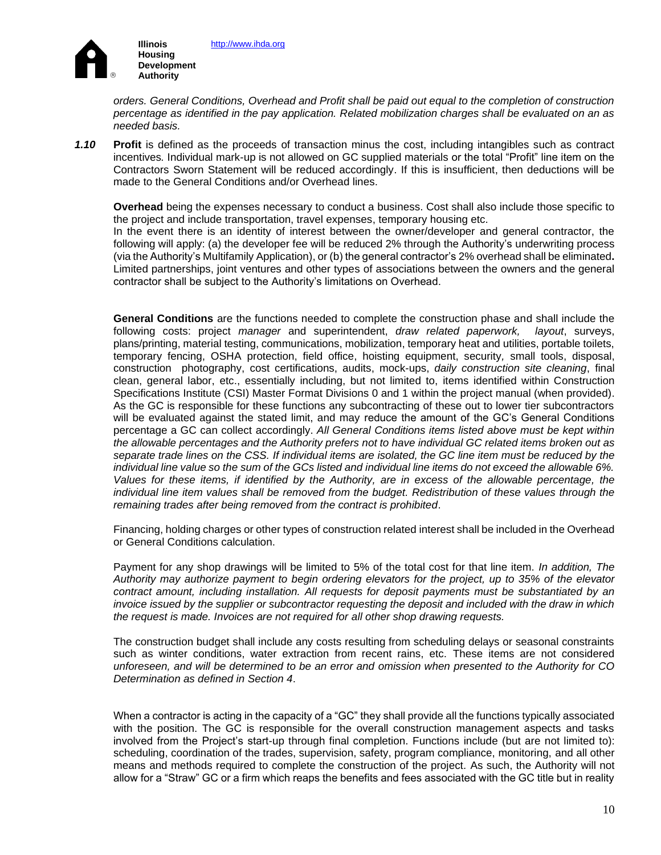

*orders. General Conditions, Overhead and Profit shall be paid out equal to the completion of construction percentage as identified in the pay application. Related mobilization charges shall be evaluated on an as needed basis.*

*1.10* **Profit** is defined as the proceeds of transaction minus the cost, including intangibles such as contract incentives*.* Individual mark-up is not allowed on GC supplied materials or the total "Profit" line item on the Contractors Sworn Statement will be reduced accordingly. If this is insufficient, then deductions will be made to the General Conditions and/or Overhead lines.

**Overhead** being the expenses necessary to conduct a business. Cost shall also include those specific to the project and include transportation, travel expenses, temporary housing etc.

In the event there is an identity of interest between the owner/developer and general contractor, the following will apply: (a) the developer fee will be reduced 2% through the Authority's underwriting process (via the Authority's Multifamily Application), or (b) the general contractor's 2% overhead shall be eliminated**.** Limited partnerships, joint ventures and other types of associations between the owners and the general contractor shall be subject to the Authority's limitations on Overhead.

**General Conditions** are the functions needed to complete the construction phase and shall include the following costs: project *manager* and superintendent, *draw related paperwork, layout*, surveys, plans/printing, material testing, communications, mobilization, temporary heat and utilities, portable toilets, temporary fencing, OSHA protection, field office, hoisting equipment, security*,* small tools, disposal, construction photography, cost certifications, audits, mock-ups, *daily construction site cleaning*, final clean, general labor, etc., essentially including, but not limited to, items identified within Construction Specifications Institute (CSI) Master Format Divisions 0 and 1 within the project manual (when provided). As the GC is responsible for these functions any subcontracting of these out to lower tier subcontractors will be evaluated against the stated limit, and may reduce the amount of the GC's General Conditions percentage a GC can collect accordingly. *All General Conditions items listed above must be kept within the allowable percentages and the Authority prefers not to have individual GC related items broken out as separate trade lines on the CSS. If individual items are isolated, the GC line item must be reduced by the individual line value so the sum of the GCs listed and individual line items do not exceed the allowable 6%. Values for these items, if identified by the Authority, are in excess of the allowable percentage, the individual line item values shall be removed from the budget. Redistribution of these values through the remaining trades after being removed from the contract is prohibited*.

Financing, holding charges or other types of construction related interest shall be included in the Overhead or General Conditions calculation.

Payment for any shop drawings will be limited to 5% of the total cost for that line item. *In addition, The Authority may authorize payment to begin ordering elevators for the project, up to 35% of the elevator contract amount, including installation. All requests for deposit payments must be substantiated by an invoice issued by the supplier or subcontractor requesting the deposit and included with the draw in which the request is made. Invoices are not required for all other shop drawing requests.*

The construction budget shall include any costs resulting from scheduling delays or seasonal constraints such as winter conditions, water extraction from recent rains, etc. These items are not considered *unforeseen, and will be determined to be an error and omission when presented to the Authority for CO Determination as defined in Section 4*.

When a contractor is acting in the capacity of a "GC" they shall provide all the functions typically associated with the position. The GC is responsible for the overall construction management aspects and tasks involved from the Project's start-up through final completion. Functions include (but are not limited to): scheduling, coordination of the trades, supervision, safety, program compliance, monitoring, and all other means and methods required to complete the construction of the project*.* As such, the Authority will not allow for a "Straw" GC or a firm which reaps the benefits and fees associated with the GC title but in reality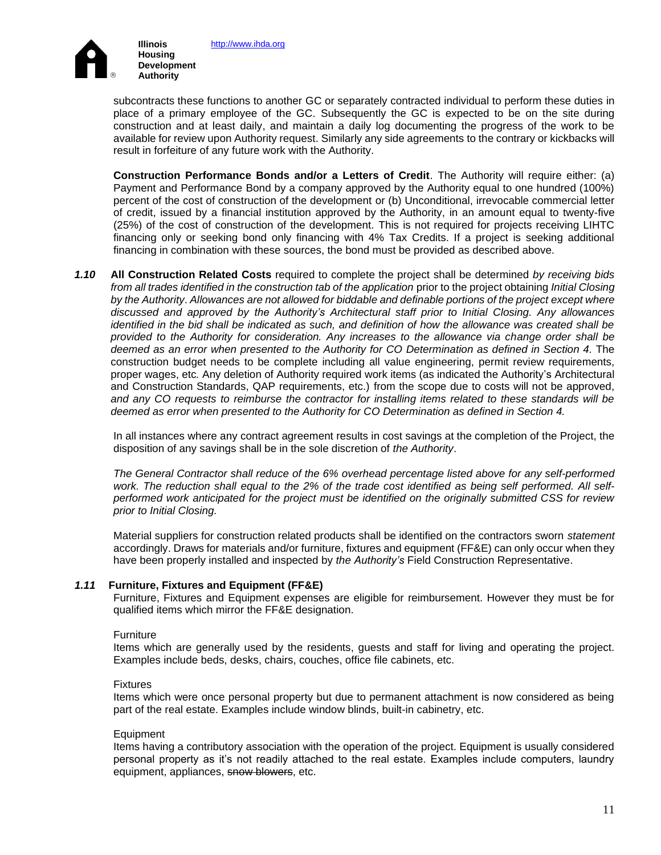

subcontracts these functions to another GC or separately contracted individual to perform these duties in place of a primary employee of the GC. Subsequently the GC is expected to be on the site during construction and at least daily, and maintain a daily log documenting the progress of the work to be available for review upon Authority request. Similarly any side agreements to the contrary or kickbacks will result in forfeiture of any future work with the Authority.

**Construction Performance Bonds and/or a Letters of Credit**. The Authority will require either: (a) Payment and Performance Bond by a company approved by the Authority equal to one hundred (100%) percent of the cost of construction of the development or (b) Unconditional, irrevocable commercial letter of credit, issued by a financial institution approved by the Authority, in an amount equal to twenty-five (25%) of the cost of construction of the development. This is not required for projects receiving LIHTC financing only or seeking bond only financing with 4% Tax Credits. If a project is seeking additional financing in combination with these sources, the bond must be provided as described above*.*

*1.10* **All Construction Related Costs** required to complete the project shall be determined *by receiving bids from all trades identified in the construction tab of the application* prior to the project obtaining *Initial Closing by the Authority*. *Allowances are not allowed for biddable and definable portions of the project except where discussed and approved by the Authority's Architectural staff prior to Initial Closing. Any allowances identified in the bid shall be indicated as such, and definition of how the allowance was created shall be provided to the Authority for consideration. Any increases to the allowance via change order shall be deemed as an error when presented to the Authority for CO Determination as defined in Section 4.* The construction budget needs to be complete including all value engineering, permit review requirements, proper wages, etc*.* Any deletion of Authority required work items (as indicated the Authority's Architectural and Construction Standards, QAP requirements, etc.) from the scope due to costs will not be approved, *and any CO requests to reimburse the contractor for installing items related to these standards will be deemed as error when presented to the Authority for CO Determination as defined in Section 4.* 

In all instances where any contract agreement results in cost savings at the completion of the Project, the disposition of any savings shall be in the sole discretion of *the Authority*.

*The General Contractor shall reduce of the 6% overhead percentage listed above for any self-performed*  work. The reduction shall equal to the 2% of the trade cost identified as being self performed. All self*performed work anticipated for the project must be identified on the originally submitted CSS for review prior to Initial Closing.*

Material suppliers for construction related products shall be identified on the contractors sworn *statement*  accordingly. Draws for materials and/or furniture, fixtures and equipment (FF&E) can only occur when they have been properly installed and inspected by *the Authority's* Field Construction Representative.

#### *1.11* **Furniture, Fixtures and Equipment (FF&E)**

Furniture, Fixtures and Equipment expenses are eligible for reimbursement. However they must be for qualified items which mirror the FF&E designation.

#### Furniture

Items which are generally used by the residents, guests and staff for living and operating the project. Examples include beds, desks, chairs, couches, office file cabinets, etc.

#### Fixtures

Items which were once personal property but due to permanent attachment is now considered as being part of the real estate. Examples include window blinds, built-in cabinetry, etc.

#### Equipment

Items having a contributory association with the operation of the project. Equipment is usually considered personal property as it's not readily attached to the real estate. Examples include computers, laundry equipment, appliances, snow blowers, etc.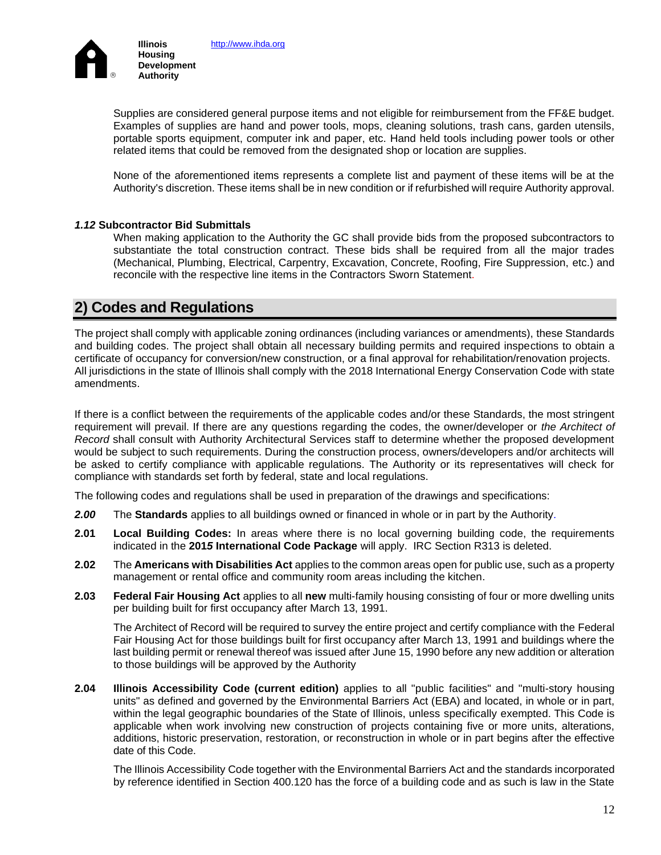

Supplies are considered general purpose items and not eligible for reimbursement from the FF&E budget. Examples of supplies are hand and power tools, mops, cleaning solutions, trash cans, garden utensils, portable sports equipment, computer ink and paper, etc. Hand held tools including power tools or other related items that could be removed from the designated shop or location are supplies.

None of the aforementioned items represents a complete list and payment of these items will be at the Authority's discretion. These items shall be in new condition or if refurbished will require Authority approval.

### *1.12* **Subcontractor Bid Submittals**

When making application to the Authority the GC shall provide bids from the proposed subcontractors to substantiate the total construction contract. These bids shall be required from all the major trades (Mechanical, Plumbing, Electrical, Carpentry, Excavation, Concrete, Roofing, Fire Suppression, etc.) and reconcile with the respective line items in the Contractors Sworn Statement.

## **2) Codes and Regulations**

The project shall comply with applicable zoning ordinances (including variances or amendments), these Standards and building codes. The project shall obtain all necessary building permits and required inspections to obtain a certificate of occupancy for conversion/new construction, or a final approval for rehabilitation/renovation projects. All jurisdictions in the state of Illinois shall comply with the 2018 International Energy Conservation Code with state amendments.

If there is a conflict between the requirements of the applicable codes and/or these Standards, the most stringent requirement will prevail. If there are any questions regarding the codes, the owner/developer or *the Architect of Record* shall consult with Authority Architectural Services staff to determine whether the proposed development would be subject to such requirements. During the construction process, owners/developers and/or architects will be asked to certify compliance with applicable regulations. The Authority or its representatives will check for compliance with standards set forth by federal, state and local regulations.

The following codes and regulations shall be used in preparation of the drawings and specifications:

- *2.00* The **Standards** applies to all buildings owned or financed in whole or in part by the Authority*.*
- **2.01 Local Building Codes:** In areas where there is no local governing building code, the requirements indicated in the **201***5* **International Code Package** will apply. IRC Section R313 is deleted.
- **2.02** The **Americans with Disabilities Act** applies to the common areas open for public use, such as a property management or rental office and community room areas including the kitchen.
- **2.03 Federal Fair Housing Act** applies to all **new** multi-family housing consisting of four or more dwelling units per building built for first occupancy after March 13, 1991.

The Architect of Record will be required to survey the entire project and certify compliance with the Federal Fair Housing Act for those buildings built for first occupancy after March 13, 1991 and buildings where the last building permit or renewal thereof was issued after June 15, 1990 before any new addition or alteration to those buildings will be approved by the Authority

**2.04 Illinois Accessibility Code (current edition)** applies to all "public facilities" and "multi-story housing units" as defined and governed by the Environmental Barriers Act (EBA) and located, in whole or in part, within the legal geographic boundaries of the State of Illinois, unless specifically exempted. This Code is applicable when work involving new construction of projects containing five or more units, alterations, additions, historic preservation, restoration, or reconstruction in whole or in part begins after the effective date of this Code.

The Illinois Accessibility Code together with the Environmental Barriers Act and the standards incorporated by reference identified in Section 400.120 has the force of a building code and as such is law in the State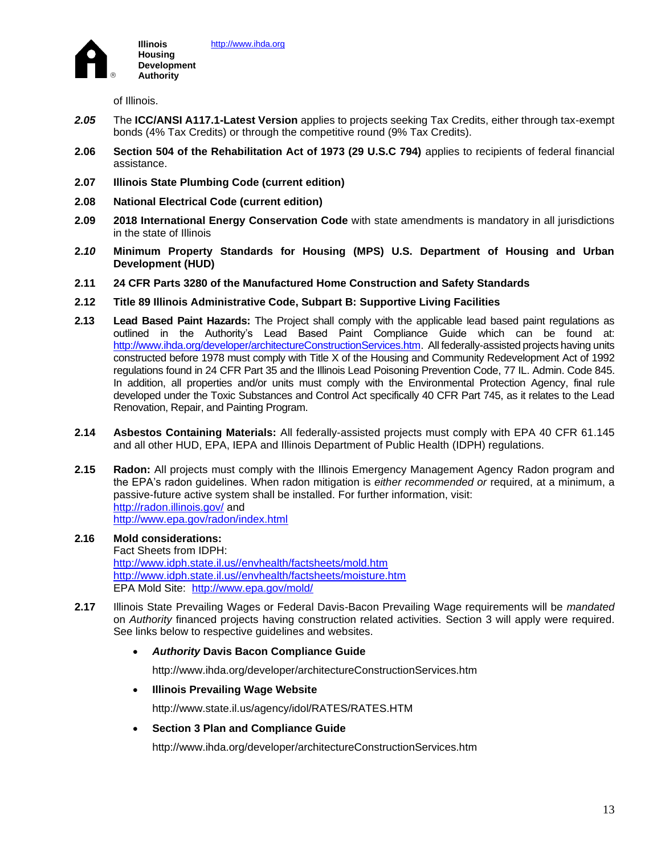

[http://www.ihda.org](http://www.ihda.org/)

of Illinois.

- *2.05* The **ICC/ANSI A117.1-Latest Version** applies to projects seeking Tax Credits, either through tax-exempt bonds (4% Tax Credits) or through the competitive round (9% Tax Credits).
- **2.06 Section 504 of the Rehabilitation Act of 1973 (29 U.S.C 794)** applies to recipients of federal financial assistance.
- **2.07 Illinois State Plumbing Code (current edition)**
- **2.08 National Electrical Code (current edition)**
- **2.09 2018 International Energy Conservation Code** with state amendments is mandatory in all jurisdictions in the state of Illinois
- **2.***10* **Minimum Property Standards for Housing (MPS) U.S. Department of Housing and Urban Development (HUD)**
- **2.11 24 CFR Parts 3280 of the Manufactured Home Construction and Safety Standards**
- **2.12 Title 89 Illinois Administrative Code, Subpart B: Supportive Living Facilities**
- **2.13 Lead Based Paint Hazards:** The Project shall comply with the applicable lead based paint regulations as outlined in the Authority's Lead Based Paint Compliance Guide which can be found at: [http://www.ihda.org/developer/architectureConstructionServices.htm.](http://www.ihda.org/developer/architectureConstructionServices.htm) All federally-assisted projects having units constructed before 1978 must comply with Title X of the Housing and Community Redevelopment Act of 1992 regulations found in 24 CFR Part 35 and the Illinois Lead Poisoning Prevention Code, 77 IL. Admin. Code 845. In addition, all properties and/or units must comply with the Environmental Protection Agency, final rule developed under the Toxic Substances and Control Act specifically 40 CFR Part 745, as it relates to the Lead Renovation, Repair, and Painting Program.
- **2.14 Asbestos Containing Materials:** All federally-assisted projects must comply with EPA 40 CFR 61.145 and all other HUD, EPA, IEPA and Illinois Department of Public Health (IDPH) regulations.
- **2.15 Radon:** All projects must comply with the Illinois Emergency Management Agency Radon program and the EPA's radon guidelines. When radon mitigation is *either recommended or* required, at a minimum, a passive-future active system shall be installed. For further information, visit: <http://radon.illinois.gov/> and <http://www.epa.gov/radon/index.html>
- **2.16 Mold considerations:** Fact Sheets from IDPH: http://www.idph.state.il.us//envhealth/factsheets/mold.htm http://www.idph.state.il.us//envhealth/factsheets/moisture.htm EPA Mold Site: http://www.epa.gov/mold/
- **2.17** Illinois State Prevailing Wages or Federal Davis-Bacon Prevailing Wage requirements will be *mandated* on *Authority* financed projects having construction related activities. Section 3 will apply were required. See links below to respective guidelines and websites.
	- *Authority* **Davis Bacon Compliance Guide**
		- http://www.ihda.org/developer/architectureConstructionServices.htm
	- **Illinois Prevailing Wage Website**

http://www.state.il.us/agency/idol/RATES/RATES.HTM

• **Section 3 Plan and Compliance Guide**

<http://www.ihda.org/developer/architectureConstructionServices.htm>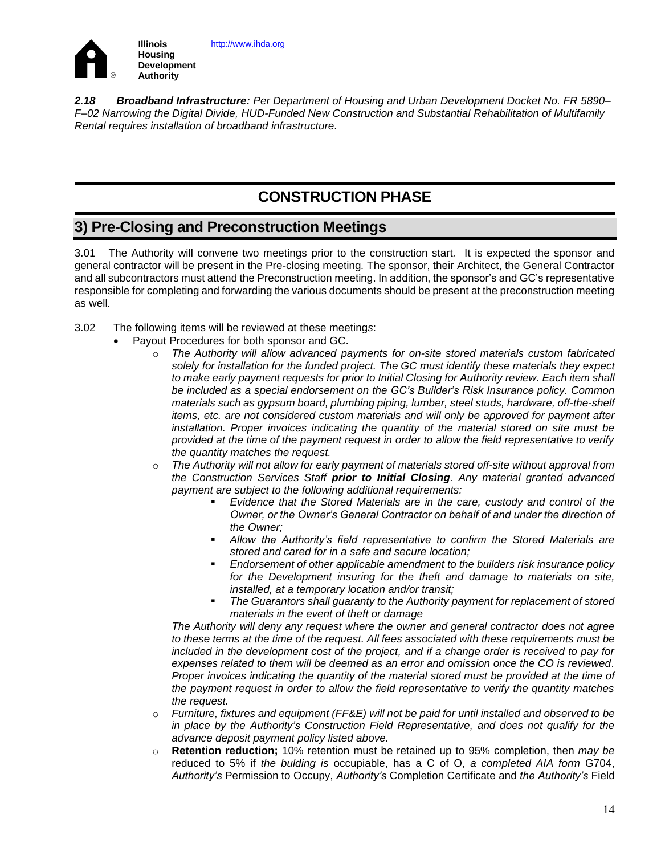

*2.18 Broadband Infrastructure: Per Department of Housing and Urban Development Docket No. FR 5890– F–02 Narrowing the Digital Divide, HUD-Funded New Construction and Substantial Rehabilitation of Multifamily Rental requires installation of broadband infrastructure.*

# **CONSTRUCTION PHASE**

## **3) Pre-Closing and Preconstruction Meetings**

3.01 The Authority will convene two meetings prior to the construction start*.* It is expected the sponsor and general contractor will be present in the Pre-closing meeting*.* The sponsor, their Architect, the General Contractor and all subcontractors must attend the Preconstruction meeting. In addition, the sponsor's and GC's representative responsible for completing and forwarding the various documents should be present at the preconstruction meeting as well*.* 

- 3.02 The following items will be reviewed at these meeting*s*:
	- Payout Procedures for both sponsor and GC.
		- o *The Authority will allow advanced payments for on-site stored materials custom fabricated solely for installation for the funded project. The GC must identify these materials they expect to make early payment requests for prior to Initial Closing for Authority review. Each item shall be included as a special endorsement on the GC's Builder's Risk Insurance policy. Common materials such as gypsum board, plumbing piping, lumber, steel studs, hardware, off-the-shelf items, etc. are not considered custom materials and will only be approved for payment after installation. Proper invoices indicating the quantity of the material stored on site must be provided at the time of the payment request in order to allow the field representative to verify the quantity matches the request.*
		- o *The Authority will not allow for early payment of materials stored off-site without approval from the Construction Services Staff prior to Initial Closing. Any material granted advanced payment are subject to the following additional requirements:*
			- *Evidence that the Stored Materials are in the care, custody and control of the Owner, or the Owner's General Contractor on behalf of and under the direction of the Owner;*
			- *Allow the Authority's field representative to confirm the Stored Materials are stored and cared for in a safe and secure location;*
			- Endorsement of other applicable amendment to the builders risk insurance policy *for the Development insuring for the theft and damage to materials on site, installed, at a temporary location and/or transit;*
			- The Guarantors shall guaranty to the Authority payment for replacement of stored *materials in the event of theft or damage*

*The Authority will deny any request where the owner and general contractor does not agree to these terms at the time of the request. All fees associated with these requirements must be included in the development cost of the project, and if a change order is received to pay for expenses related to them will be deemed as an error and omission once the CO is reviewed. Proper invoices indicating the quantity of the material stored must be provided at the time of the payment request in order to allow the field representative to verify the quantity matches the request.*

- o *Furniture, fixtures and equipment (FF&E) will not be paid for until installed and observed to be in place by the Authority's Construction Field Representative, and does not qualify for the advance deposit payment policy listed above.*
- o **Retention reduction;** 10% retention must be retained up to 95% completion, then *may be*  reduced to 5% if *the bulding is* occupiable, has a C of O, *a completed AIA form* G704, *Authority's* Permission to Occupy, *Authority's* Completion Certificate and *the Authority's* Field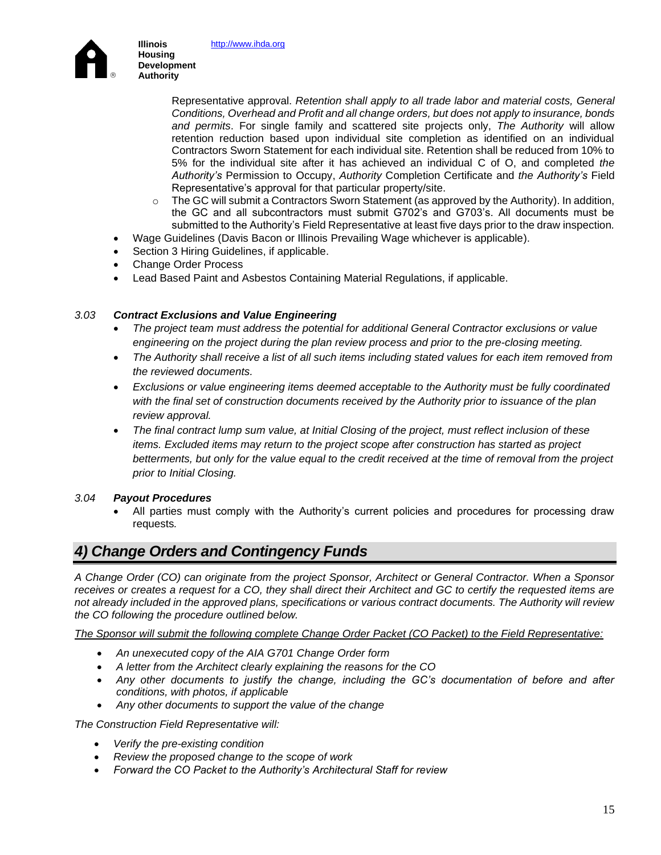



**Illinois Housing Development Authority**

> Representative approval. *Retention shall apply to all trade labor and material costs, General Conditions, Overhead and Profit and all change orders, but does not apply to insurance, bonds and permits*. For single family and scattered site projects only, *The Authority* will allow retention reduction based upon individual site completion as identified on an individual Contractors Sworn Statement for each individual site. Retention shall be reduced from 10% to 5% for the individual site after it has achieved an individual C of O, and completed *the Authority's* Permission to Occupy, *Authority* Completion Certificate and *the Authority's* Field Representative's approval for that particular property/site.

- $\circ$  The GC will submit a Contractors Sworn Statement (as approved by the Authority). In addition, the GC and all subcontractors must submit G702's and G703's. All documents must be submitted to the Authority's Field Representative at least five days prior to the draw inspection*.*
- Wage Guidelines (Davis Bacon or Illinois Prevailing Wage whichever is applicable).
- Section 3 Hiring Guidelines, if applicable.
- Change Order Process
- Lead Based Paint and Asbestos Containing Material Regulations, if applicable.

### *3.03 Contract Exclusions and Value Engineering*

- *The project team must address the potential for additional General Contractor exclusions or value engineering on the project during the plan review process and prior to the pre-closing meeting.*
- *The Authority shall receive a list of all such items including stated values for each item removed from the reviewed documents.*
- *Exclusions or value engineering items deemed acceptable to the Authority must be fully coordinated with the final set of construction documents received by the Authority prior to issuance of the plan review approval.*
- *The final contract lump sum value, at Initial Closing of the project, must reflect inclusion of these items. Excluded items may return to the project scope after construction has started as project betterments, but only for the value equal to the credit received at the time of removal from the project prior to Initial Closing.*

### *3.04 Payout Procedures*

• All parties must comply with the Authority's current policies and procedures for processing draw requests*.*

## *4) Change Orders and Contingency Funds*

*A Change Order (CO) can originate from the project Sponsor, Architect or General Contractor. When a Sponsor receives or creates a request for a CO, they shall direct their Architect and GC to certify the requested items are not already included in the approved plans, specifications or various contract documents. The Authority will review the CO following the procedure outlined below.*

*The Sponsor will submit the following complete Change Order Packet (CO Packet) to the Field Representative:*

- *An unexecuted copy of the AIA G701 Change Order form*
- *A letter from the Architect clearly explaining the reasons for the CO*
- *Any other documents to justify the change, including the GC's documentation of before and after conditions, with photos, if applicable*
- *Any other documents to support the value of the change*

*The Construction Field Representative will:*

- *Verify the pre-existing condition*
- *Review the proposed change to the scope of work*
- *Forward the CO Packet to the Authority's Architectural Staff for review*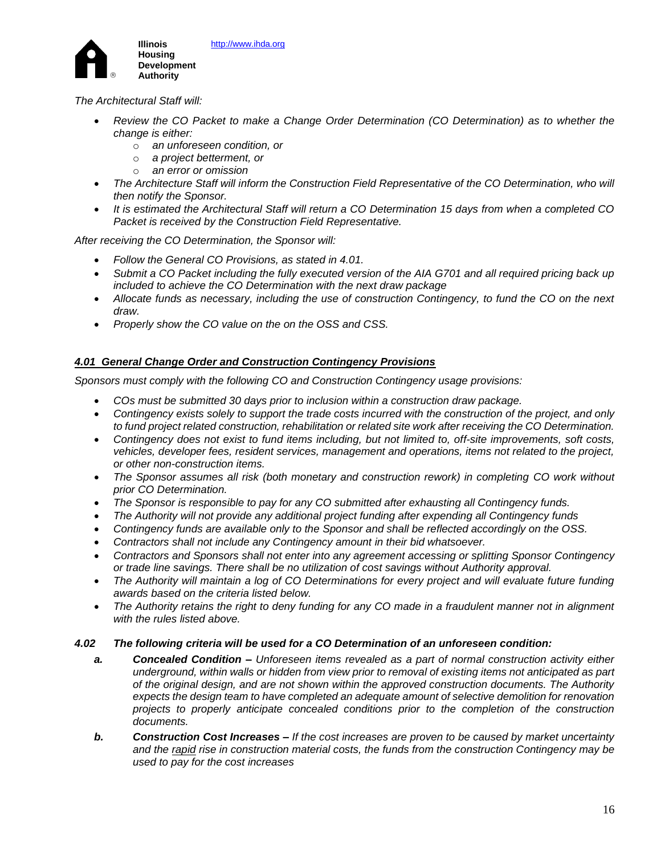

### *The Architectural Staff will:*

- *Review the CO Packet to make a Change Order Determination (CO Determination) as to whether the change is either:*
	- o *an unforeseen condition, or*
	- o *a project betterment, or*
	- o *an error or omission*
- *The Architecture Staff will inform the Construction Field Representative of the CO Determination, who will then notify the Sponsor.*
- *It is estimated the Architectural Staff will return a CO Determination 15 days from when a completed CO Packet is received by the Construction Field Representative.*

*After receiving the CO Determination, the Sponsor will:*

- *Follow the General CO Provisions, as stated in 4.01.*
- *Submit a CO Packet including the fully executed version of the AIA G701 and all required pricing back up included to achieve the CO Determination with the next draw package*
- *Allocate funds as necessary, including the use of construction Contingency, to fund the CO on the next draw.*
- *Properly show the CO value on the on the OSS and CSS.*

### *4.01 General Change Order and Construction Contingency Provisions*

*Sponsors must comply with the following CO and Construction Contingency usage provisions:*

- *COs must be submitted 30 days prior to inclusion within a construction draw package.*
- *Contingency exists solely to support the trade costs incurred with the construction of the project, and only to fund project related construction, rehabilitation or related site work after receiving the CO Determination.*
- *Contingency does not exist to fund items including, but not limited to, off-site improvements, soft costs, vehicles, developer fees, resident services, management and operations, items not related to the project, or other non-construction items.*
- *The Sponsor assumes all risk (both monetary and construction rework) in completing CO work without prior CO Determination.*
- *The Sponsor is responsible to pay for any CO submitted after exhausting all Contingency funds.*
- *The Authority will not provide any additional project funding after expending all Contingency funds*
- *Contingency funds are available only to the Sponsor and shall be reflected accordingly on the OSS.*
- *Contractors shall not include any Contingency amount in their bid whatsoever.*
- *Contractors and Sponsors shall not enter into any agreement accessing or splitting Sponsor Contingency or trade line savings. There shall be no utilization of cost savings without Authority approval.*
- *The Authority will maintain a log of CO Determinations for every project and will evaluate future funding awards based on the criteria listed below.*
- *The Authority retains the right to deny funding for any CO made in a fraudulent manner not in alignment with the rules listed above.*

#### *4.02 The following criteria will be used for a CO Determination of an unforeseen condition:*

- *a. Concealed Condition – Unforeseen items revealed as a part of normal construction activity either underground, within walls or hidden from view prior to removal of existing items not anticipated as part of the original design, and are not shown within the approved construction documents. The Authority expects the design team to have completed an adequate amount of selective demolition for renovation projects to properly anticipate concealed conditions prior to the completion of the construction documents.*
- *b. Construction Cost Increases – If the cost increases are proven to be caused by market uncertainty and the rapid rise in construction material costs, the funds from the construction Contingency may be used to pay for the cost increases*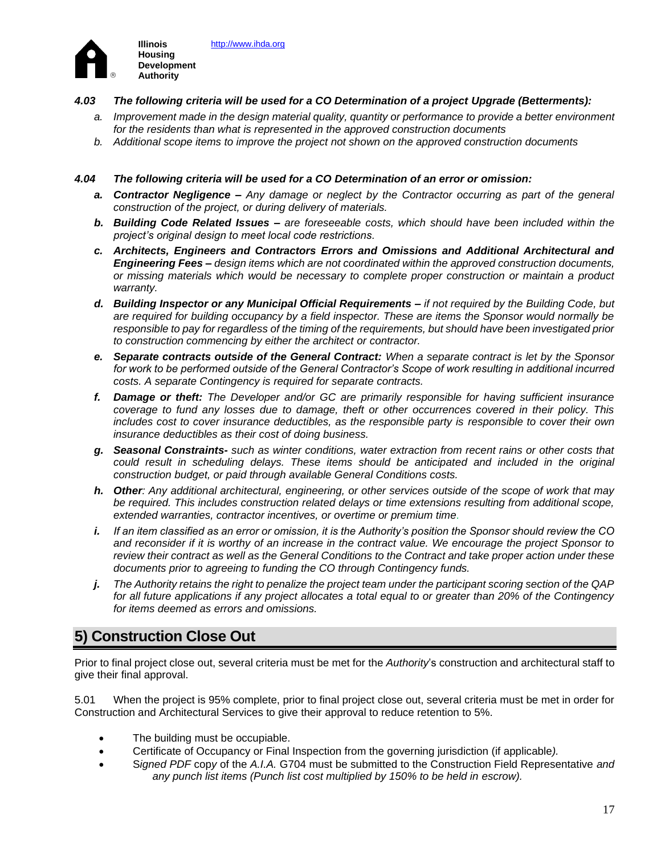

### *4.03 The following criteria will be used for a CO Determination of a project Upgrade (Betterments):*

- *a. Improvement made in the design material quality, quantity or performance to provide a better environment for the residents than what is represented in the approved construction documents*
- *b. Additional scope items to improve the project not shown on the approved construction documents*

#### *4.04 The following criteria will be used for a CO Determination of an error or omission:*

- *a. Contractor Negligence – Any damage or neglect by the Contractor occurring as part of the general construction of the project, or during delivery of materials.*
- *b. Building Code Related Issues – are foreseeable costs, which should have been included within the project's original design to meet local code restrictions.*
- *c. Architects, Engineers and Contractors Errors and Omissions and Additional Architectural and Engineering Fees – design items which are not coordinated within the approved construction documents, or missing materials which would be necessary to complete proper construction or maintain a product warranty.*
- *d. Building Inspector or any Municipal Official Requirements – if not required by the Building Code, but are required for building occupancy by a field inspector. These are items the Sponsor would normally be responsible to pay for regardless of the timing of the requirements, but should have been investigated prior to construction commencing by either the architect or contractor.*
- *e. Separate contracts outside of the General Contract: When a separate contract is let by the Sponsor for work to be performed outside of the General Contractor's Scope of work resulting in additional incurred costs. A separate Contingency is required for separate contracts.*
- *f. Damage or theft: The Developer and/or GC are primarily responsible for having sufficient insurance coverage to fund any losses due to damage, theft or other occurrences covered in their policy. This includes cost to cover insurance deductibles, as the responsible party is responsible to cover their own insurance deductibles as their cost of doing business.*
- *g. Seasonal Constraints- such as winter conditions, water extraction from recent rains or other costs that*  could result in scheduling delays. These items should be anticipated and included in the original *construction budget, or paid through available General Conditions costs.*
- *h. Other: Any additional architectural, engineering, or other services outside of the scope of work that may be required. This includes construction related delays or time extensions resulting from additional scope, extended warranties, contractor incentives, or overtime or premium time.*
- *i. If an item classified as an error or omission, it is the Authority's position the Sponsor should review the CO and reconsider if it is worthy of an increase in the contract value. We encourage the project Sponsor to review their contract as well as the General Conditions to the Contract and take proper action under these documents prior to agreeing to funding the CO through Contingency funds.*
- *j. The Authority retains the right to penalize the project team under the participant scoring section of the QAP for all future applications if any project allocates a total equal to or greater than 20% of the Contingency for items deemed as errors and omissions.*

## **5) Construction Close Out**

Prior to final project close out, several criteria must be met for the *Authority*'s construction and architectural staff to give their final approval.

5.01 When the project is 95% complete, prior to final project close out, several criteria must be met in order for Construction and Architectural Services to give their approval to reduce retention to 5%.

- The building must be occupiable.
- Certificate of Occupancy or Final Inspection from the governing jurisdiction (if applicable*).*
- S*igned PDF* cop*y* of the *A.I.A.* G704 must be submitted to the Construction Field Representative *and any punch list items (Punch list cost multiplied by 150% to be held in escrow).*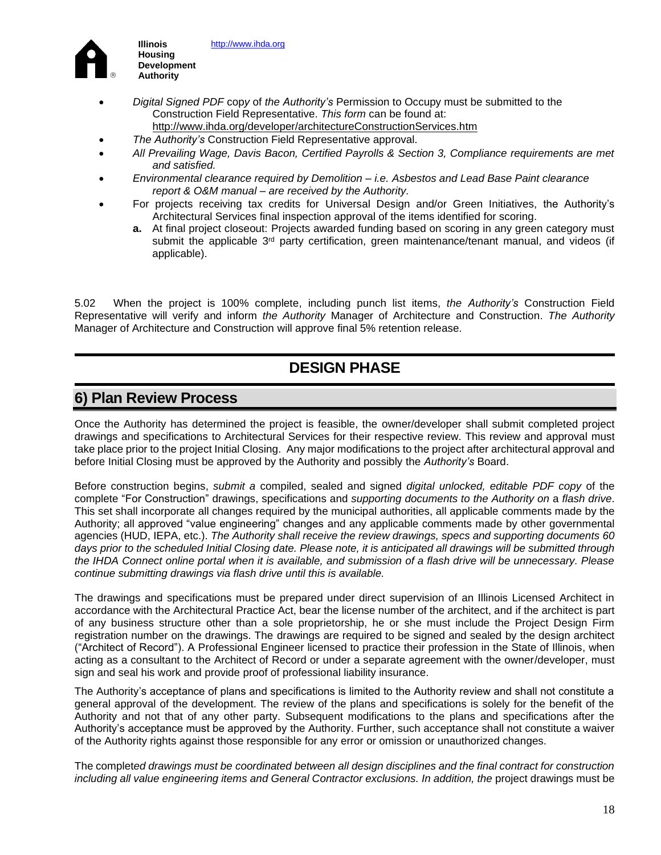



- *Digital Signed PDF* cop*y* of *the Authority's* Permission to Occupy must be submitted to the Construction Field Representative. *This form* can be found at: <http://www.ihda.org/developer/architectureConstructionServices.htm>
- *The Authority's* Construction Field Representative approval.
- *All Prevailing Wage, Davis Bacon, Certified Payrolls & Section 3, Compliance requirements are met and satisfied.*
- *Environmental clearance required by Demolition – i.e. Asbestos and Lead Base Paint clearance report & O&M manual – are received by the Authority.*
- For projects receiving tax credits for Universal Design and/or Green Initiatives, the Authority's Architectural Services final inspection approval of the items identified for scoring.
	- **a.** At final project closeout: Projects awarded funding based on scoring in any green category must submit the applicable  $3<sup>rd</sup>$  party certification, green maintenance/tenant manual, and videos (if applicable).

5.02 When the project is 100% complete, including punch list items, *the Authority's* Construction Field Representative will verify and inform *the Authority* Manager of Architecture and Construction. *The Authority* Manager of Architecture and Construction will approve final 5% retention release.

## **DESIGN PHASE**

## **6) Plan Review Process**

Once the Authority has determined the project is feasible, the owner/developer shall submit completed project drawings and specifications to Architectural Services for their respective review. This review and approval must take place prior to the project Initial Closing. Any major modifications to the project after architectural approval and before Initial Closing must be approved by the Authority and possibly the *Authority's* Board.

Before construction begins, *submit a* compiled, sealed and signed *digital unlocked, editable PDF copy* of the complete "For Construction" drawings, specifications and *supporting documents to the Authority on* a *flash drive*. This set shall incorporate all changes required by the municipal authorities, all applicable comments made by the Authority; all approved "value engineering" changes and any applicable comments made by other governmental agencies (HUD, IEPA, etc.). *The Authority shall receive the review drawings, specs and supporting documents 60 days prior to the scheduled Initial Closing date. Please note, it is anticipated all drawings will be submitted through the IHDA Connect online portal when it is available, and submission of a flash drive will be unnecessary. Please continue submitting drawings via flash drive until this is available.*

The drawings and specifications must be prepared under direct supervision of an Illinois Licensed Architect in accordance with the Architectural Practice Act, bear the license number of the architect, and if the architect is part of any business structure other than a sole proprietorship, he or she must include the Project Design Firm registration number on the drawings. The drawings are required to be signed and sealed by the design architect ("Architect of Record"). A Professional Engineer licensed to practice their profession in the State of Illinois, when acting as a consultant to the Architect of Record or under a separate agreement with the owner/developer, must sign and seal his work and provide proof of professional liability insurance.

The Authority's acceptance of plans and specifications is limited to the Authority review and shall not constitute a general approval of the development. The review of the plans and specifications is solely for the benefit of the Authority and not that of any other party. Subsequent modifications to the plans and specifications after the Authority's acceptance must be approved by the Authority. Further, such acceptance shall not constitute a waiver of the Authority rights against those responsible for any error or omission or unauthorized changes.

The complet*ed drawings must be coordinated between all design disciplines and the final contract for construction including all value engineering items and General Contractor exclusions. In addition, the* project drawings must be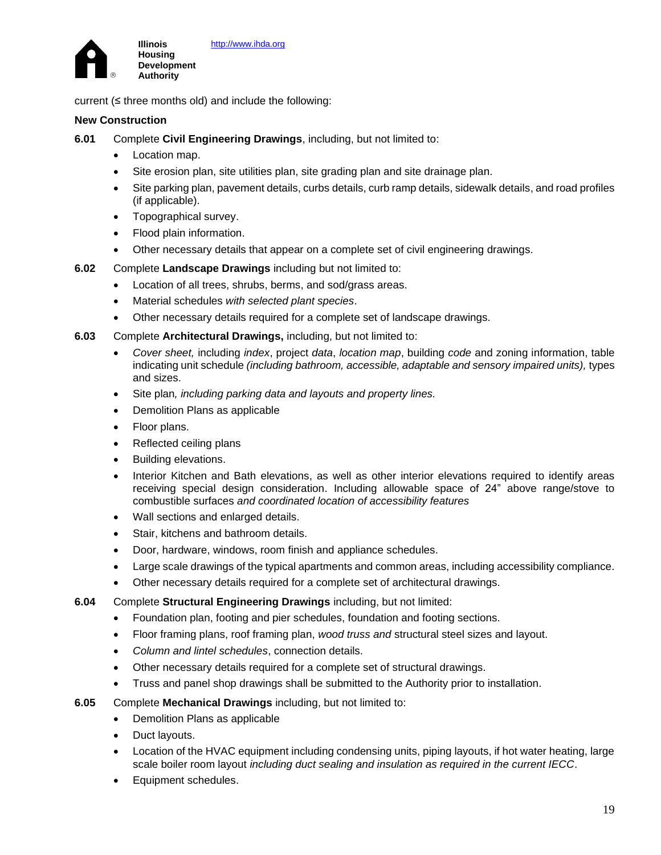

current (≤ three months old) and include the following:

### **New Construction**

- **6.01** Complete **Civil Engineering Drawings**, including, but not limited to:
	- Location map.
	- Site erosion plan, site utilities plan, site grading plan and site drainage plan.
	- Site parking plan, pavement details, curbs details, curb ramp details, sidewalk details, and road profiles (if applicable).
	- Topographical survey.
	- Flood plain information.
	- Other necessary details that appear on a complete set of civil engineering drawings.
- **6.02** Complete **Landscape Drawings** including but not limited to:
	- Location of all trees, shrubs, berms, and sod/grass areas.
	- Material schedules *with selected plant species*.
	- Other necessary details required for a complete set of landscape drawings.
- **6.03** Complete **Architectural Drawings,** including, but not limited to:
	- *Cover sheet,* including *index*, project *data*, *location map*, building *code* and zoning information, table indicating unit schedule *(including bathroom, accessible, adaptable and sensory impaired units),* types and sizes.
	- Site plan*, including parking data and layouts and property lines.*
	- Demolition Plans as applicable
	- Floor plans.
	- Reflected ceiling plans
	- Building elevations.
	- Interior Kitchen and Bath elevations, as well as other interior elevations required to identify areas receiving special design consideration. Including allowable space of 24" above range/stove to combustible surfaces *and coordinated location of accessibility features*
	- Wall sections and enlarged details.
	- Stair, kitchens and bathroom details.
	- Door, hardware, windows, room finish and appliance schedules.
	- Large scale drawings of the typical apartments and common areas, including accessibility compliance.
	- Other necessary details required for a complete set of architectural drawings.

#### **6.04** Complete **Structural Engineering Drawings** including, but not limited:

- Foundation plan, footing and pier schedules, foundation and footing sections.
- Floor framing plans, roof framing plan, *wood truss and* structural steel sizes and layout.
- *Column and lintel schedules*, connection details.
- Other necessary details required for a complete set of structural drawings.
- Truss and panel shop drawings shall be submitted to the Authority prior to installation.
- **6.05** Complete **Mechanical Drawings** including, but not limited to:
	- Demolition Plans as applicable
	- Duct layouts.
	- Location of the HVAC equipment including condensing units, piping layouts, if hot water heating, large scale boiler room layout *including duct sealing and insulation as required in the current IECC*.
	- Equipment schedules.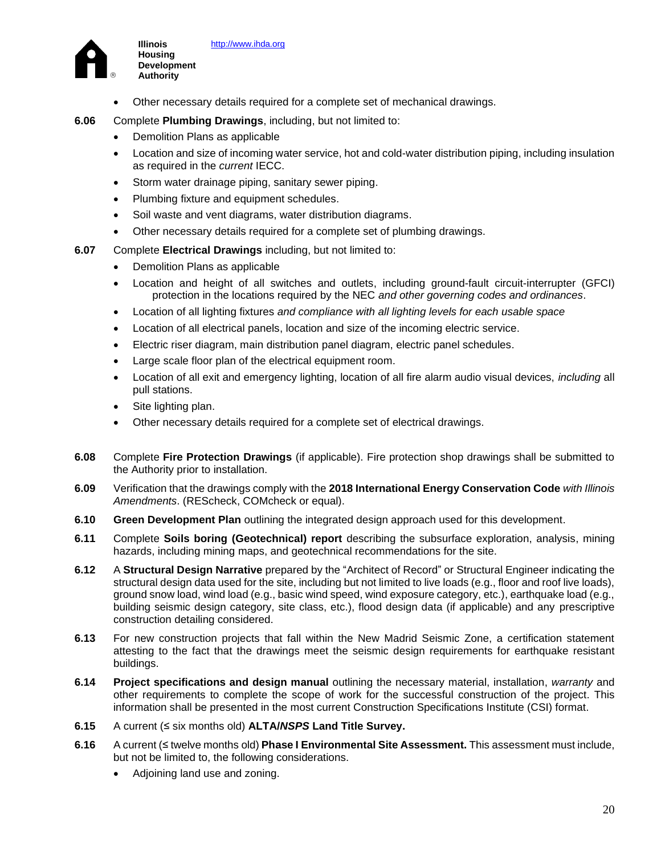



**Illinois Housing Development Authority**

- Other necessary details required for a complete set of mechanical drawings.
- **6.06** Complete **Plumbing Drawings**, including, but not limited to:
	- Demolition Plans as applicable
	- Location and size of incoming water service, hot and cold-water distribution piping, including insulation as required in the *current* IECC.
	- Storm water drainage piping, sanitary sewer piping.
	- Plumbing fixture and equipment schedules.
	- Soil waste and vent diagrams, water distribution diagrams.
	- Other necessary details required for a complete set of plumbing drawings.
- **6.07** Complete **Electrical Drawings** including, but not limited to:
	- Demolition Plans as applicable
	- Location and height of all switches and outlets, including ground-fault circuit-interrupter (GFCI) protection in the locations required by the NEC *and other governing codes and ordinances*.
	- Location of all lighting fixtures *and compliance with all lighting levels for each usable space*
	- Location of all electrical panels, location and size of the incoming electric service.
	- Electric riser diagram, main distribution panel diagram, electric panel schedules.
	- Large scale floor plan of the electrical equipment room.
	- Location of all exit and emergency lighting, location of all fire alarm audio visual devices, *including* all pull stations.
	- Site lighting plan.
	- Other necessary details required for a complete set of electrical drawings.
- **6.08** Complete **Fire Protection Drawings** (if applicable). Fire protection shop drawings shall be submitted to the Authority prior to installation.
- **6.09** Verification that the drawings comply with the **2018 International Energy Conservation Code** *with Illinois Amendments*. (REScheck, COMcheck or equal).
- **6.10 Green Development Plan** outlining the integrated design approach used for this development.
- **6.11** Complete **Soils boring (Geotechnical) report** describing the subsurface exploration, analysis, mining hazards, including mining maps, and geotechnical recommendations for the site.
- **6.12** A **Structural Design Narrative** prepared by the "Architect of Record" or Structural Engineer indicating the structural design data used for the site, including but not limited to live loads (e.g., floor and roof live loads), ground snow load, wind load (e.g., basic wind speed, wind exposure category, etc.), earthquake load (e.g., building seismic design category, site class, etc.), flood design data (if applicable) and any prescriptive construction detailing considered.
- **6.13** For new construction projects that fall within the New Madrid Seismic Zone, a certification statement attesting to the fact that the drawings meet the seismic design requirements for earthquake resistant buildings.
- **6.14 Project specifications and design manual** outlining the necessary material, installation, *warranty* and other requirements to complete the scope of work for the successful construction of the project. This information shall be presented in the most current Construction Specifications Institute (CSI) format.
- **6.15** A current (≤ six months old) **ALTA/***NSPS* **Land Title Survey.**
- **6.16** A current (≤ twelve months old) **Phase I Environmental Site Assessment.** This assessment must include, but not be limited to, the following considerations.
	- Adjoining land use and zoning.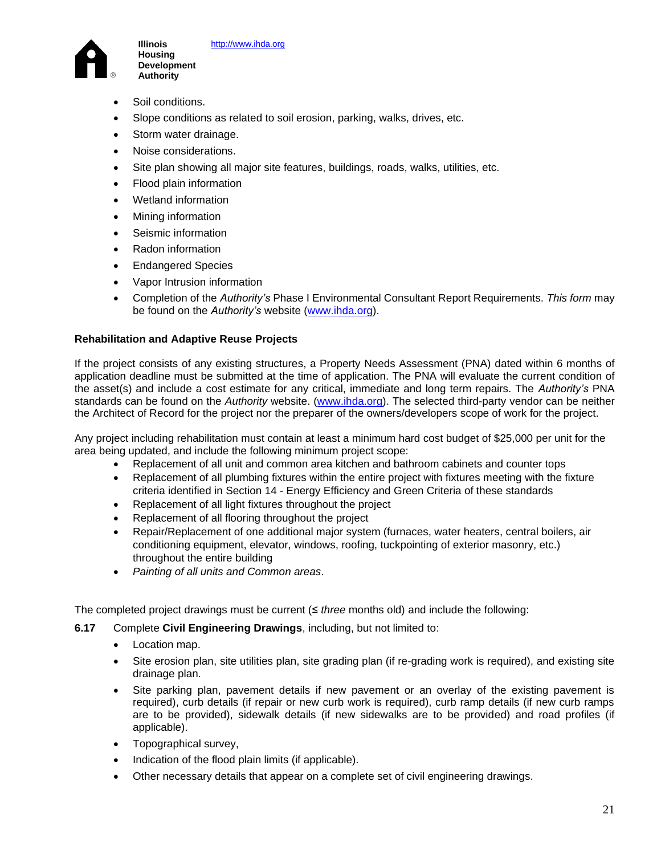

Soil conditions.

**Illinois Housing Development Authority**

- Slope conditions as related to soil erosion, parking, walks, drives, etc.
- Storm water drainage.
- Noise considerations.
- Site plan showing all major site features, buildings, roads, walks, utilities, etc.
- Flood plain information
- Wetland information
- Mining information
- Seismic information
- Radon information
- Endangered Species
- Vapor Intrusion information
- Completion of the *Authority's* Phase I Environmental Consultant Report Requirements. *This form* may be found on the *Authority's* website [\(www.ihda.org\)](http://www.ihda.org/).

#### **Rehabilitation and Adaptive Reuse Projects**

If the project consists of any existing structures, a Property Needs Assessment (PNA) dated within 6 months of application deadline must be submitted at the time of application. The PNA will evaluate the current condition of the asset(s) and include a cost estimate for any critical, immediate and long term repairs. The *Authority's* PNA standards can be found on the *Authority* website. [\(www.ihda.org\)](http://www.ihda.org/). The selected third-party vendor can be neither the Architect of Record for the project nor the preparer of the owners/developers scope of work for the project.

Any project including rehabilitation must contain at least a minimum hard cost budget of \$25,000 per unit for the area being updated, and include the following minimum project scope:

- Replacement of all unit and common area kitchen and bathroom cabinets and counter tops
- Replacement of all plumbing fixtures within the entire project with fixtures meeting with the fixture criteria identified in Section 14 - Energy Efficiency and Green Criteria of these standards
- Replacement of all light fixtures throughout the project
- Replacement of all flooring throughout the project
- Repair/Replacement of one additional major system (furnaces, water heaters, central boilers, air conditioning equipment, elevator, windows, roofing, tuckpointing of exterior masonry, etc.) throughout the entire building
- *Painting of all units and Common areas*.

The completed project drawings must be current (≤ *three* months old) and include the following:

#### **6.17** Complete **Civil Engineering Drawings**, including, but not limited to:

- Location map.
- Site erosion plan, site utilities plan, site grading plan (if re-grading work is required), and existing site drainage plan.
- Site parking plan, pavement details if new pavement or an overlay of the existing pavement is required), curb details (if repair or new curb work is required), curb ramp details (if new curb ramps are to be provided), sidewalk details (if new sidewalks are to be provided) and road profiles (if applicable).
- Topographical survey,
- Indication of the flood plain limits (if applicable).
- Other necessary details that appear on a complete set of civil engineering drawings.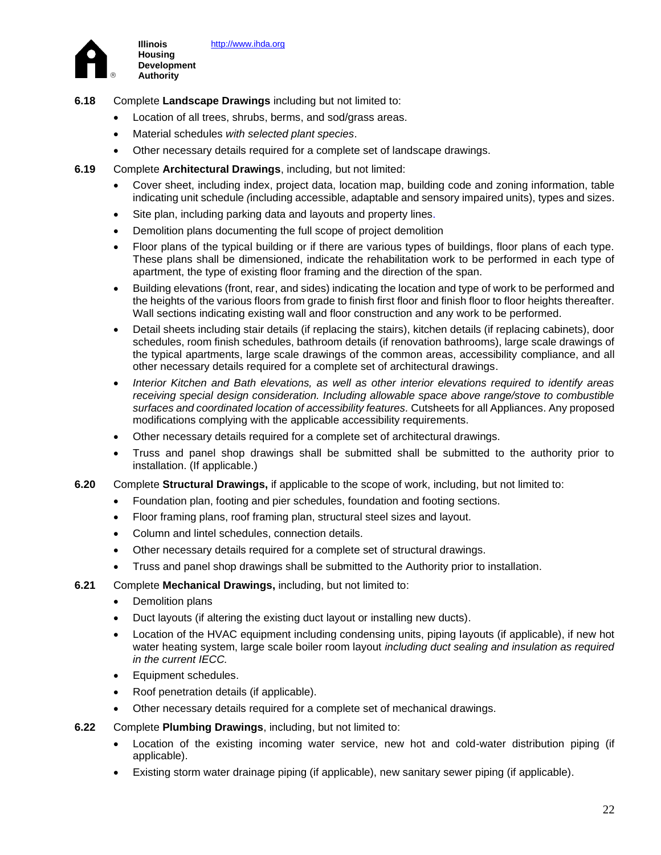



**Illinois Housing Development Authority**

- **6.18** Complete **Landscape Drawings** including but not limited to:
	- Location of all trees, shrubs, berms, and sod/grass areas.
	- Material schedules *with selected plant species*.
	- Other necessary details required for a complete set of landscape drawings.
- **6.19** Complete **Architectural Drawings**, including, but not limited:
	- Cover sheet, including index, project data, location map, building code and zoning information, table indicating unit schedule *(*including accessible, adaptable and sensory impaired units), types and sizes.
	- Site plan, including parking data and layouts and property lines.
	- Demolition plans documenting the full scope of project demolition
	- Floor plans of the typical building or if there are various types of buildings, floor plans of each type. These plans shall be dimensioned, indicate the rehabilitation work to be performed in each type of apartment, the type of existing floor framing and the direction of the span.
	- Building elevations (front, rear, and sides) indicating the location and type of work to be performed and the heights of the various floors from grade to finish first floor and finish floor to floor heights thereafter. Wall sections indicating existing wall and floor construction and any work to be performed.
	- Detail sheets including stair details (if replacing the stairs), kitchen details (if replacing cabinets), door schedules, room finish schedules, bathroom details (if renovation bathrooms), large scale drawings of the typical apartments, large scale drawings of the common areas, accessibility compliance, and all other necessary details required for a complete set of architectural drawings.
	- *Interior Kitchen and Bath elevations, as well as other interior elevations required to identify areas receiving special design consideration. Including allowable space above range/stove to combustible surfaces and coordinated location of accessibility features.* Cutsheets for all Appliances. Any proposed modifications complying with the applicable accessibility requirements.
	- Other necessary details required for a complete set of architectural drawings.
	- Truss and panel shop drawings shall be submitted shall be submitted to the authority prior to installation. (If applicable.)
- **6.20** Complete **Structural Drawings,** if applicable to the scope of work, including, but not limited to:
	- Foundation plan, footing and pier schedules, foundation and footing sections.
	- Floor framing plans, roof framing plan, structural steel sizes and layout.
	- Column and lintel schedules, connection details.
	- Other necessary details required for a complete set of structural drawings.
	- Truss and panel shop drawings shall be submitted to the Authority prior to installation.
- **6.21** Complete **Mechanical Drawings,** including, but not limited to:
	- Demolition plans
	- Duct layouts (if altering the existing duct layout or installing new ducts).
	- Location of the HVAC equipment including condensing units, piping layouts (if applicable), if new hot water heating system, large scale boiler room layout *including duct sealing and insulation as required in the current IECC.*
	- Equipment schedules.
	- Roof penetration details (if applicable).
	- Other necessary details required for a complete set of mechanical drawings.
- **6.22** Complete **Plumbing Drawings**, including, but not limited to:
	- Location of the existing incoming water service, new hot and cold-water distribution piping (if applicable).
	- Existing storm water drainage piping (if applicable), new sanitary sewer piping (if applicable).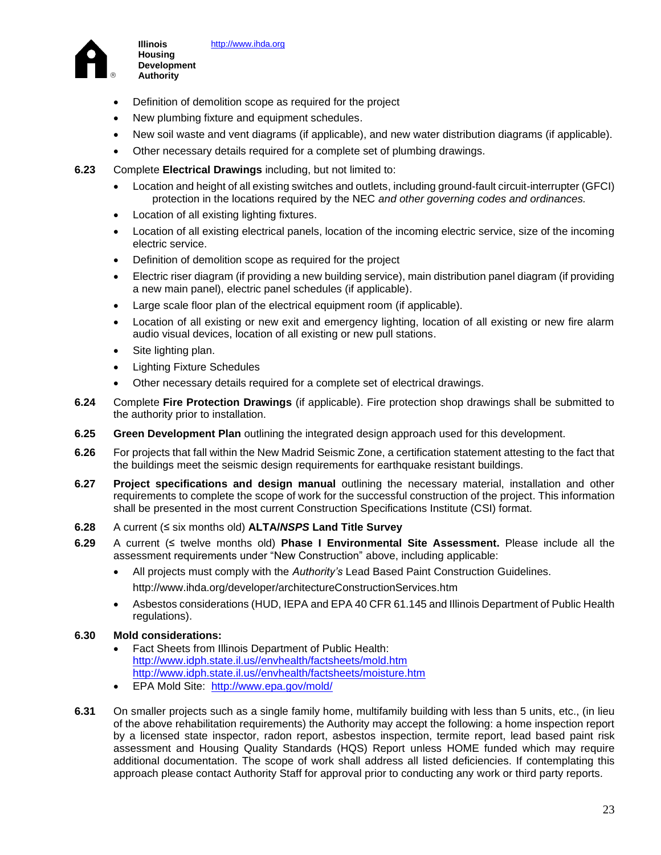



**Illinois Housing Development Authority**

- Definition of demolition scope as required for the project
- New plumbing fixture and equipment schedules.
- New soil waste and vent diagrams (if applicable), and new water distribution diagrams (if applicable).
- Other necessary details required for a complete set of plumbing drawings.
- **6.23** Complete **Electrical Drawings** including, but not limited to:
	- Location and height of all existing switches and outlets, including ground-fault circuit-interrupter (GFCI) protection in the locations required by the NEC *and other governing codes and ordinances.*
	- Location of all existing lighting fixtures.
	- Location of all existing electrical panels, location of the incoming electric service, size of the incoming electric service.
	- Definition of demolition scope as required for the project
	- Electric riser diagram (if providing a new building service), main distribution panel diagram (if providing a new main panel), electric panel schedules (if applicable).
	- Large scale floor plan of the electrical equipment room (if applicable).
	- Location of all existing or new exit and emergency lighting, location of all existing or new fire alarm audio visual devices, location of all existing or new pull stations.
	- Site lighting plan.
	- Lighting Fixture Schedules
	- Other necessary details required for a complete set of electrical drawings.
- **6.24** Complete **Fire Protection Drawings** (if applicable). Fire protection shop drawings shall be submitted to the authority prior to installation.
- **6.25 Green Development Plan** outlining the integrated design approach used for this development.
- **6.26** For projects that fall within the New Madrid Seismic Zone, a certification statement attesting to the fact that the buildings meet the seismic design requirements for earthquake resistant buildings.
- **6.27 Project specifications and design manual** outlining the necessary material, installation and other requirements to complete the scope of work for the successful construction of the project. This information shall be presented in the most current Construction Specifications Institute (CSI) format.
- **6.28** A current (≤ six months old) **ALTA/***NSPS* **Land Title Survey**
- **6.29** A current (≤ twelve months old) **Phase I Environmental Site Assessment.** Please include all the assessment requirements under "New Construction" above, including applicable:
	- All projects must comply with the *Authority's* Lead Based Paint Construction Guidelines. http://www.ihda.org/developer/architectureConstructionServices.htm
	- Asbestos considerations (HUD, IEPA and EPA 40 CFR 61.145 and Illinois Department of Public Health regulations).
- **6.30 Mold considerations:**
	- Fact Sheets from Illinois Department of Public Health: http://www.idph.state.il.us//envhealth/factsheets/mold.htm http://www.idph.state.il.us//envhealth/factsheets/moisture.htm
	- EPA Mold Site: <http://www.epa.gov/mold/>
- **6.31** On smaller projects such as a single family home, multifamily building with less than 5 units, etc., (in lieu of the above rehabilitation requirements) the Authority may accept the following: a home inspection report by a licensed state inspector, radon report, asbestos inspection, termite report, lead based paint risk assessment and Housing Quality Standards (HQS) Report unless HOME funded which may require additional documentation. The scope of work shall address all listed deficiencies. If contemplating this approach please contact Authority Staff for approval prior to conducting any work or third party reports.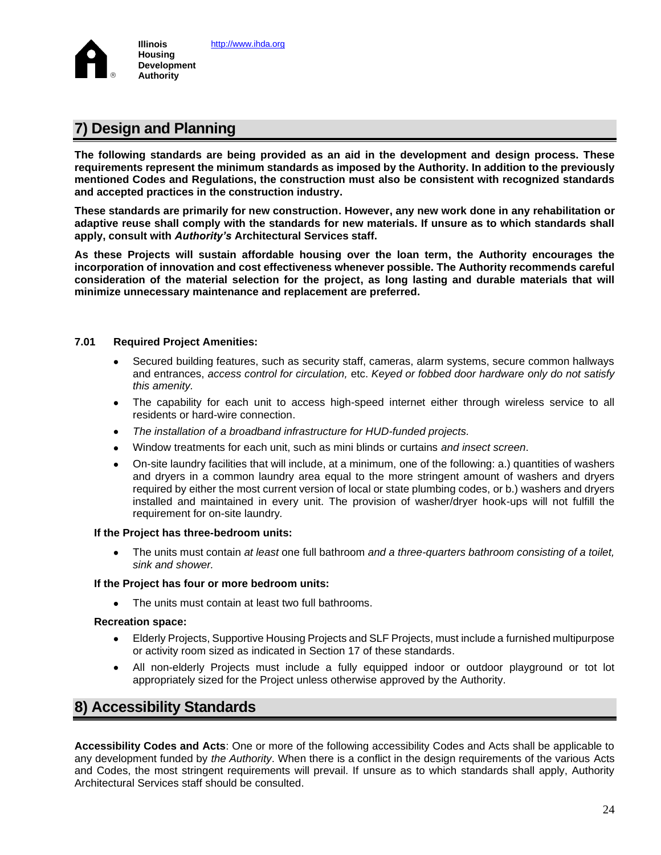

## **7) Design and Planning**

**The following standards are being provided as an aid in the development and design process. These requirements represent the minimum standards as imposed by the Authority. In addition to the previously mentioned Codes and Regulations, the construction must also be consistent with recognized standards and accepted practices in the construction industry.**

**These standards are primarily for new construction. However, any new work done in any rehabilitation or adaptive reuse shall comply with the standards for new materials. If unsure as to which standards shall apply, consult with** *Authority's* **Architectural Services staff.** 

**As these Projects will sustain affordable housing over the loan term, the Authority encourages the incorporation of innovation and cost effectiveness whenever possible. The Authority recommends careful consideration of the material selection for the project, as long lasting and durable materials that will minimize unnecessary maintenance and replacement are preferred.** 

### **7.01 Required Project Amenities:**

- Secured building features, such as security staff, cameras, alarm systems, secure common hallways and entrances, *access control for circulation,* etc. *Keyed or fobbed door hardware only do not satisfy this amenity.*
- The capability for each unit to access high-speed internet either through wireless service to all residents or hard-wire connection.
- *The installation of a broadband infrastructure for HUD-funded projects.*
- Window treatments for each unit, such as mini blinds or curtains *and insect screen*.
- On-site laundry facilities that will include, at a minimum, one of the following: a.) quantities of washers and dryers in a common laundry area equal to the more stringent amount of washers and dryers required by either the most current version of local or state plumbing codes, or b.) washers and dryers installed and maintained in every unit. The provision of washer/dryer hook-ups will not fulfill the requirement for on-site laundry*.*

#### **If the Project has three-bedroom units:**

• The units must contain *at least* one full bathroom *and a three-quarters bathroom consisting of a toilet, sink and shower.*

#### **If the Project has four or more bedroom units:**

• The units must contain at least two full bathrooms.

#### **Recreation space:**

- Elderly Projects, Supportive Housing Projects and SLF Projects, must include a furnished multipurpose or activity room sized as indicated in Section 17 of these standards.
- All non-elderly Projects must include a fully equipped indoor or outdoor playground or tot lot appropriately sized for the Project unless otherwise approved by the Authority.

## **8) Accessibility Standards**

**Accessibility Codes and Acts**: One or more of the following accessibility Codes and Acts shall be applicable to any development funded by *the Authority*. When there is a conflict in the design requirements of the various Acts and Codes, the most stringent requirements will prevail. If unsure as to which standards shall apply, Authority Architectural Services staff should be consulted.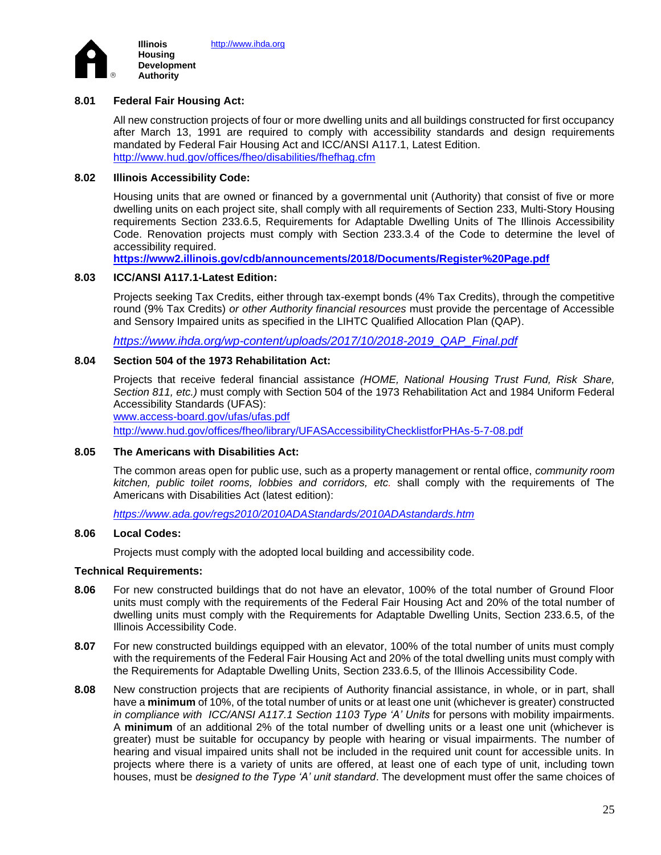

#### **8.01 Federal Fair Housing Act:**

All new construction projects of four or more dwelling units and all buildings constructed for first occupancy after March 13, 1991 are required to comply with accessibility standards and design requirements mandated by Federal Fair Housing Act and ICC/ANSI A117.1, Latest Edition. <http://www.hud.gov/offices/fheo/disabilities/fhefhag.cfm>

#### **8.02 Illinois Accessibility Code:**

Housing units that are owned or financed by a governmental unit (Authority) that consist of five or more dwelling units on each project site, shall comply with all requirements of Section 233, Multi-Story Housing requirements Section 233.6.5, Requirements for Adaptable Dwelling Units of The Illinois Accessibility Code. Renovation projects must comply with Section 233.3.4 of the Code to determine the level of accessibility required.

**<https://www2.illinois.gov/cdb/announcements/2018/Documents/Register%20Page.pdf>**

#### **8.03 ICC/ANSI A117.1-Latest Edition:**

Projects seeking Tax Credits, either through tax-exempt bonds (4% Tax Credits), through the competitive round (9% Tax Credits) *or other Authority financial resources* must provide the percentage of Accessible and Sensory Impaired units as specified in the LIHTC Qualified Allocation Plan (QAP).

*[https://www.ihda.org/wp-content/uploads/2017/10/2018-2019\\_QAP\\_Final.pdf](https://www.ihda.org/wp-content/uploads/2017/10/2018-2019_QAP_Final.pdf)*

#### **8.04 Section 504 of the 1973 Rehabilitation Act:**

Projects that receive federal financial assistance *(HOME, National Housing Trust Fund, Risk Share, Section 811, etc.)* must comply with Section 504 of the 1973 Rehabilitation Act and 1984 Uniform Federal Accessibility Standards (UFAS):

[www.access-board.gov/ufas/ufas.pdf](http://www.access-board.gov/ufas/ufas.pdf)

<http://www.hud.gov/offices/fheo/library/UFASAccessibilityChecklistforPHAs-5-7-08.pdf>

### **8.05 The Americans with Disabilities Act:**

The common areas open for public use, such as a property management or rental office, *community room kitchen, public toilet rooms, lobbies and corridors, etc.* shall comply with the requirements of The Americans with Disabilities Act (latest edition):

*<https://www.ada.gov/regs2010/2010ADAStandards/2010ADAstandards.htm>*

#### **8.06 Local Codes:**

Projects must comply with the adopted local building and accessibility code.

#### **Technical Requirements:**

- **8.06** For new constructed buildings that do not have an elevator, 100% of the total number of Ground Floor units must comply with the requirements of the Federal Fair Housing Act and 20% of the total number of dwelling units must comply with the Requirements for Adaptable Dwelling Units, Section 233.6.5, of the Illinois Accessibility Code.
- **8.07** For new constructed buildings equipped with an elevator, 100% of the total number of units must comply with the requirements of the Federal Fair Housing Act and 20% of the total dwelling units must comply with the Requirements for Adaptable Dwelling Units, Section 233.6.5, of the Illinois Accessibility Code.
- **8.08** New construction projects that are recipients of Authority financial assistance, in whole, or in part, shall have a **minimum** of 10%, of the total number of units or at least one unit (whichever is greater) constructed *in compliance with ICC/ANSI A117.1 Section 1103 Type 'A' Units* for persons with mobility impairments. A **minimum** of an additional 2% of the total number of dwelling units or a least one unit (whichever is greater) must be suitable for occupancy by people with hearing or visual impairments. The number of hearing and visual impaired units shall not be included in the required unit count for accessible units. In projects where there is a variety of units are offered, at least one of each type of unit, including town houses, must be *designed to the Type 'A' unit standard*. The development must offer the same choices of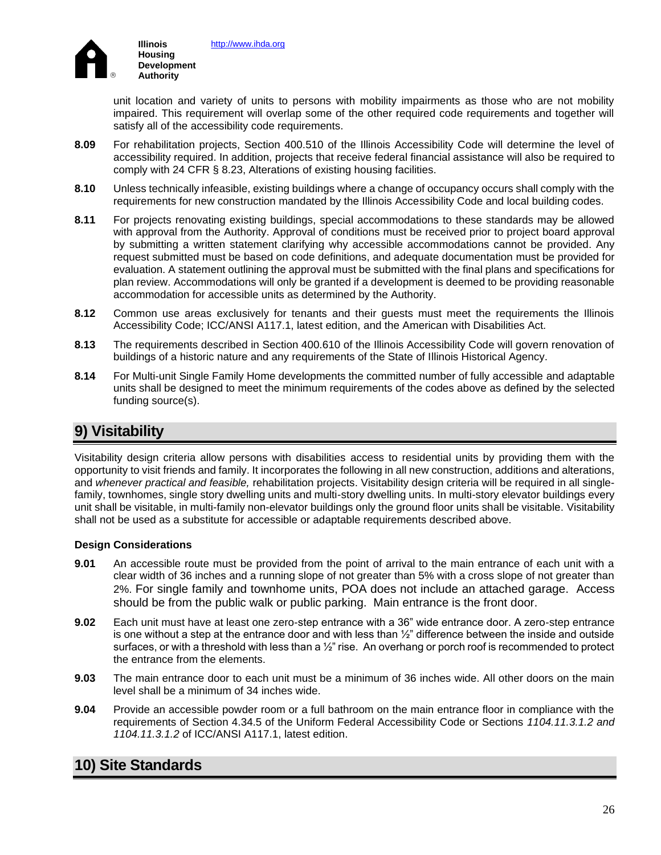

unit location and variety of units to persons with mobility impairments as those who are not mobility impaired. This requirement will overlap some of the other required code requirements and together will satisfy all of the accessibility code requirements.

- **8.09** For rehabilitation projects, Section 400.510 of the Illinois Accessibility Code will determine the level of accessibility required. In addition, projects that receive federal financial assistance will also be required to comply with 24 CFR § 8.23, Alterations of existing housing facilities.
- **8.10** Unless technically infeasible, existing buildings where a change of occupancy occurs shall comply with the requirements for new construction mandated by the Illinois Accessibility Code and local building codes.
- **8.11** For projects renovating existing buildings, special accommodations to these standards may be allowed with approval from the Authority. Approval of conditions must be received prior to project board approval by submitting a written statement clarifying why accessible accommodations cannot be provided. Any request submitted must be based on code definitions, and adequate documentation must be provided for evaluation. A statement outlining the approval must be submitted with the final plans and specifications for plan review. Accommodations will only be granted if a development is deemed to be providing reasonable accommodation for accessible units as determined by the Authority.
- **8.12** Common use areas exclusively for tenants and their guests must meet the requirements the Illinois Accessibility Code; ICC/ANSI A117.1, latest edition, and the American with Disabilities Act*.*
- **8.13** The requirements described in Section 400.610 of the Illinois Accessibility Code will govern renovation of buildings of a historic nature and any requirements of the State of Illinois Historical Agency.
- **8.14** For Multi-unit Single Family Home developments the committed number of fully accessible and adaptable units shall be designed to meet the minimum requirements of the codes above as defined by the selected funding source(s).

## **9) Visitability**

Visitability design criteria allow persons with disabilities access to residential units by providing them with the opportunity to visit friends and family. It incorporates the following in all new construction, additions and alterations, and *whenever practical and feasible,* rehabilitation projects. Visitability design criteria will be required in all singlefamily, townhomes, single story dwelling units and multi-story dwelling units. In multi-story elevator buildings every unit shall be visitable, in multi-family non-elevator buildings only the ground floor units shall be visitable. Visitability shall not be used as a substitute for accessible or adaptable requirements described above.

### **Design Considerations**

- **9.01** An accessible route must be provided from the point of arrival to the main entrance of each unit with a clear width of 36 inches and a running slope of not greater than 5% with a cross slope of not greater than 2%. For single family and townhome units, POA does not include an attached garage. Access should be from the public walk or public parking. Main entrance is the front door.
- **9.02** Each unit must have at least one zero-step entrance with a 36" wide entrance door. A zero-step entrance is one without a step at the entrance door and with less than ½" difference between the inside and outside surfaces, or with a threshold with less than a  $\frac{1}{2}$ " rise. An overhang or porch roof is recommended to protect the entrance from the elements.
- **9.03** The main entrance door to each unit must be a minimum of 36 inches wide. All other doors on the main level shall be a minimum of 34 inches wide.
- **9.04** Provide an accessible powder room or a full bathroom on the main entrance floor in compliance with the requirements of Section 4.34.5 of the Uniform Federal Accessibility Code or Sections *1104.11.3.1.2 and 1104.11.3.1.2* of ICC/ANSI A117.1, latest edition.

## **10) Site Standards**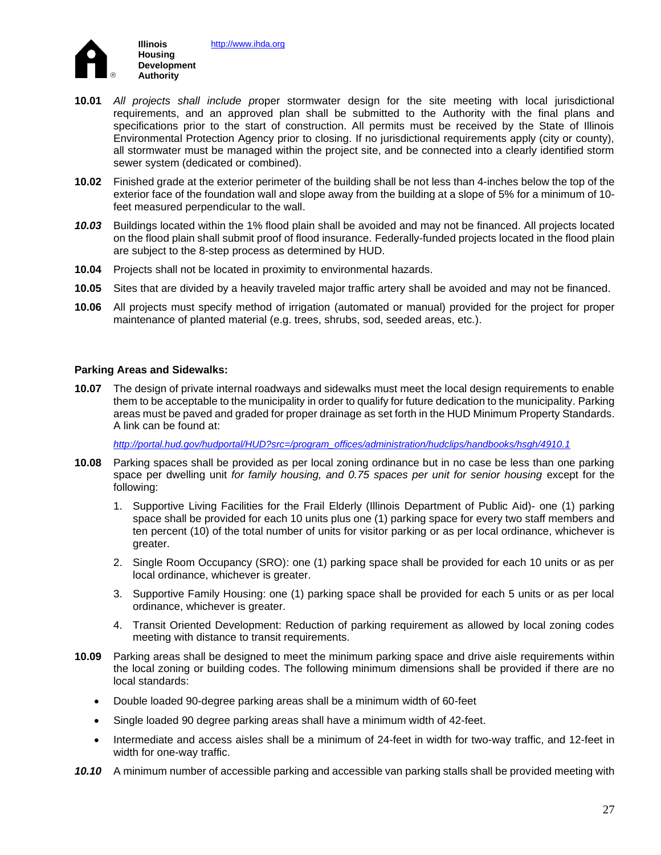

- **10.01** *All projects shall include p*roper stormwater design for the site meeting with local jurisdictional requirements, and an approved plan shall be submitted to the Authority with the final plans and specifications prior to the start of construction. All permits must be received by the State of Illinois Environmental Protection Agency prior to closing. If no jurisdictional requirements apply (city or county), all stormwater must be managed within the project site, and be connected into a clearly identified storm sewer system (dedicated or combined).
- **10.02** Finished grade at the exterior perimeter of the building shall be not less than 4-inches below the top of the exterior face of the foundation wall and slope away from the building at a slope of 5% for a minimum of 10 feet measured perpendicular to the wall.
- *10.03* Buildings located within the 1% flood plain shall be avoided and may not be financed. All projects located on the flood plain shall submit proof of flood insurance. Federally-funded projects located in the flood plain are subject to the 8-step process as determined by HUD.
- **10.04** Projects shall not be located in proximity to environmental hazards.
- **10.05** Sites that are divided by a heavily traveled major traffic artery shall be avoided and may not be financed.
- **10.06** All projects must specify method of irrigation (automated or manual) provided for the project for proper maintenance of planted material (e.g. trees, shrubs, sod, seeded areas, etc*.*).

#### **Parking Areas and Sidewalks:**

**10.07** The design of private internal roadways and sidewalks must meet the local design requirements to enable them to be acceptable to the municipality in order to qualify for future dedication to the municipality. Parking areas must be paved and graded for proper drainage as set forth in the HUD Minimum Property Standards. A link can be found at:

*[http://portal.hud.gov/hudportal/HUD?src=/program\\_offices/administration/hudclips/handbooks/hsgh/4910.1](http://portal.hud.gov/hudportal/HUD?src=/program_offices/administration/hudclips/handbooks/hsgh/4910.1)*

- **10.08** Parking spaces shall be provided as per local zoning ordinance but in no case be less than one parking space per dwelling unit *for family housing, and 0.75 spaces per unit for senior housing* except for the following:
	- 1. Supportive Living Facilities for the Frail Elderly (Illinois Department of Public Aid)- one (1) parking space shall be provided for each 10 units plus one (1) parking space for every two staff members and ten percent (10) of the total number of units for visitor parking or as per local ordinance, whichever is greater.
	- 2. Single Room Occupancy (SRO): one (1) parking space shall be provided for each 10 units or as per local ordinance, whichever is greater.
	- 3. Supportive Family Housing: one (1) parking space shall be provided for each 5 units or as per local ordinance, whichever is greater.
	- 4. Transit Oriented Development: Reduction of parking requirement as allowed by local zoning codes meeting with distance to transit requirements.
- **10.09** Parking areas shall be designed to meet the minimum parking space and drive aisle requirements within the local zoning or building codes. The following minimum dimensions shall be provided if there are no local standards:
	- Double loaded 90-degree parking areas shall be a minimum width of 60-feet
	- Single loaded 90 degree parking areas shall have a minimum width of 42-feet.
	- Intermediate and access aisle*s* shall be a minimum of 24-feet in width for two-way traffic, and 12-feet in width for one-way traffic.
- *10.10* A minimum number of accessible parking and accessible van parking stalls shall be provided meeting with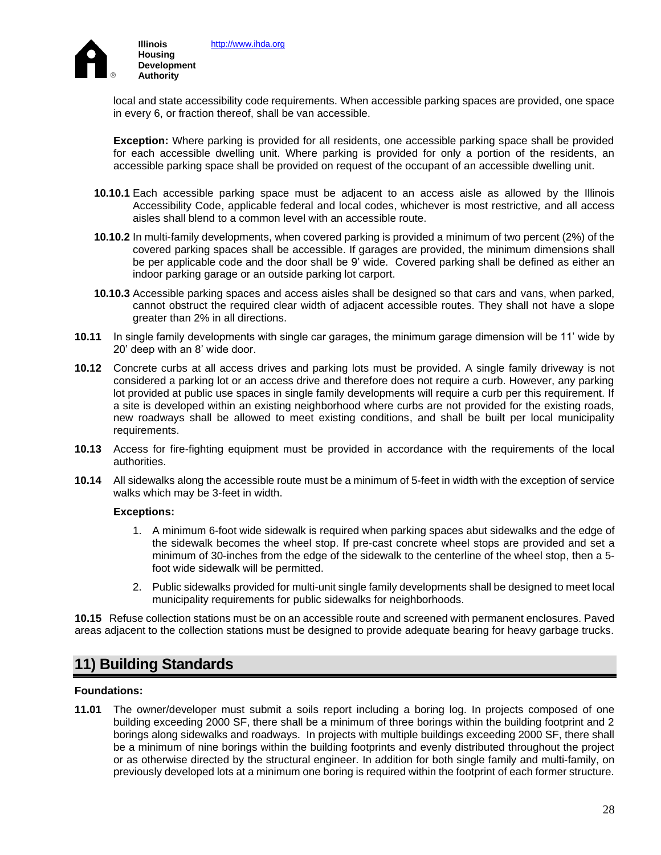

local and state accessibility code requirements. When accessible parking spaces are provided, one space in every 6, or fraction thereof, shall be van accessible.

**Exception:** Where parking is provided for all residents, one accessible parking space shall be provided for each accessible dwelling unit. Where parking is provided for only a portion of the residents, an accessible parking space shall be provided on request of the occupant of an accessible dwelling unit.

- **10.10.1** Each accessible parking space must be adjacent to an access aisle as allowed by the Illinois Accessibility Code, applicable federal and local codes, whichever is most restrictive*,* and all access aisles shall blend to a common level with an accessible route.
- **10.10.2** In multi-family developments, when covered parking is provided a minimum of two percent (2%) of the covered parking spaces shall be accessible. If garages are provided, the minimum dimensions shall be per applicable code and the door shall be 9' wide. Covered parking shall be defined as either an indoor parking garage or an outside parking lot carport.
- **10.10.3** Accessible parking spaces and access aisles shall be designed so that cars and vans, when parked, cannot obstruct the required clear width of adjacent accessible routes. They shall not have a slope greater than 2% in all directions.
- **10.11** In single family developments with single car garages, the minimum garage dimension will be 11' wide by 20' deep with an 8' wide door.
- **10.12** Concrete curbs at all access drives and parking lots must be provided. A single family driveway is not considered a parking lot or an access drive and therefore does not require a curb. However, any parking lot provided at public use spaces in single family developments will require a curb per this requirement. If a site is developed within an existing neighborhood where curbs are not provided for the existing roads, new roadways shall be allowed to meet existing conditions, and shall be built per local municipality requirements.
- **10.13** Access for fire-fighting equipment must be provided in accordance with the requirements of the local authorities.
- **10.14** All sidewalks along the accessible route must be a minimum of 5-feet in width with the exception of service walks which may be 3-feet in width.

#### **Exceptions:**

- 1. A minimum 6-foot wide sidewalk is required when parking spaces abut sidewalks and the edge of the sidewalk becomes the wheel stop. If pre-cast concrete wheel stops are provided and set a minimum of 30-inches from the edge of the sidewalk to the centerline of the wheel stop, then a 5 foot wide sidewalk will be permitted.
- 2. Public sidewalks provided for multi-unit single family developments shall be designed to meet local municipality requirements for public sidewalks for neighborhoods.

**10.15** Refuse collection stations must be on an accessible route and screened with permanent enclosures. Paved areas adjacent to the collection stations must be designed to provide adequate bearing for heavy garbage trucks.

## **11) Building Standards**

#### **Foundations:**

**11.01** The owner/developer must submit a soils report including a boring log. In projects composed of one building exceeding 2000 SF, there shall be a minimum of three borings within the building footprint and 2 borings along sidewalks and roadways. In projects with multiple buildings exceeding 2000 SF, there shall be a minimum of nine borings within the building footprints and evenly distributed throughout the project or as otherwise directed by the structural engineer. In addition for both single family and multi-family, on previously developed lots at a minimum one boring is required within the footprint of each former structure.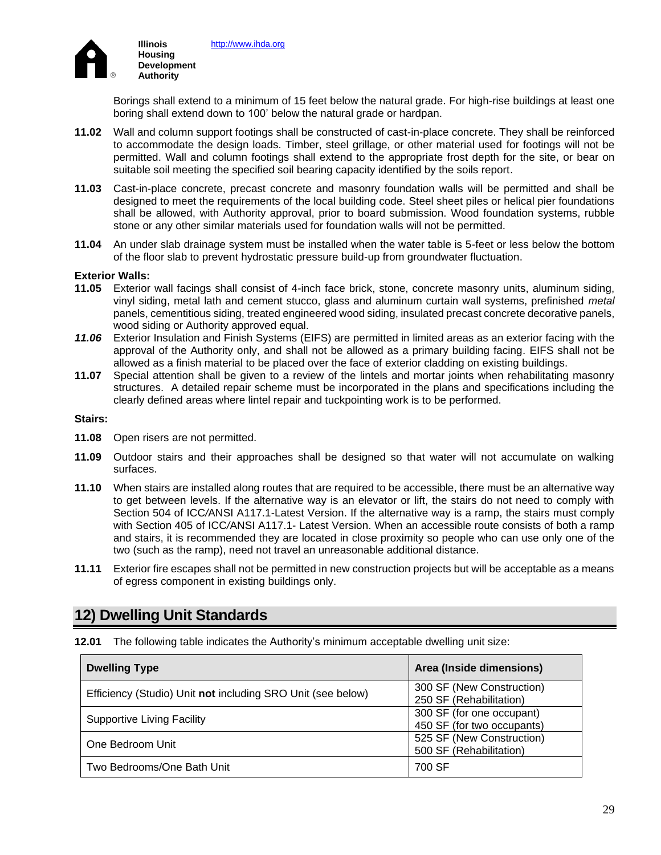

Borings shall extend to a minimum of 15 feet below the natural grade. For high-rise buildings at least one boring shall extend down to 100' below the natural grade or hardpan.

- **11.02** Wall and column support footings shall be constructed of cast-in-place concrete. They shall be reinforced to accommodate the design loads. Timber, steel grillage, or other material used for footings will not be permitted. Wall and column footings shall extend to the appropriate frost depth for the site, or bear on suitable soil meeting the specified soil bearing capacity identified by the soils report.
- **11.03** Cast-in-place concrete, precast concrete and masonry foundation walls will be permitted and shall be designed to meet the requirements of the local building code. Steel sheet piles or helical pier foundations shall be allowed, with Authority approval, prior to board submission. Wood foundation systems, rubble stone or any other similar materials used for foundation walls will not be permitted.
- **11.04** An under slab drainage system must be installed when the water table is 5-feet or less below the bottom of the floor slab to prevent hydrostatic pressure build-up from groundwater fluctuation.

#### **Exterior Walls:**

- **11.05** Exterior wall facings shall consist of 4-inch face brick, stone, concrete masonry units, aluminum siding, vinyl siding, metal lath and cement stucco, glass and aluminum curtain wall systems, prefinished *metal*  panels, cementitious siding, treated engineered wood siding, insulated precast concrete decorative panels, wood siding or Authority approved equal.
- *11.06* Exterior Insulation and Finish Systems (EIFS) are permitted in limited areas as an exterior facing with the approval of the Authority only, and shall not be allowed as a primary building facing. EIFS shall not be allowed as a finish material to be placed over the face of exterior cladding on existing buildings.
- **11.07** Special attention shall be given to a review of the lintels and mortar joints when rehabilitating masonry structures. A detailed repair scheme must be incorporated in the plans and specifications including the clearly defined areas where lintel repair and tuckpointing work is to be performed.

#### **Stairs:**

- **11.08** Open risers are not permitted.
- **11.09** Outdoor stairs and their approaches shall be designed so that water will not accumulate on walking surfaces.
- **11.10** When stairs are installed along routes that are required to be accessible, there must be an alternative way to get between levels. If the alternative way is an elevator or lift, the stairs do not need to comply with Section 504 of ICC*/*ANSI A117.1-Latest Version. If the alternative way is a ramp, the stairs must comply with Section 405 of ICC*/*ANSI A117.1- Latest Version. When an accessible route consists of both a ramp and stairs, it is recommended they are located in close proximity so people who can use only one of the two (such as the ramp), need not travel an unreasonable additional distance.
- **11.11** Exterior fire escapes shall not be permitted in new construction projects but will be acceptable as a means of egress component in existing buildings only.

## **12) Dwelling Unit Standards**

**12.01** The following table indicates the Authority's minimum acceptable dwelling unit size:

| <b>Dwelling Type</b>                                        | Area (Inside dimensions)                                |
|-------------------------------------------------------------|---------------------------------------------------------|
| Efficiency (Studio) Unit not including SRO Unit (see below) | 300 SF (New Construction)<br>250 SF (Rehabilitation)    |
| <b>Supportive Living Facility</b>                           | 300 SF (for one occupant)<br>450 SF (for two occupants) |
| One Bedroom Unit                                            | 525 SF (New Construction)<br>500 SF (Rehabilitation)    |
| Two Bedrooms/One Bath Unit                                  | 700 SF                                                  |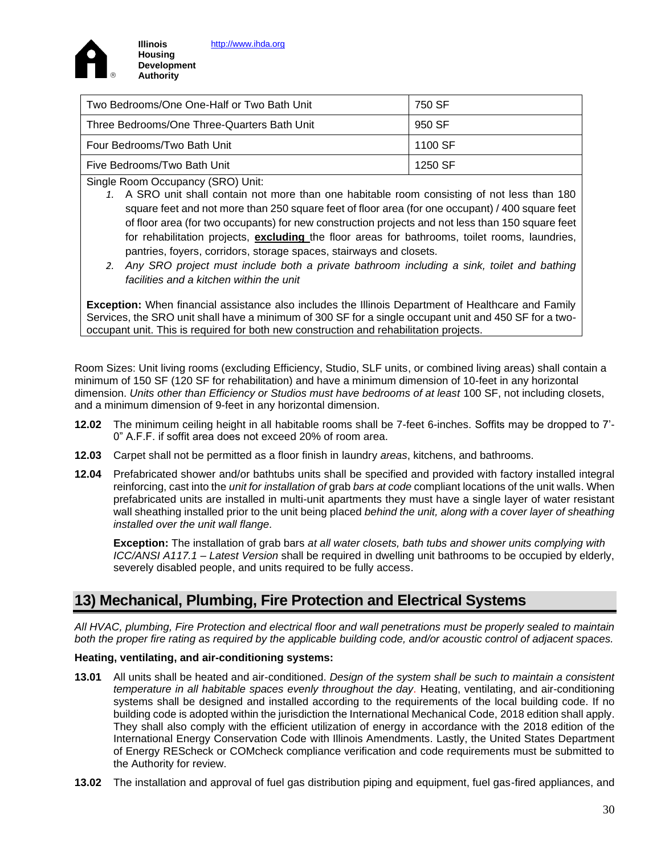

| http://www.ihda.org |
|---------------------|
|                     |

| Two Bedrooms/One One-Half or Two Bath Unit  | 750 SF  |
|---------------------------------------------|---------|
| Three Bedrooms/One Three-Quarters Bath Unit | 950 SF  |
| Four Bedrooms/Two Bath Unit                 | 1100 SF |
| Five Bedrooms/Two Bath Unit                 | 1250 SF |

Single Room Occupancy (SRO) Unit:

- *1.* A SRO unit shall contain not more than one habitable room consisting of not less than 180 square feet and not more than 250 square feet of floor area (for one occupant) / 400 square feet of floor area (for two occupants) for new construction projects and not less than 150 square feet for rehabilitation projects, **excluding** the floor areas for bathrooms, toilet rooms, laundries, pantries, foyers, corridors, storage spaces, stairways and closets.
- *2. Any SRO project must include both a private bathroom including a sink, toilet and bathing facilities and a kitchen within the unit*

**Exception:** When financial assistance also includes the Illinois Department of Healthcare and Family Services, the SRO unit shall have a minimum of 300 SF for a single occupant unit and 450 SF for a twooccupant unit. This is required for both new construction and rehabilitation projects.

Room Sizes: Unit living rooms (excluding Efficiency, Studio, SLF units, or combined living areas) shall contain a minimum of 150 SF (120 SF for rehabilitation) and have a minimum dimension of 10-feet in any horizontal dimension. *Units other than Efficiency or Studios must have bedrooms of at least* 100 SF, not including closets, and a minimum dimension of 9-feet in any horizontal dimension.

- **12.02** The minimum ceiling height in all habitable rooms shall be 7-feet 6-inches. Soffits may be dropped to 7'- 0" A.F.F. if soffit area does not exceed 20% of room area.
- **12.03** Carpet shall not be permitted as a floor finish in laundry *areas*, kitchens, and bathrooms.
- **12.04** Prefabricated shower and/or bathtubs units shall be specified and provided with factory installed integral reinforcing, cast into the *unit for installation of* grab *bars at code* compliant locations of the unit walls. When prefabricated units are installed in multi-unit apartments they must have a single layer of water resistant wall sheathing installed prior to the unit being placed *behind the unit, along with a cover layer of sheathing installed over the unit wall flange.*

**Exception:** The installation of grab bars *at all water closets, bath tubs and shower units complying with ICC/ANSI A117.1 – Latest Version* shall be required in dwelling unit bathrooms to be occupied by elderly, severely disabled people, and units required to be fully access.

## **13) Mechanical, Plumbing, Fire Protection and Electrical Systems**

*All HVAC, plumbing, Fire Protection and electrical floor and wall penetrations must be properly sealed to maintain both the proper fire rating as required by the applicable building code, and/or acoustic control of adjacent spaces.*

### **Heating, ventilating, and air-conditioning systems:**

- **13.01** All units shall be heated and air-conditioned. *Design of the system shall be such to maintain a consistent temperature in all habitable spaces evenly throughout the day.* Heating, ventilating, and air-conditioning systems shall be designed and installed according to the requirements of the local building code. If no building code is adopted within the jurisdiction the International Mechanical Code, 2018 edition shall apply. They shall also comply with the efficient utilization of energy in accordance with the 2018 edition of the International Energy Conservation Code with Illinois Amendments. Lastly, the United States Department of Energy REScheck or COMcheck compliance verification and code requirements must be submitted to the Authority for review.
- **13.02** The installation and approval of fuel gas distribution piping and equipment, fuel gas-fired appliances, and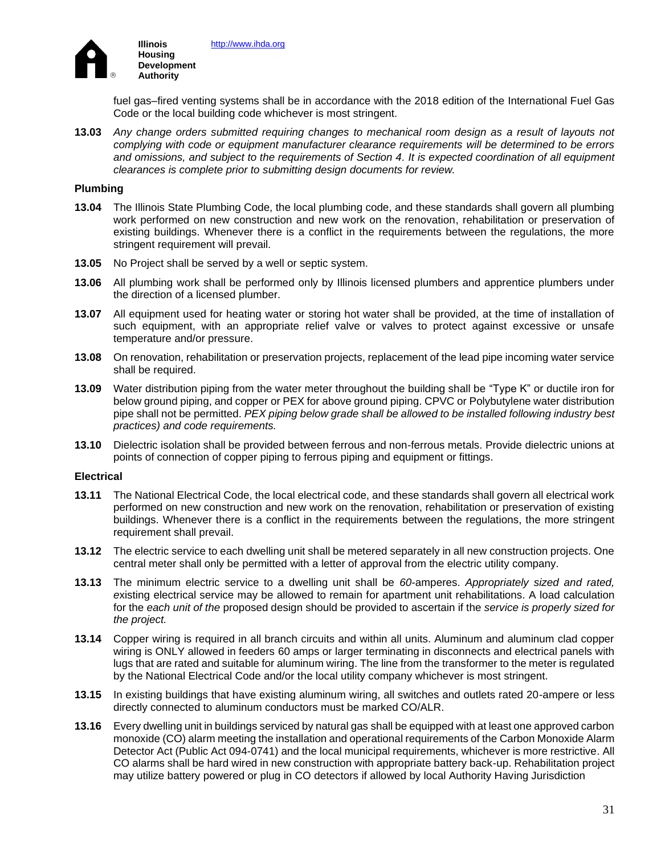

fuel gas–fired venting systems shall be in accordance with the 2018 edition of the International Fuel Gas Code or the local building code whichever is most stringent.

**13.03** *Any change orders submitted requiring changes to mechanical room design as a result of layouts not complying with code or equipment manufacturer clearance requirements will be determined to be errors and omissions, and subject to the requirements of Section 4. It is expected coordination of all equipment clearances is complete prior to submitting design documents for review.*

#### **Plumbing**

- **13.04** The Illinois State Plumbing Code, the local plumbing code, and these standards shall govern all plumbing work performed on new construction and new work on the renovation, rehabilitation or preservation of existing buildings. Whenever there is a conflict in the requirements between the regulations, the more stringent requirement will prevail.
- **13.05** No Project shall be served by a well or septic system.
- **13.06** All plumbing work shall be performed only by Illinois licensed plumbers and apprentice plumbers under the direction of a licensed plumber.
- **13.07** All equipment used for heating water or storing hot water shall be provided, at the time of installation of such equipment, with an appropriate relief valve or valves to protect against excessive or unsafe temperature and/or pressure.
- **13.08** On renovation, rehabilitation or preservation projects, replacement of the lead pipe incoming water service shall be required.
- **13.09** Water distribution piping from the water meter throughout the building shall be "Type K" or ductile iron for below ground piping, and copper or PEX for above ground piping. CPVC or Polybutylene water distribution pipe shall not be permitted. *PEX piping below grade shall be allowed to be installed following industry best practices) and code requirements.*
- **13.10** Dielectric isolation shall be provided between ferrous and non-ferrous metals. Provide dielectric unions at points of connection of copper piping to ferrous piping and equipment or fittings.

#### **Electrical**

- **13.11** The National Electrical Code, the local electrical code, and these standards shall govern all electrical work performed on new construction and new work on the renovation, rehabilitation or preservation of existing buildings. Whenever there is a conflict in the requirements between the regulations, the more stringent requirement shall prevail.
- **13.12** The electric service to each dwelling unit shall be metered separately in all new construction projects. One central meter shall only be permitted with a letter of approval from the electric utility company.
- **13.13** The minimum electric service to a dwelling unit shall be *60-*amperes. *Appropriately sized and rated, e*xisting electrical service may be allowed to remain for apartment unit rehabilitations. A load calculation for the *each unit of the* proposed design should be provided to ascertain if the *service is properly sized for the project.*
- **13.14** Copper wiring is required in all branch circuits and within all units. Aluminum and aluminum clad copper wiring is ONLY allowed in feeders 60 amps or larger terminating in disconnects and electrical panels with lugs that are rated and suitable for aluminum wiring. The line from the transformer to the meter is regulated by the National Electrical Code and/or the local utility company whichever is most stringent.
- **13.15** In existing buildings that have existing aluminum wiring, all switches and outlets rated 20-ampere or less directly connected to aluminum conductors must be marked CO/ALR.
- **13.16** Every dwelling unit in buildings serviced by natural gas shall be equipped with at least one approved carbon monoxide (CO) alarm meeting the installation and operational requirements of the Carbon Monoxide Alarm Detector Act (Public Act 094-0741) and the local municipal requirements, whichever is more restrictive. All CO alarms shall be hard wired in new construction with appropriate battery back-up. Rehabilitation project may utilize battery powered or plug in CO detectors if allowed by local Authority Having Jurisdiction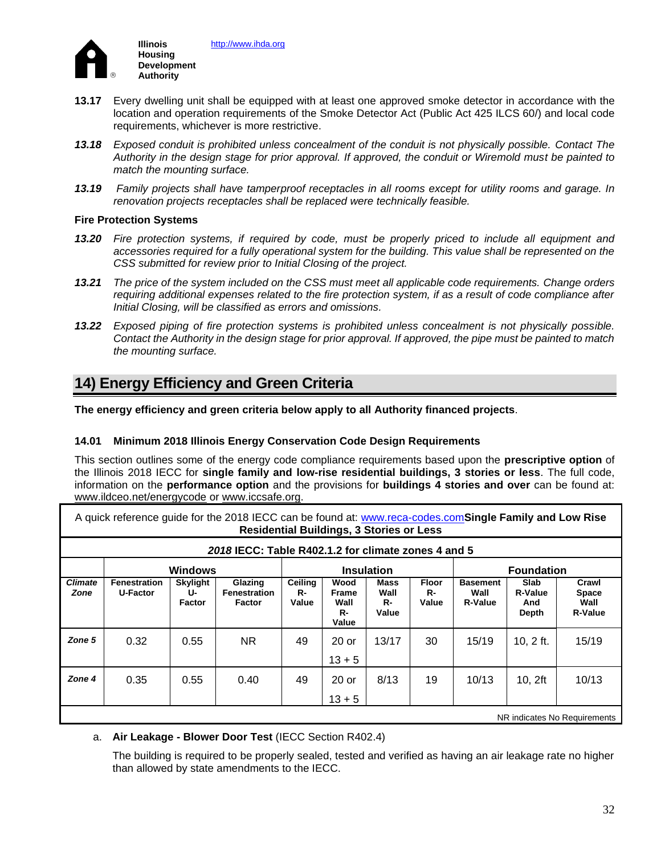

- **13.17** Every dwelling unit shall be equipped with at least one approved smoke detector in accordance with the location and operation requirements of the Smoke Detector Act (Public Act 425 ILCS 60/) and local code requirements, whichever is more restrictive.
- *13.18 Exposed conduit is prohibited unless concealment of the conduit is not physically possible. Contact The Authority in the design stage for prior approval. If approved, the conduit or Wiremold must be painted to match the mounting surface.*
- *13.19 Family projects shall have tamperproof receptacles in all rooms except for utility rooms and garage. In renovation projects receptacles shall be replaced were technically feasible.*

### **Fire Protection Systems**

- *13.20 Fire protection systems, if required by code, must be properly priced to include all equipment and accessories required for a fully operational system for the building. This value shall be represented on the CSS submitted for review prior to Initial Closing of the project.*
- *13.21 The price of the system included on the CSS must meet all applicable code requirements. Change orders requiring additional expenses related to the fire protection system, if as a result of code compliance after Initial Closing, will be classified as errors and omissions.*
- *13.22 Exposed piping of fire protection systems is prohibited unless concealment is not physically possible. Contact the Authority in the design stage for prior approval. If approved, the pipe must be painted to match the mounting surface.*

## **14) Energy Efficiency and Green Criteria**

**The energy efficiency and green criteria below apply to all Authority financed projects**.

### **14.01 Minimum 2018 Illinois Energy Conservation Code Design Requirements**

This section outlines some of the energy code compliance requirements based upon the **prescriptive option** of the Illinois 2018 IECC for **single family and low-rise residential buildings, 3 stories or less**. The full code, information on the **performance option** and the provisions for **buildings 4 stories and over** can be found at: [www.ildceo.net/energycode](http://www.ildceo.net/energycode) or [www.iccsafe.org.](http://www.iccsafe.org/)

|                                                     | A quick reference guide for the 2018 IECC can be found at: www.reca-codes.comSingle Family and Low Rise<br><b>Residential Buildings, 3 Stories or Less</b> |                                 |                                          |                               |                                      |                                    |                             |                                           |                                 |                                                 |
|-----------------------------------------------------|------------------------------------------------------------------------------------------------------------------------------------------------------------|---------------------------------|------------------------------------------|-------------------------------|--------------------------------------|------------------------------------|-----------------------------|-------------------------------------------|---------------------------------|-------------------------------------------------|
| 2018 IECC: Table R402.1.2 for climate zones 4 and 5 |                                                                                                                                                            |                                 |                                          |                               |                                      |                                    |                             |                                           |                                 |                                                 |
|                                                     | <b>Windows</b>                                                                                                                                             |                                 |                                          | <b>Insulation</b>             |                                      |                                    | <b>Foundation</b>           |                                           |                                 |                                                 |
| <b>Climate</b><br>Zone                              | <b>Fenestration</b><br><b>U-Factor</b>                                                                                                                     | <b>Skylight</b><br>U-<br>Factor | Glazing<br><b>Fenestration</b><br>Factor | <b>Ceiling</b><br>R-<br>Value | Wood<br>Frame<br>Wall<br>R-<br>Value | <b>Mass</b><br>Wall<br>R-<br>Value | <b>Floor</b><br>R-<br>Value | <b>Basement</b><br>Wall<br><b>R-Value</b> | Slab<br>R-Value<br>And<br>Depth | Crawl<br><b>Space</b><br>Wall<br><b>R-Value</b> |
| Zone 5                                              | 0.32                                                                                                                                                       | 0.55                            | NR.                                      | 49                            | $20$ or<br>$13 + 5$                  | 13/17                              | 30                          | 15/19                                     | 10, $2$ ft.                     | 15/19                                           |
| Zone 4                                              | 0.35                                                                                                                                                       | 0.55                            | 0.40                                     | 49                            | $20$ or<br>$13 + 5$                  | 8/13                               | 19                          | 10/13                                     | 10, 2ft                         | 10/13                                           |
| NR indicates No Requirements                        |                                                                                                                                                            |                                 |                                          |                               |                                      |                                    |                             |                                           |                                 |                                                 |

a. **Air Leakage - Blower Door Test** (IECC Section R402.4)

The building is required to be properly sealed, tested and verified as having an air leakage rate no higher than allowed by state amendments to the IECC.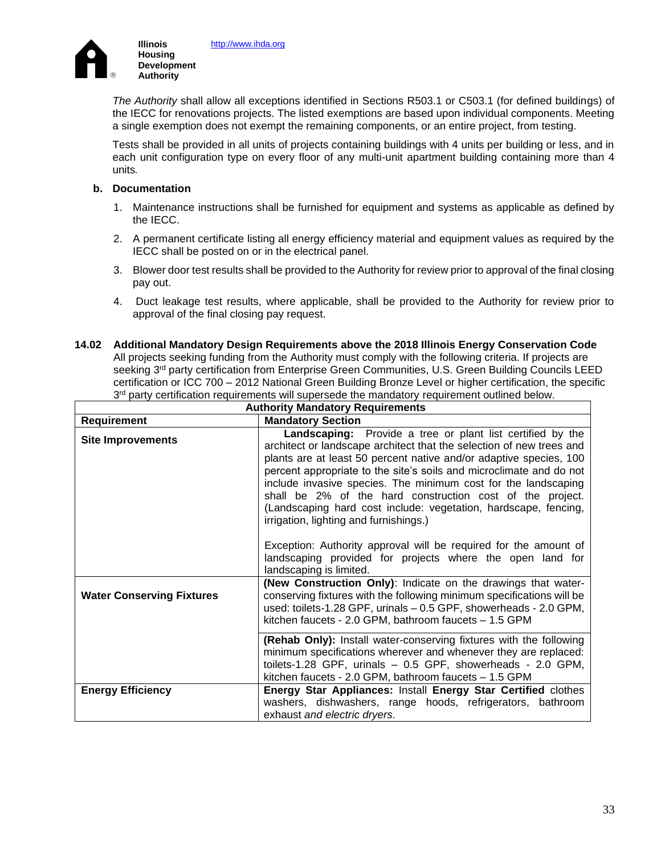

*The Authority* shall allow all exceptions identified in Sections R503.1 or C503.1 (for defined buildings) of the IECC for renovations projects. The listed exemptions are based upon individual components. Meeting a single exemption does not exempt the remaining components, or an entire project, from testing.

Tests shall be provided in all units of projects containing buildings with 4 units per building or less, and in each unit configuration type on every floor of any multi-unit apartment building containing more than 4 units*.*

#### **b. Documentation**

- 1. Maintenance instructions shall be furnished for equipment and systems as applicable as defined by the IECC.
- 2. A permanent certificate listing all energy efficiency material and equipment values as required by the IECC shall be posted on or in the electrical panel.
- 3. Blower door test results shall be provided to the Authority for review prior to approval of the final closing pay out.
- 4. Duct leakage test results, where applicable, shall be provided to the Authority for review prior to approval of the final closing pay request.
- **14.02 Additional Mandatory Design Requirements above the 2018 Illinois Energy Conservation Code** All projects seeking funding from the Authority must comply with the following criteria. If projects are seeking 3<sup>rd</sup> party certification from Enterprise Green Communities, U.S. Green Building Councils LEED certification or ICC 700 – 2012 National Green Building Bronze Level or higher certification, the specific 3<sup>rd</sup> party certification requirements will supersede the mandatory requirement outlined below.

| <b>Authority Mandatory Requirements</b> |                                                                                                                                                                                                                                                                                                                                                                                                                                                                                                                                    |  |  |
|-----------------------------------------|------------------------------------------------------------------------------------------------------------------------------------------------------------------------------------------------------------------------------------------------------------------------------------------------------------------------------------------------------------------------------------------------------------------------------------------------------------------------------------------------------------------------------------|--|--|
| Requirement                             | <b>Mandatory Section</b>                                                                                                                                                                                                                                                                                                                                                                                                                                                                                                           |  |  |
| <b>Site Improvements</b>                | <b>Landscaping:</b> Provide a tree or plant list certified by the<br>architect or landscape architect that the selection of new trees and<br>plants are at least 50 percent native and/or adaptive species, 100<br>percent appropriate to the site's soils and microclimate and do not<br>include invasive species. The minimum cost for the landscaping<br>shall be 2% of the hard construction cost of the project.<br>(Landscaping hard cost include: vegetation, hardscape, fencing,<br>irrigation, lighting and furnishings.) |  |  |
|                                         | Exception: Authority approval will be required for the amount of<br>landscaping provided for projects where the open land for<br>landscaping is limited.                                                                                                                                                                                                                                                                                                                                                                           |  |  |
| <b>Water Conserving Fixtures</b>        | (New Construction Only): Indicate on the drawings that water-<br>conserving fixtures with the following minimum specifications will be<br>used: toilets-1.28 GPF, urinals - 0.5 GPF, showerheads - 2.0 GPM,<br>kitchen faucets - 2.0 GPM, bathroom faucets - 1.5 GPM                                                                                                                                                                                                                                                               |  |  |
|                                         | (Rehab Only): Install water-conserving fixtures with the following<br>minimum specifications wherever and whenever they are replaced:<br>toilets-1.28 GPF, urinals - 0.5 GPF, showerheads - 2.0 GPM,<br>kitchen faucets - 2.0 GPM, bathroom faucets - 1.5 GPM                                                                                                                                                                                                                                                                      |  |  |
| <b>Energy Efficiency</b>                | <b>Energy Star Appliances: Install Energy Star Certified clothes</b><br>washers, dishwashers, range hoods, refrigerators, bathroom<br>exhaust and electric dryers.                                                                                                                                                                                                                                                                                                                                                                 |  |  |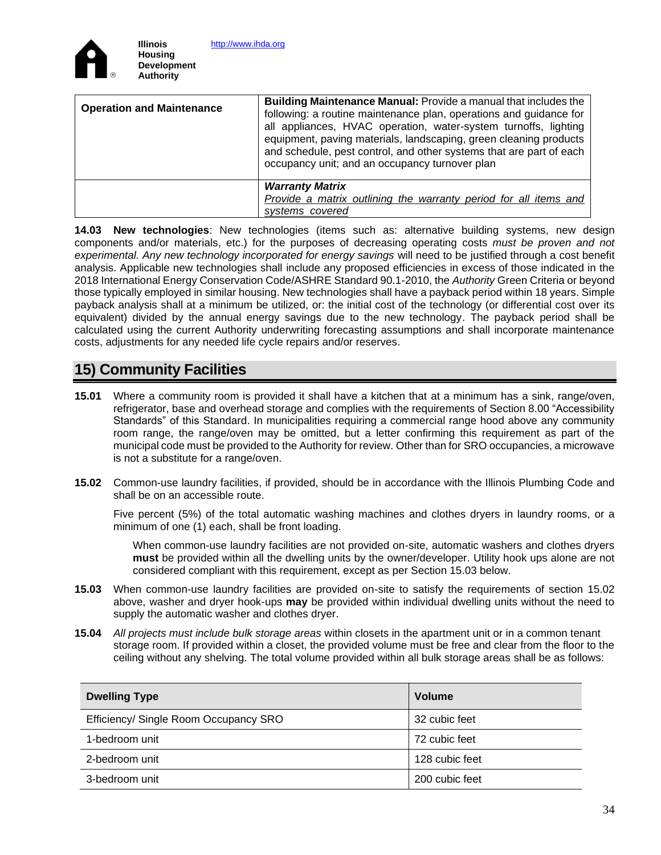

| <b>Operation and Maintenance</b> | <b>Building Maintenance Manual:</b> Provide a manual that includes the<br>following: a routine maintenance plan, operations and guidance for<br>all appliances, HVAC operation, water-system turnoffs, lighting<br>equipment, paving materials, landscaping, green cleaning products<br>and schedule, pest control, and other systems that are part of each<br>occupancy unit; and an occupancy turnover plan |
|----------------------------------|---------------------------------------------------------------------------------------------------------------------------------------------------------------------------------------------------------------------------------------------------------------------------------------------------------------------------------------------------------------------------------------------------------------|
|                                  | <b>Warranty Matrix</b><br>Provide a matrix outlining the warranty period for all items and<br>systems covered                                                                                                                                                                                                                                                                                                 |

**14.03 New technologies**: New technologies (items such as: alternative building systems, new design components and/or materials, etc.) for the purposes of decreasing operating costs *must be proven and not experimental. Any new technology incorporated for energy savings* will need to be justified through a cost benefit analysis. Applicable new technologies shall include any proposed efficiencies in excess of those indicated in the 2018 International Energy Conservation Code/ASHRE Standard 90.1-2010, the *Authority* Green Criteria or beyond those typically employed in similar housing. New technologies shall have a payback period within 18 years. Simple payback analysis shall at a minimum be utilized, or: the initial cost of the technology (or differential cost over its equivalent) divided by the annual energy savings due to the new technology. The payback period shall be calculated using the current Authority underwriting forecasting assumptions and shall incorporate maintenance costs, adjustments for any needed life cycle repairs and/or reserves.

## **15) Community Facilities**

- **15.01** Where a community room is provided it shall have a kitchen that at a minimum has a sink, range/oven, refrigerator, base and overhead storage and complies with the requirements of Section 8.00 "Accessibility Standards" of this Standard. In municipalities requiring a commercial range hood above any community room range, the range/oven may be omitted, but a letter confirming this requirement as part of the municipal code must be provided to the Authority for review. Other than for SRO occupancies, a microwave is not a substitute for a range/oven.
- **15.02** Common-use laundry facilities, if provided, should be in accordance with the Illinois Plumbing Code and shall be on an accessible route.

Five percent (5%) of the total automatic washing machines and clothes dryers in laundry rooms, or a minimum of one (1) each, shall be front loading.

When common-use laundry facilities are not provided on-site, automatic washers and clothes dryers **must** be provided within all the dwelling units by the owner/developer. Utility hook ups alone are not considered compliant with this requirement, except as per Section 15.03 below.

- **15.03** When common-use laundry facilities are provided on-site to satisfy the requirements of section 15.02 above, washer and dryer hook-ups **may** be provided within individual dwelling units without the need to supply the automatic washer and clothes dryer.
- **15.04** *All projects must include bulk storage areas* within closets in the apartment unit or in a common tenant storage room. If provided within a closet, the provided volume must be free and clear from the floor to the ceiling without any shelving. The total volume provided within all bulk storage areas shall be as follows:

| <b>Dwelling Type</b>                  | <b>Volume</b>  |
|---------------------------------------|----------------|
| Efficiency/ Single Room Occupancy SRO | 32 cubic feet  |
| 1-bedroom unit                        | 72 cubic feet  |
| 2-bedroom unit                        | 128 cubic feet |
| 3-bedroom unit                        | 200 cubic feet |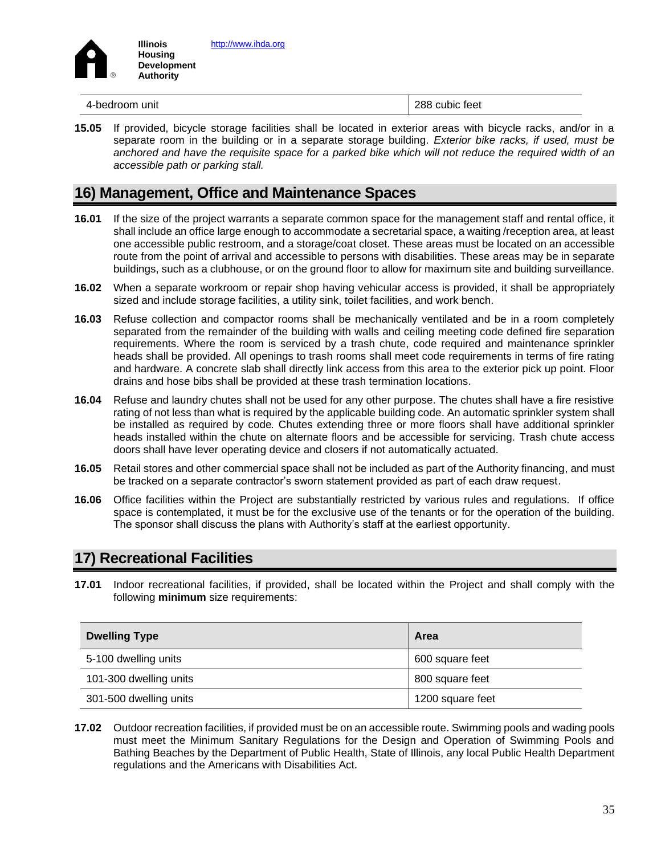

**Illinois Housing Development Authority**

| 4-bedroom unit | 288<br>cubic feet |
|----------------|-------------------|
|----------------|-------------------|

**15.05** If provided, bicycle storage facilities shall be located in exterior areas with bicycle racks, and/or in a separate room in the building or in a separate storage building. *Exterior bike racks, if used, must be anchored and have the requisite space for a parked bike which will not reduce the required width of an accessible path or parking stall.*

## **16) Management, Office and Maintenance Spaces**

- **16.01** If the size of the project warrants a separate common space for the management staff and rental office, it shall include an office large enough to accommodate a secretarial space, a waiting /reception area, at least one accessible public restroom, and a storage/coat closet. These areas must be located on an accessible route from the point of arrival and accessible to persons with disabilities. These areas may be in separate buildings, such as a clubhouse, or on the ground floor to allow for maximum site and building surveillance.
- **16.02** When a separate workroom or repair shop having vehicular access is provided, it shall be appropriately sized and include storage facilities, a utility sink, toilet facilities, and work bench.
- **16.03** Refuse collection and compactor rooms shall be mechanically ventilated and be in a room completely separated from the remainder of the building with walls and ceiling meeting code defined fire separation requirements. Where the room is serviced by a trash chute, code required and maintenance sprinkler heads shall be provided. All openings to trash rooms shall meet code requirements in terms of fire rating and hardware. A concrete slab shall directly link access from this area to the exterior pick up point. Floor drains and hose bibs shall be provided at these trash termination locations.
- **16.04** Refuse and laundry chutes shall not be used for any other purpose. The chutes shall have a fire resistive rating of not less than what is required by the applicable building code. An automatic sprinkler system shall be installed as required by code*.* Chutes extending three or more floors shall have additional sprinkler heads installed within the chute on alternate floors and be accessible for servicing. Trash chute access doors shall have lever operating device and closers if not automatically actuated.
- **16.05** Retail stores and other commercial space shall not be included as part of the Authority financing, and must be tracked on a separate contractor's sworn statement provided as part of each draw request.
- **16.06** Office facilities within the Project are substantially restricted by various rules and regulations. If office space is contemplated, it must be for the exclusive use of the tenants or for the operation of the building. The sponsor shall discuss the plans with Authority's staff at the earliest opportunity.

## **17) Recreational Facilities**

**17.01** Indoor recreational facilities, if provided, shall be located within the Project and shall comply with the following **minimum** size requirements:

| <b>Dwelling Type</b>   | Area             |
|------------------------|------------------|
| 5-100 dwelling units   | 600 square feet  |
| 101-300 dwelling units | 800 square feet  |
| 301-500 dwelling units | 1200 square feet |

**17.02** Outdoor recreation facilities, if provided must be on an accessible route. Swimming pools and wading pools must meet the Minimum Sanitary Regulations for the Design and Operation of Swimming Pools and Bathing Beaches by the Department of Public Health, State of Illinois, any local Public Health Department regulations and the Americans with Disabilities Act.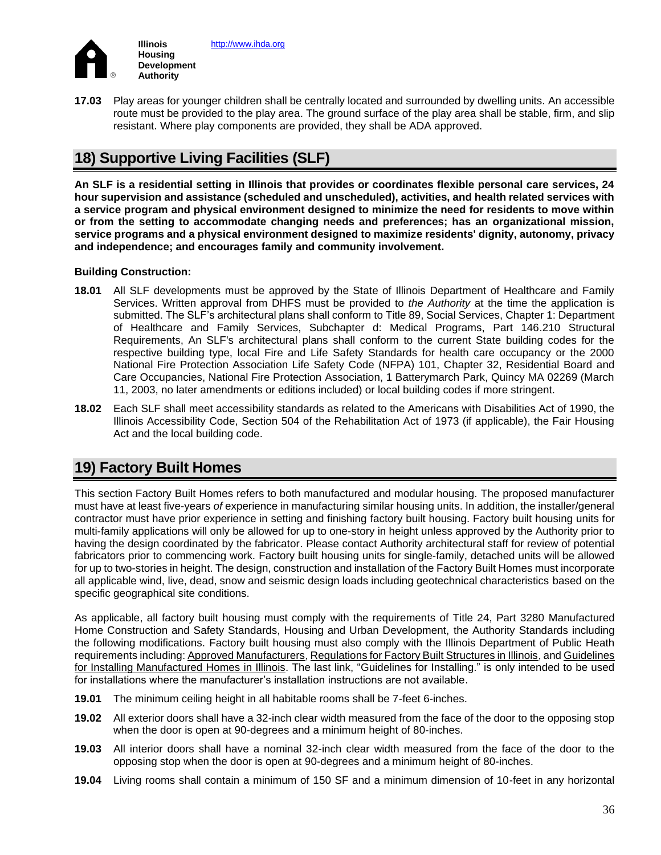

**17.03** Play areas for younger children shall be centrally located and surrounded by dwelling units. An accessible route must be provided to the play area. The ground surface of the play area shall be stable, firm, and slip

resistant. Where play components are provided, they shall be ADA approved.

# **18) Supportive Living Facilities (SLF)**

**An SLF is a residential setting in Illinois that provides or coordinates flexible personal care services, 24 hour supervision and assistance (scheduled and unscheduled), activities, and health related services with a service program and physical environment designed to minimize the need for residents to move within or from the setting to accommodate changing needs and preferences; has an organizational mission, service programs and a physical environment designed to maximize residents' dignity, autonomy, privacy and independence; and encourages family and community involvement.**

**Building Construction:**

- **18.01** All SLF developments must be approved by the State of Illinois Department of Healthcare and Family Services. Written approval from DHFS must be provided to *the Authority* at the time the application is submitted. The SLF's architectural plans shall conform to Title 89, Social Services, Chapter 1: Department of Healthcare and Family Services, Subchapter d: Medical Programs, Part 146.210 Structural Requirements, An SLF's architectural plans shall conform to the current State building codes for the respective building type, local Fire and Life Safety Standards for health care occupancy or the 2000 National Fire Protection Association Life Safety Code (NFPA) 101, Chapter 32, Residential Board and Care Occupancies, National Fire Protection Association, 1 Batterymarch Park, Quincy MA 02269 (March 11, 2003, no later amendments or editions included) or local building codes if more stringent.
- **18.02** Each SLF shall meet accessibility standards as related to the Americans with Disabilities Act of 1990, the Illinois Accessibility Code, Section 504 of the Rehabilitation Act of 1973 (if applicable), the Fair Housing Act and the local building code.

## **19) Factory Built Homes**

This section Factory Built Homes refers to both manufactured and modular housing. The proposed manufacturer must have at least five-years *of* experience in manufacturing similar housing units. In addition, the installer/general contractor must have prior experience in setting and finishing factory built housing. Factory built housing units for multi-family applications will only be allowed for up to one-story in height unless approved by the Authority prior to having the design coordinated by the fabricator. Please contact Authority architectural staff for review of potential fabricators prior to commencing work*.* Factory built housing units for single-family, detached units will be allowed for up to two-stories in height. The design, construction and installation of the Factory Built Homes must incorporate all applicable wind, live, dead, snow and seismic design loads including geotechnical characteristics based on the specific geographical site conditions.

As applicable, all factory built housing must comply with the requirements of Title 24, Part 3280 Manufactured Home Construction and Safety Standards, Housing and Urban Development, the Authority Standards including the following modifications. Factory built housing must also comply with the Illinois Department of Public Heath requirements including: [Approved Manufacturers,](http://www.idph.state.il.us/envhealth/pdf/MH_approvedlist.pdf) [Regulations for Factory Built Structures in Illinois,](http://www.idph.state.il.us/envhealth/pdf/MH_RegOfFacBuilt.pdf) an[d Guidelines](http://www.idph.state.il.us/envhealth/pdf/MH_guideinstallhomes.pdf)  [for Installing Manufactured Homes in Illinois.](http://www.idph.state.il.us/envhealth/pdf/MH_guideinstallhomes.pdf) The last link, "Guidelines for Installing." is only intended to be used for installations where the manufacturer's installation instructions are not available.

- **19.01** The minimum ceiling height in all habitable rooms shall be 7-feet 6-inches.
- **19.02** All exterior doors shall have a 32-inch clear width measured from the face of the door to the opposing stop when the door is open at 90-degrees and a minimum height of 80-inches.
- **19.03** All interior doors shall have a nominal 32-inch clear width measured from the face of the door to the opposing stop when the door is open at 90-degrees and a minimum height of 80-inches.
- **19.04** Living rooms shall contain a minimum of 150 SF and a minimum dimension of 10-feet in any horizontal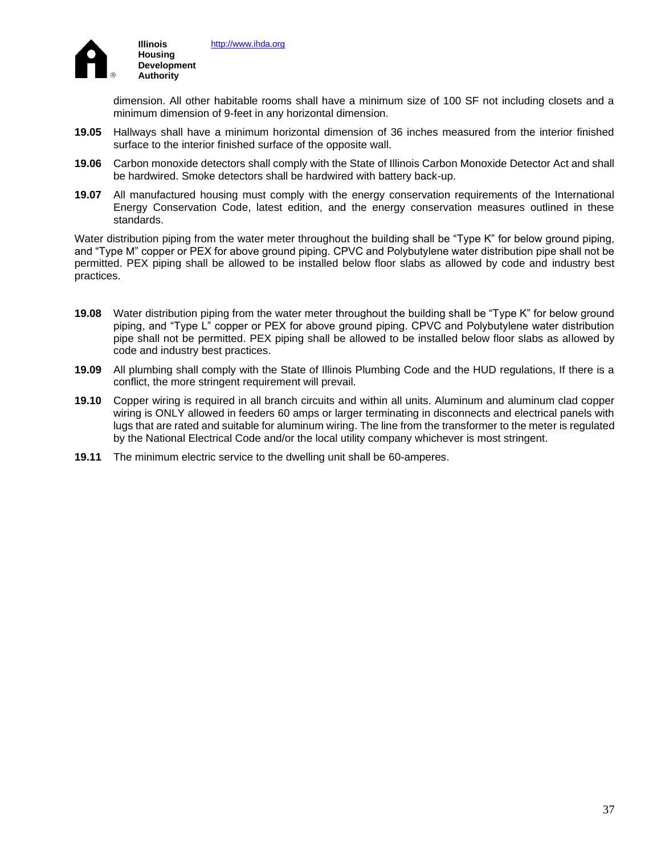

dimension. All other habitable rooms shall have a minimum size of 100 SF not including closets and a minimum dimension of 9-feet in any horizontal dimension.

- **19.05** Hallways shall have a minimum horizontal dimension of 36 inches measured from the interior finished surface to the interior finished surface of the opposite wall.
- **19.06** Carbon monoxide detectors shall comply with the State of Illinois Carbon Monoxide Detector Act and shall be hardwired. Smoke detectors shall be hardwired with battery back-up.
- **19.07** All manufactured housing must comply with the energy conservation requirements of the International Energy Conservation Code, latest edition, and the energy conservation measures outlined in these standards.

Water distribution piping from the water meter throughout the building shall be "Type K" for below ground piping, and "Type M" copper or PEX for above ground piping. CPVC and Polybutylene water distribution pipe shall not be permitted. PEX piping shall be allowed to be installed below floor slabs as allowed by code and industry best practices.

- **19.08** Water distribution piping from the water meter throughout the building shall be "Type K" for below ground piping, and "Type L" copper or PEX for above ground piping. CPVC and Polybutylene water distribution pipe shall not be permitted. PEX piping shall be allowed to be installed below floor slabs as allowed by code and industry best practices.
- **19.09** All plumbing shall comply with the State of Illinois Plumbing Code and the HUD regulations, If there is a conflict, the more stringent requirement will prevail.
- **19.10** Copper wiring is required in all branch circuits and within all units. Aluminum and aluminum clad copper wiring is ONLY allowed in feeders 60 amps or larger terminating in disconnects and electrical panels with lugs that are rated and suitable for aluminum wiring. The line from the transformer to the meter is regulated by the National Electrical Code and/or the local utility company whichever is most stringent.
- **19.11** The minimum electric service to the dwelling unit shall be 60-amperes.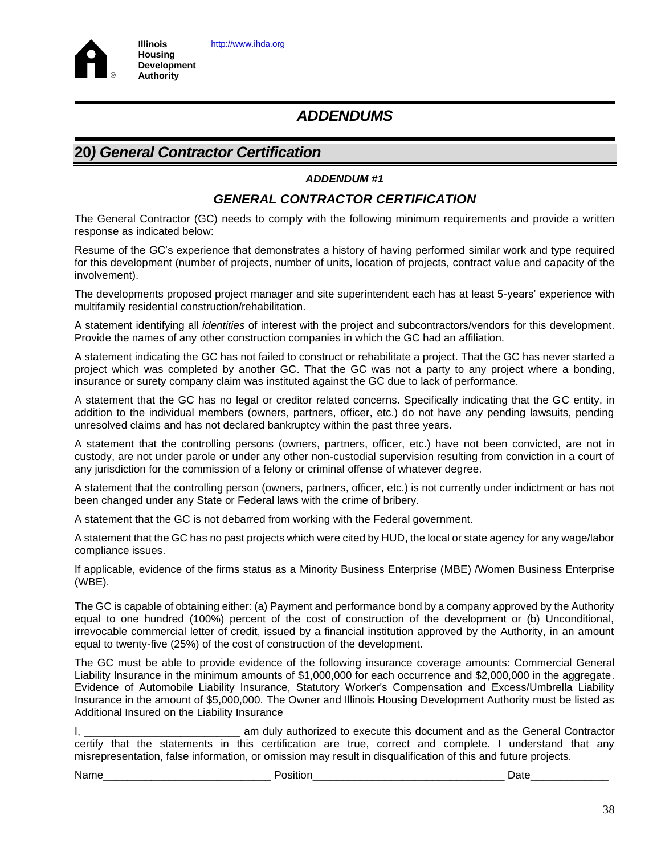

## **20***) General Contractor Certification*

### *ADDENDUM #1*

## *GENERAL CONTRACTOR CERTIFICATION*

The General Contractor (GC) needs to comply with the following minimum requirements and provide a written response as indicated below:

Resume of the GC's experience that demonstrates a history of having performed similar work and type required for this development (number of projects, number of units, location of projects, contract value and capacity of the involvement).

The developments proposed project manager and site superintendent each has at least 5-years' experience with multifamily residential construction/rehabilitation.

A statement identifying all *identities* of interest with the project and subcontractors/vendors for this development. Provide the names of any other construction companies in which the GC had an affiliation.

A statement indicating the GC has not failed to construct or rehabilitate a project. That the GC has never started a project which was completed by another GC. That the GC was not a party to any project where a bonding, insurance or surety company claim was instituted against the GC due to lack of performance.

A statement that the GC has no legal or creditor related concerns. Specifically indicating that the GC entity, in addition to the individual members (owners, partners, officer, etc.) do not have any pending lawsuits, pending unresolved claims and has not declared bankruptcy within the past three years.

A statement that the controlling persons (owners, partners, officer, etc.) have not been convicted, are not in custody, are not under parole or under any other non-custodial supervision resulting from conviction in a court of any jurisdiction for the commission of a felony or criminal offense of whatever degree.

A statement that the controlling person (owners, partners, officer, etc.) is not currently under indictment or has not been changed under any State or Federal laws with the crime of bribery.

A statement that the GC is not debarred from working with the Federal government.

A statement that the GC has no past projects which were cited by HUD, the local or state agency for any wage/labor compliance issues.

If applicable, evidence of the firms status as a Minority Business Enterprise (MBE) /Women Business Enterprise (WBE).

The GC is capable of obtaining either: (a) Payment and performance bond by a company approved by the Authority equal to one hundred (100%) percent of the cost of construction of the development or (b) Unconditional, irrevocable commercial letter of credit, issued by a financial institution approved by the Authority, in an amount equal to twenty-five (25%) of the cost of construction of the development.

The GC must be able to provide evidence of the following insurance coverage amounts: Commercial General Liability Insurance in the minimum amounts of \$1,000,000 for each occurrence and \$2,000,000 in the aggregate. Evidence of Automobile Liability Insurance, Statutory Worker's Compensation and Excess/Umbrella Liability Insurance in the amount of \$5,000,000. The Owner and Illinois Housing Development Authority must be listed as Additional Insured on the Liability Insurance

I, **I, consider the Contractor** am duly authorized to execute this document and as the General Contractor certify that the statements in this certification are true, correct and complete. I understand that any misrepresentation, false information, or omission may result in disqualification of this and future projects.

Name\_\_\_\_\_\_\_\_\_\_\_\_\_\_\_\_\_\_\_\_\_\_\_\_\_\_\_\_ Position\_\_\_\_\_\_\_\_\_\_\_\_\_\_\_\_\_\_\_\_\_\_\_\_\_\_\_\_\_\_\_\_ Date\_\_\_\_\_\_\_\_\_\_\_\_\_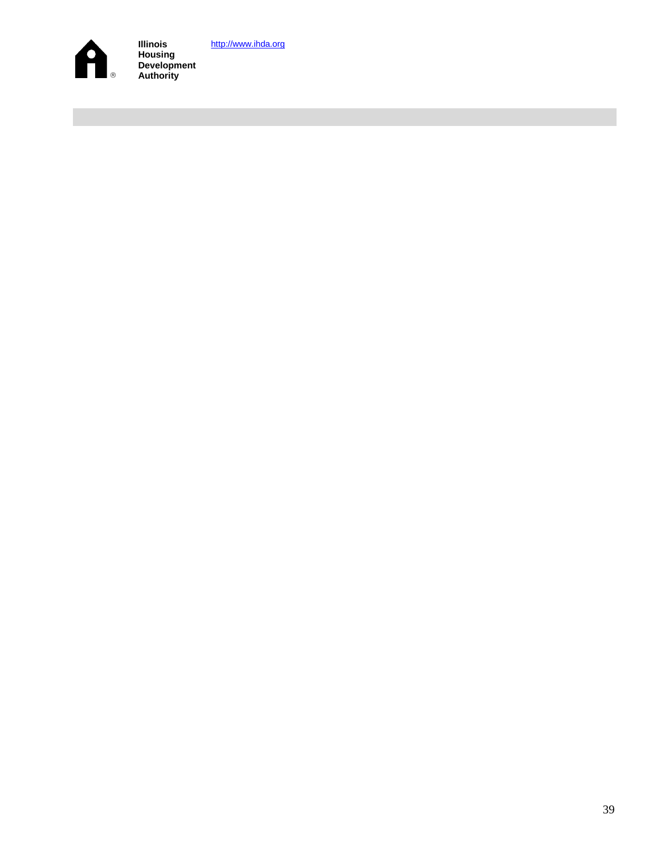[http://www.ihda.org](http://www.ihda.org/)



**Illinois**

**Housing Development Authority**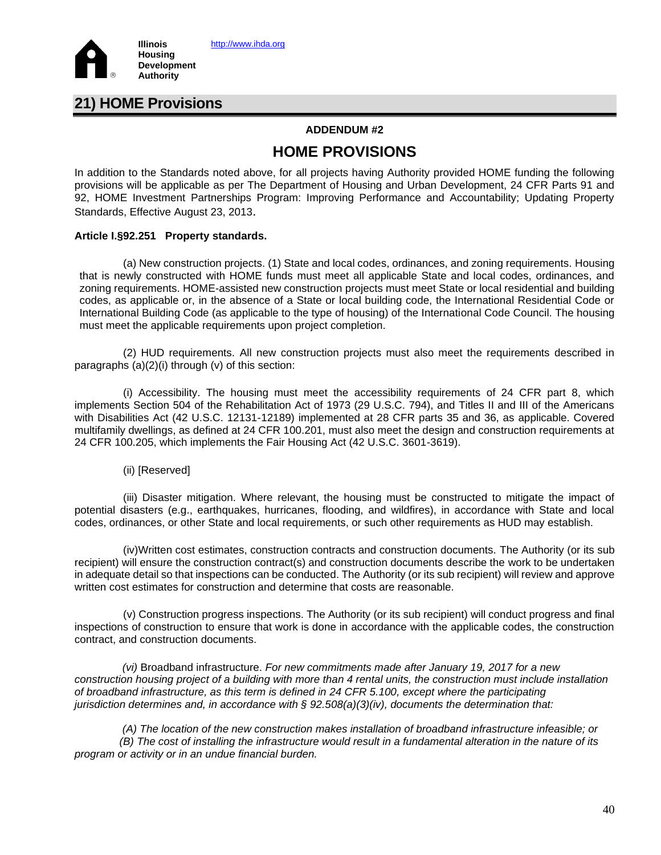

## **21) HOME Provisions**

### **ADDENDUM #2**

## **HOME PROVISIONS**

In addition to the Standards noted above, for all projects having Authority provided HOME funding the following provisions will be applicable as per The Department of Housing and Urban Development, 24 CFR Parts 91 and 92, HOME Investment Partnerships Program: Improving Performance and Accountability; Updating Property Standards, Effective August 23, 2013.

### **Article I.§92.251 Property standards.**

(a) New construction projects. (1) State and local codes, ordinances, and zoning requirements. Housing that is newly constructed with HOME funds must meet all applicable State and local codes, ordinances, and zoning requirements. HOME-assisted new construction projects must meet State or local residential and building codes, as applicable or, in the absence of a State or local building code, the International Residential Code or International Building Code (as applicable to the type of housing) of the International Code Council. The housing must meet the applicable requirements upon project completion.

(2) HUD requirements. All new construction projects must also meet the requirements described in paragraphs  $(a)(2)(i)$  through  $(v)$  of this section:

(i) Accessibility. The housing must meet the accessibility requirements of 24 CFR part 8, which implements Section 504 of the Rehabilitation Act of 1973 (29 U.S.C. 794), and Titles II and III of the Americans with Disabilities Act (42 U.S.C. 12131-12189) implemented at 28 CFR parts 35 and 36, as applicable. Covered multifamily dwellings, as defined at 24 CFR 100.201, must also meet the design and construction requirements at 24 CFR 100.205, which implements the Fair Housing Act (42 U.S.C. 3601-3619).

(ii) [Reserved]

(iii) Disaster mitigation. Where relevant, the housing must be constructed to mitigate the impact of potential disasters (e.g., earthquakes, hurricanes, flooding, and wildfires), in accordance with State and local codes, ordinances, or other State and local requirements, or such other requirements as HUD may establish.

(iv)Written cost estimates, construction contracts and construction documents. The Authority (or its sub recipient) will ensure the construction contract(s) and construction documents describe the work to be undertaken in adequate detail so that inspections can be conducted. The Authority (or its sub recipient) will review and approve written cost estimates for construction and determine that costs are reasonable.

(v) Construction progress inspections. The Authority (or its sub recipient) will conduct progress and final inspections of construction to ensure that work is done in accordance with the applicable codes, the construction contract, and construction documents.

 *(vi)* Broadband infrastructure. *For new commitments made after January 19, 2017 for a new construction housing project of a building with more than 4 rental units, the construction must include installation of broadband infrastructure, as this term is defined in 24 CFR 5.100, except where the participating jurisdiction determines and, in accordance with § 92.508(a)(3)(iv), documents the determination that:*

 *(A) The location of the new construction makes installation of broadband infrastructure infeasible; or (B) The cost of installing the infrastructure would result in a fundamental alteration in the nature of its program or activity or in an undue financial burden.*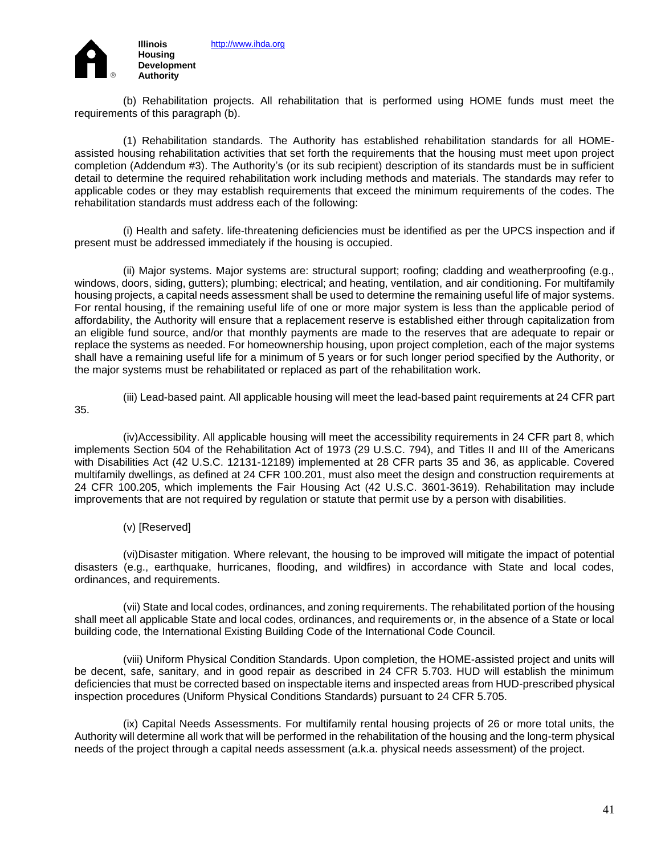

(b) Rehabilitation projects. All rehabilitation that is performed using HOME funds must meet the requirements of this paragraph (b).

(1) Rehabilitation standards. The Authority has established rehabilitation standards for all HOMEassisted housing rehabilitation activities that set forth the requirements that the housing must meet upon project completion (Addendum #3). The Authority's (or its sub recipient) description of its standards must be in sufficient detail to determine the required rehabilitation work including methods and materials. The standards may refer to applicable codes or they may establish requirements that exceed the minimum requirements of the codes. The rehabilitation standards must address each of the following:

(i) Health and safety. life-threatening deficiencies must be identified as per the UPCS inspection and if present must be addressed immediately if the housing is occupied.

(ii) Major systems. Major systems are: structural support; roofing; cladding and weatherproofing (e.g., windows, doors, siding, gutters); plumbing; electrical; and heating, ventilation, and air conditioning. For multifamily housing projects, a capital needs assessment shall be used to determine the remaining useful life of major systems. For rental housing, if the remaining useful life of one or more major system is less than the applicable period of affordability, the Authority will ensure that a replacement reserve is established either through capitalization from an eligible fund source, and/or that monthly payments are made to the reserves that are adequate to repair or replace the systems as needed. For homeownership housing, upon project completion, each of the major systems shall have a remaining useful life for a minimum of 5 years or for such longer period specified by the Authority, or the major systems must be rehabilitated or replaced as part of the rehabilitation work.

35.

(iii) Lead-based paint. All applicable housing will meet the lead-based paint requirements at 24 CFR part

(iv)Accessibility. All applicable housing will meet the accessibility requirements in 24 CFR part 8, which implements Section 504 of the Rehabilitation Act of 1973 (29 U.S.C. 794), and Titles II and III of the Americans with Disabilities Act (42 U.S.C. 12131-12189) implemented at 28 CFR parts 35 and 36, as applicable. Covered multifamily dwellings, as defined at 24 CFR 100.201, must also meet the design and construction requirements at 24 CFR 100.205, which implements the Fair Housing Act (42 U.S.C. 3601-3619). Rehabilitation may include improvements that are not required by regulation or statute that permit use by a person with disabilities.

(v) [Reserved]

(vi)Disaster mitigation. Where relevant, the housing to be improved will mitigate the impact of potential disasters (e.g., earthquake, hurricanes, flooding, and wildfires) in accordance with State and local codes, ordinances, and requirements.

(vii) State and local codes, ordinances, and zoning requirements. The rehabilitated portion of the housing shall meet all applicable State and local codes, ordinances, and requirements or, in the absence of a State or local building code, the International Existing Building Code of the International Code Council.

(viii) Uniform Physical Condition Standards. Upon completion, the HOME-assisted project and units will be decent, safe, sanitary, and in good repair as described in 24 CFR 5.703. HUD will establish the minimum deficiencies that must be corrected based on inspectable items and inspected areas from HUD-prescribed physical inspection procedures (Uniform Physical Conditions Standards) pursuant to 24 CFR 5.705.

(ix) Capital Needs Assessments. For multifamily rental housing projects of 26 or more total units, the Authority will determine all work that will be performed in the rehabilitation of the housing and the long-term physical needs of the project through a capital needs assessment (a.k.a. physical needs assessment) of the project.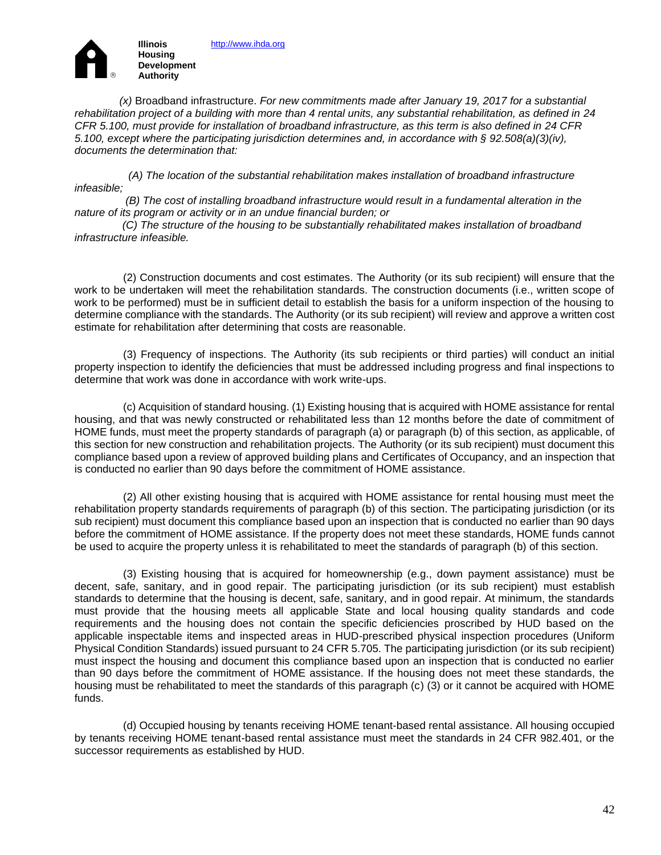

 *(x)* Broadband infrastructure. *For new commitments made after January 19, 2017 for a substantial rehabilitation project of a building with more than 4 rental units, any substantial rehabilitation, as defined in 24 CFR 5.100, must provide for installation of broadband infrastructure, as this term is also defined in 24 CFR 5.100, except where the participating jurisdiction determines and, in accordance with § 92.508(a)(3)(iv), documents the determination that:*

 *(A) The location of the substantial rehabilitation makes installation of broadband infrastructure infeasible;*

 *(B) The cost of installing broadband infrastructure would result in a fundamental alteration in the nature of its program or activity or in an undue financial burden; or*

 *(C) The structure of the housing to be substantially rehabilitated makes installation of broadband infrastructure infeasible.*

(2) Construction documents and cost estimates. The Authority (or its sub recipient) will ensure that the work to be undertaken will meet the rehabilitation standards. The construction documents (i.e., written scope of work to be performed) must be in sufficient detail to establish the basis for a uniform inspection of the housing to determine compliance with the standards. The Authority (or its sub recipient) will review and approve a written cost estimate for rehabilitation after determining that costs are reasonable.

(3) Frequency of inspections. The Authority (its sub recipients or third parties) will conduct an initial property inspection to identify the deficiencies that must be addressed including progress and final inspections to determine that work was done in accordance with work write-ups.

(c) Acquisition of standard housing. (1) Existing housing that is acquired with HOME assistance for rental housing, and that was newly constructed or rehabilitated less than 12 months before the date of commitment of HOME funds, must meet the property standards of paragraph (a) or paragraph (b) of this section, as applicable, of this section for new construction and rehabilitation projects. The Authority (or its sub recipient) must document this compliance based upon a review of approved building plans and Certificates of Occupancy, and an inspection that is conducted no earlier than 90 days before the commitment of HOME assistance.

(2) All other existing housing that is acquired with HOME assistance for rental housing must meet the rehabilitation property standards requirements of paragraph (b) of this section. The participating jurisdiction (or its sub recipient) must document this compliance based upon an inspection that is conducted no earlier than 90 days before the commitment of HOME assistance. If the property does not meet these standards, HOME funds cannot be used to acquire the property unless it is rehabilitated to meet the standards of paragraph (b) of this section.

(3) Existing housing that is acquired for homeownership (e.g., down payment assistance) must be decent, safe, sanitary, and in good repair. The participating jurisdiction (or its sub recipient) must establish standards to determine that the housing is decent, safe, sanitary, and in good repair. At minimum, the standards must provide that the housing meets all applicable State and local housing quality standards and code requirements and the housing does not contain the specific deficiencies proscribed by HUD based on the applicable inspectable items and inspected areas in HUD-prescribed physical inspection procedures (Uniform Physical Condition Standards) issued pursuant to 24 CFR 5.705. The participating jurisdiction (or its sub recipient) must inspect the housing and document this compliance based upon an inspection that is conducted no earlier than 90 days before the commitment of HOME assistance. If the housing does not meet these standards, the housing must be rehabilitated to meet the standards of this paragraph (c) (3) or it cannot be acquired with HOME funds.

(d) Occupied housing by tenants receiving HOME tenant-based rental assistance. All housing occupied by tenants receiving HOME tenant-based rental assistance must meet the standards in 24 CFR 982.401, or the successor requirements as established by HUD.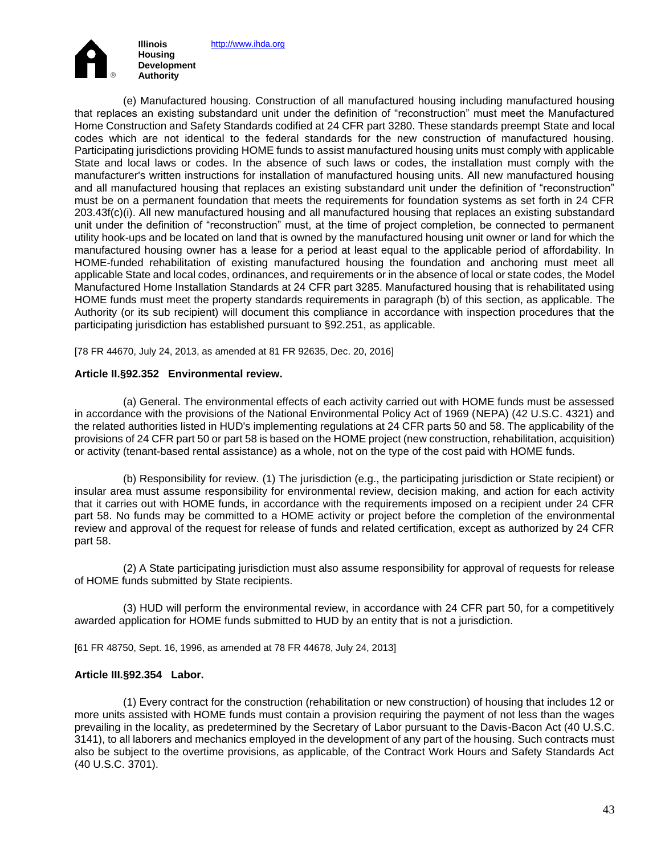[http://www.ihda.org](http://www.ihda.org/)



(e) Manufactured housing. Construction of all manufactured housing including manufactured housing that replaces an existing substandard unit under the definition of "reconstruction" must meet the Manufactured Home Construction and Safety Standards codified at 24 CFR part 3280. These standards preempt State and local codes which are not identical to the federal standards for the new construction of manufactured housing. Participating jurisdictions providing HOME funds to assist manufactured housing units must comply with applicable State and local laws or codes. In the absence of such laws or codes, the installation must comply with the manufacturer's written instructions for installation of manufactured housing units. All new manufactured housing and all manufactured housing that replaces an existing substandard unit under the definition of "reconstruction" must be on a permanent foundation that meets the requirements for foundation systems as set forth in 24 CFR 203.43f(c)(i). All new manufactured housing and all manufactured housing that replaces an existing substandard unit under the definition of "reconstruction" must, at the time of project completion, be connected to permanent utility hook-ups and be located on land that is owned by the manufactured housing unit owner or land for which the manufactured housing owner has a lease for a period at least equal to the applicable period of affordability. In HOME-funded rehabilitation of existing manufactured housing the foundation and anchoring must meet all applicable State and local codes, ordinances, and requirements or in the absence of local or state codes, the Model Manufactured Home Installation Standards at 24 CFR part 3285. Manufactured housing that is rehabilitated using HOME funds must meet the property standards requirements in paragraph (b) of this section, as applicable. The Authority (or its sub recipient) will document this compliance in accordance with inspection procedures that the participating jurisdiction has established pursuant to §92.251, as applicable.

[78 FR 44670, July 24, 2013, as amended at 81 FR 92635, Dec. 20, 2016]

### **Article II.§92.352 Environmental review.**

(a) General. The environmental effects of each activity carried out with HOME funds must be assessed in accordance with the provisions of the National Environmental Policy Act of 1969 (NEPA) (42 U.S.C. 4321) and the related authorities listed in HUD's implementing regulations at 24 CFR parts 50 and 58. The applicability of the provisions of 24 CFR part 50 or part 58 is based on the HOME project (new construction, rehabilitation, acquisition) or activity (tenant-based rental assistance) as a whole, not on the type of the cost paid with HOME funds.

(b) Responsibility for review. (1) The jurisdiction (e.g., the participating jurisdiction or State recipient) or insular area must assume responsibility for environmental review, decision making, and action for each activity that it carries out with HOME funds, in accordance with the requirements imposed on a recipient under 24 CFR part 58. No funds may be committed to a HOME activity or project before the completion of the environmental review and approval of the request for release of funds and related certification, except as authorized by 24 CFR part 58.

(2) A State participating jurisdiction must also assume responsibility for approval of requests for release of HOME funds submitted by State recipients.

(3) HUD will perform the environmental review, in accordance with 24 CFR part 50, for a competitively awarded application for HOME funds submitted to HUD by an entity that is not a jurisdiction.

[61 FR 48750, Sept. 16, 1996, as amended at 78 FR 44678, July 24, 2013]

#### **Article III.§92.354 Labor.**

(1) Every contract for the construction (rehabilitation or new construction) of housing that includes 12 or more units assisted with HOME funds must contain a provision requiring the payment of not less than the wages prevailing in the locality, as predetermined by the Secretary of Labor pursuant to the Davis-Bacon Act (40 U.S.C. 3141), to all laborers and mechanics employed in the development of any part of the housing. Such contracts must also be subject to the overtime provisions, as applicable, of the Contract Work Hours and Safety Standards Act (40 U.S.C. 3701).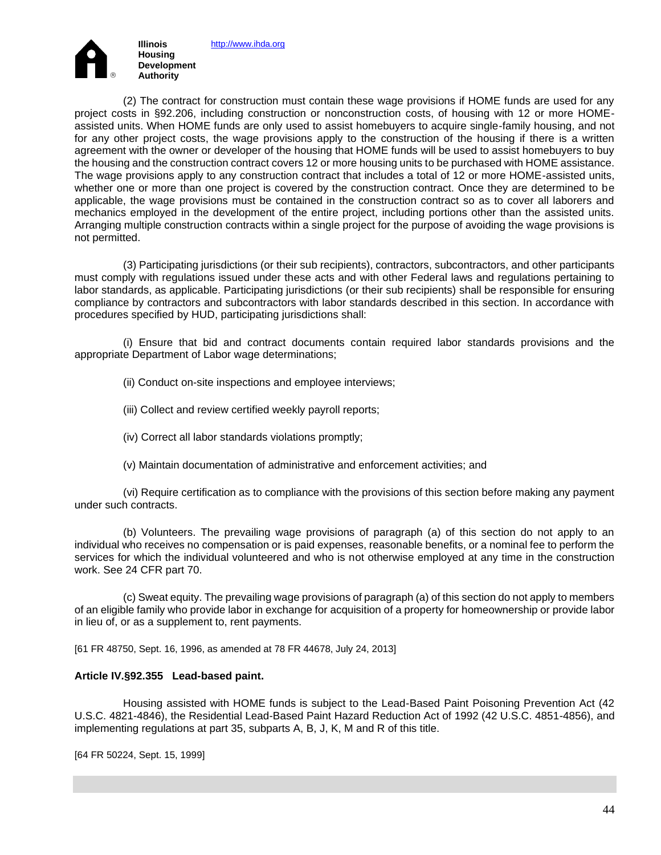



(2) The contract for construction must contain these wage provisions if HOME funds are used for any project costs in §92.206, including construction or nonconstruction costs, of housing with 12 or more HOMEassisted units. When HOME funds are only used to assist homebuyers to acquire single-family housing, and not for any other project costs, the wage provisions apply to the construction of the housing if there is a written agreement with the owner or developer of the housing that HOME funds will be used to assist homebuyers to buy the housing and the construction contract covers 12 or more housing units to be purchased with HOME assistance. The wage provisions apply to any construction contract that includes a total of 12 or more HOME-assisted units, whether one or more than one project is covered by the construction contract. Once they are determined to be applicable, the wage provisions must be contained in the construction contract so as to cover all laborers and mechanics employed in the development of the entire project, including portions other than the assisted units. Arranging multiple construction contracts within a single project for the purpose of avoiding the wage provisions is not permitted.

(3) Participating jurisdictions (or their sub recipients), contractors, subcontractors, and other participants must comply with regulations issued under these acts and with other Federal laws and regulations pertaining to labor standards, as applicable. Participating jurisdictions (or their sub recipients) shall be responsible for ensuring compliance by contractors and subcontractors with labor standards described in this section. In accordance with procedures specified by HUD, participating jurisdictions shall:

(i) Ensure that bid and contract documents contain required labor standards provisions and the appropriate Department of Labor wage determinations;

- (ii) Conduct on-site inspections and employee interviews;
- (iii) Collect and review certified weekly payroll reports;
- (iv) Correct all labor standards violations promptly;
- (v) Maintain documentation of administrative and enforcement activities; and

(vi) Require certification as to compliance with the provisions of this section before making any payment under such contracts.

(b) Volunteers. The prevailing wage provisions of paragraph (a) of this section do not apply to an individual who receives no compensation or is paid expenses, reasonable benefits, or a nominal fee to perform the services for which the individual volunteered and who is not otherwise employed at any time in the construction work. See 24 CFR part 70.

(c) Sweat equity. The prevailing wage provisions of paragraph (a) of this section do not apply to members of an eligible family who provide labor in exchange for acquisition of a property for homeownership or provide labor in lieu of, or as a supplement to, rent payments.

[61 FR 48750, Sept. 16, 1996, as amended at 78 FR 44678, July 24, 2013]

#### **Article IV.§92.355 Lead-based paint.**

Housing assisted with HOME funds is subject to the Lead-Based Paint Poisoning Prevention Act (42 U.S.C. 4821-4846), the Residential Lead-Based Paint Hazard Reduction Act of 1992 (42 U.S.C. 4851-4856), and implementing regulations at part 35, subparts A, B, J, K, M and R of this title.

[64 FR 50224, Sept. 15, 1999]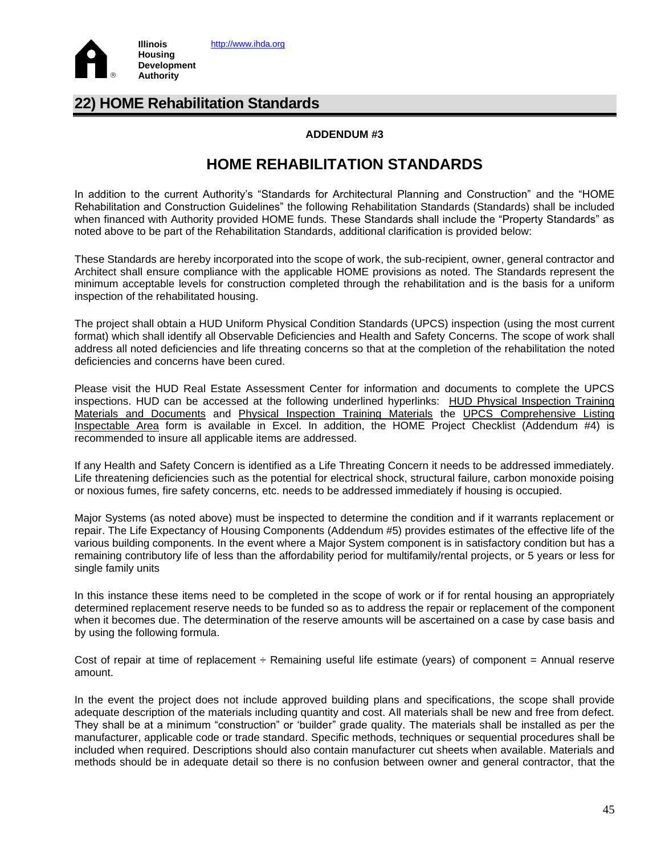

## **22) HOME Rehabilitation Standards**

### **ADDENDUM #3**

## **HOME REHABILITATION STANDARDS**

In addition to the current Authority's "Standards for Architectural Planning and Construction" and the "HOME Rehabilitation and Construction Guidelines" the following Rehabilitation Standards (Standards) shall be included when financed with Authority provided HOME funds. These Standards shall include the "Property Standards" as noted above to be part of the Rehabilitation Standards, additional clarification is provided below:

These Standards are hereby incorporated into the scope of work, the sub-recipient, owner, general contractor and Architect shall ensure compliance with the applicable HOME provisions as noted. The Standards represent the minimum acceptable levels for construction completed through the rehabilitation and is the basis for a uniform inspection of the rehabilitated housing.

The project shall obtain a HUD Uniform Physical Condition Standards (UPCS) inspection (using the most current format) which shall identify all Observable Deficiencies and Health and Safety Concerns. The scope of work shall address all noted deficiencies and life threating concerns so that at the completion of the rehabilitation the noted deficiencies and concerns have been cured.

Please visit the HUD Real Estate Assessment Center for information and documents to complete the UPCS inspections. HUD can be accessed at the following underlined hyperlinks: [HUD Physical Inspection Training](http://www.hud.gov/offices/reac/training/pass_tm.cfm) [Materials and Documents](http://www.hud.gov/offices/reac/training/pass_tm.cfm) and [Physical Inspection Training Materials](http://portal.hud.gov/hudportal/HUD?src=/program_offices/public_indian_housing/reac/products/pass/materials) the [UPCS Comprehensive Listing](http://portal.hud.gov/hudportal/documents/huddoc?id=DOC_26482.xls)  [Inspectable Area](http://portal.hud.gov/hudportal/documents/huddoc?id=DOC_26482.xls) form is available in Excel. In addition, the HOME Project Checklist (Addendum #4) is recommended to insure all applicable items are addressed.

If any Health and Safety Concern is identified as a Life Threating Concern it needs to be addressed immediately. Life threatening deficiencies such as the potential for electrical shock, structural failure, carbon monoxide poising or noxious fumes, fire safety concerns, etc. needs to be addressed immediately if housing is occupied.

Major Systems (as noted above) must be inspected to determine the condition and if it warrants replacement or repair. The Life Expectancy of Housing Components (Addendum #5) provides estimates of the effective life of the various building components. In the event where a Major System component is in satisfactory condition but has a remaining contributory life of less than the affordability period for multifamily/rental projects, or 5 years or less for single family units

In this instance these items need to be completed in the scope of work or if for rental housing an appropriately determined replacement reserve needs to be funded so as to address the repair or replacement of the component when it becomes due. The determination of the reserve amounts will be ascertained on a case by case basis and by using the following formula.

Cost of repair at time of replacement  $\div$  Remaining useful life estimate (years) of component = Annual reserve amount.

In the event the project does not include approved building plans and specifications, the scope shall provide adequate description of the materials including quantity and cost. All materials shall be new and free from defect. They shall be at a minimum "construction" or 'builder" grade quality. The materials shall be installed as per the manufacturer, applicable code or trade standard. Specific methods, techniques or sequential procedures shall be included when required. Descriptions should also contain manufacturer cut sheets when available. Materials and methods should be in adequate detail so there is no confusion between owner and general contractor, that the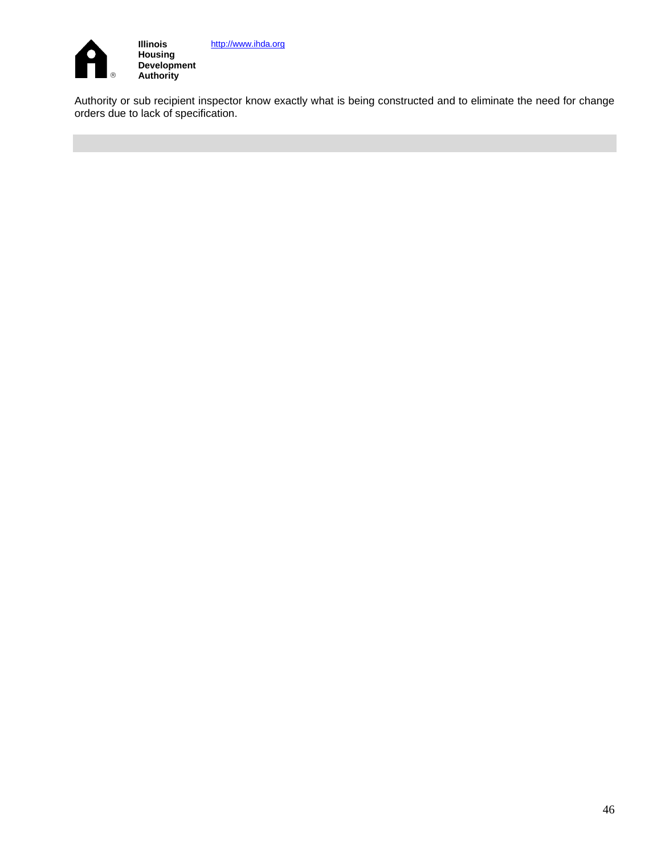

[http://www.ihda.org](http://www.ihda.org/)

Authority or sub recipient inspector know exactly what is being constructed and to eliminate the need for change orders due to lack of specification.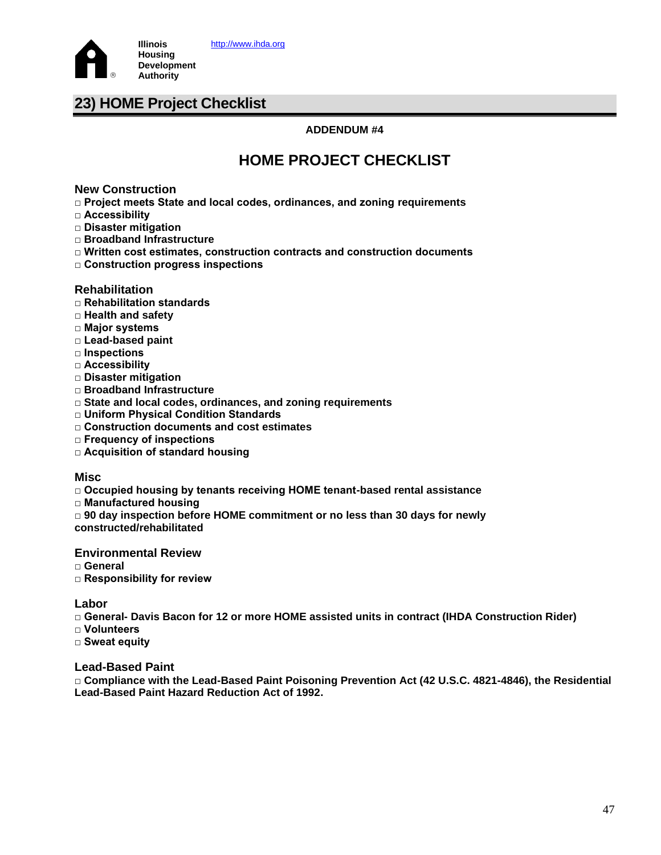

## **23) HOME Project Checklist**

### **ADDENDUM #4**

## **HOME PROJECT CHECKLIST**

### **New Construction**

- **□ Project meets State and local codes, ordinances, and zoning requirements**
- **□ Accessibility**
- **□ Disaster mitigation**
- **□ Broadband Infrastructure**
- **□ Written cost estimates, construction contracts and construction documents**
- **□ Construction progress inspections**

### **Rehabilitation**

- **□ Rehabilitation standards**
- **□ Health and safety**
- **□ Major systems**
- **□ Lead-based paint**
- **□ Inspections**
- **□ Accessibility**
- **□ Disaster mitigation**
- **□ Broadband Infrastructure**
- **□ State and local codes, ordinances, and zoning requirements**
- **□ Uniform Physical Condition Standards**
- **□ Construction documents and cost estimates**
- **□ Frequency of inspections**
- **□ Acquisition of standard housing**

### **Misc**

- **□ Occupied housing by tenants receiving HOME tenant-based rental assistance**
- **□ Manufactured housing**
- **□ 90 day inspection before HOME commitment or no less than 30 days for newly**

**constructed/rehabilitated**

#### **Environmental Review**

**□ General**

**□ Responsibility for review**

**Labor**

**□ General- Davis Bacon for 12 or more HOME assisted units in contract (IHDA Construction Rider)**

- **□ Volunteers**
- **□ Sweat equity**

### **Lead-Based Paint**

**□ Compliance with the Lead-Based Paint Poisoning Prevention Act (42 U.S.C. 4821-4846), the Residential Lead-Based Paint Hazard Reduction Act of 1992.**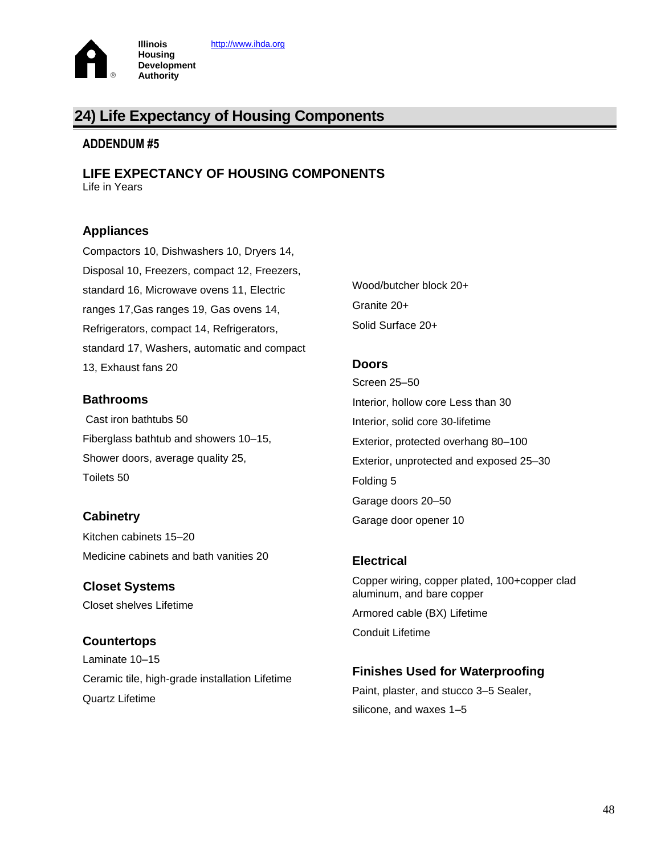

## **24) Life Expectancy of Housing Components**

## **ADDENDUM #5**

**LIFE EXPECTANCY OF HOUSING COMPONENTS** Life in Years

## **Appliances**

Compactors 10, Dishwashers 10, Dryers 14, Disposal 10, Freezers, compact 12, Freezers, standard 16, Microwave ovens 11, Electric ranges 17,Gas ranges 19, Gas ovens 14, Refrigerators, compact 14, Refrigerators, standard 17, Washers, automatic and compact 13, Exhaust fans 20

### **Bathrooms**

Cast iron bathtubs 50 Fiberglass bathtub and showers 10–15, Shower doors, average quality 25, Toilets 50

## **Cabinetry**

Kitchen cabinets 15–20 Medicine cabinets and bath vanities 20

**Closet Systems**  Closet shelves Lifetime

**Countertops**  Laminate 10–15 Ceramic tile, high-grade installation Lifetime Quartz Lifetime

Wood/butcher block 20+ Granite 20+ Solid Surface 20+

### **Doors**

Screen 25–50 Interior, hollow core Less than 30 Interior, solid core 30-lifetime Exterior, protected overhang 80–100 Exterior, unprotected and exposed 25–30 Folding 5 Garage doors 20–50 Garage door opener 10

## **Electrical**

Copper wiring, copper plated, 100+copper clad aluminum, and bare copper Armored cable (BX) Lifetime Conduit Lifetime

## **Finishes Used for Waterproofing**

Paint, plaster, and stucco 3–5 Sealer, silicone, and waxes 1–5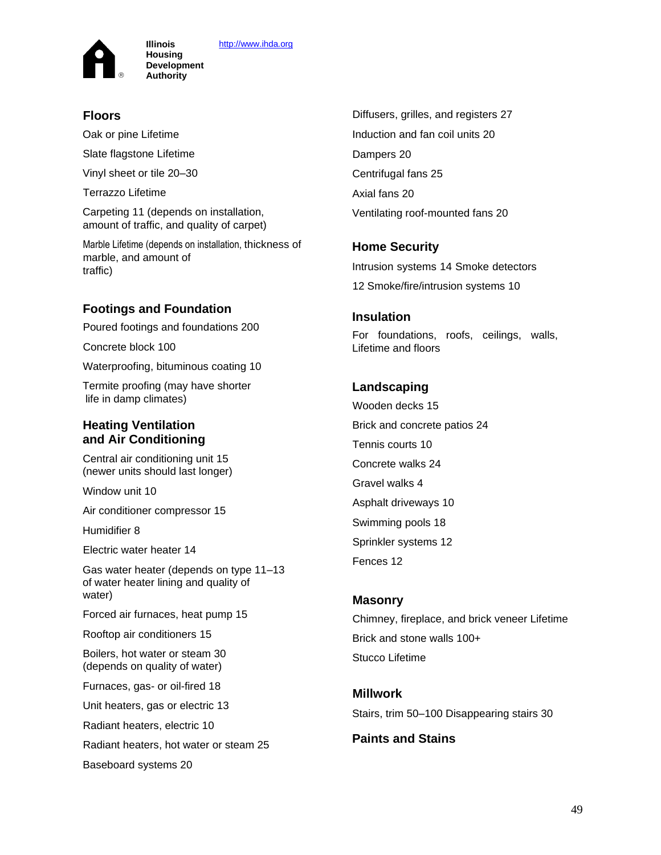[http://www.ihda.org](http://www.ihda.org/)



**Illinois Housing Development Authority**

## **Floors**

Oak or pine Lifetime

Slate flagstone Lifetime

Vinyl sheet or tile 20–30

Terrazzo Lifetime

Carpeting 11 (depends on installation, amount of traffic, and quality of carpet)

Marble Lifetime (depends on installation, thickness of marble, and amount of traffic)

## **Footings and Foundation**

Poured footings and foundations 200

Concrete block 100

Waterproofing, bituminous coating 10

Termite proofing (may have shorter life in damp climates)

## **Heating Ventilation and Air Conditioning**

Central air conditioning unit 15 (newer units should last longer)

Window unit 10

Air conditioner compressor 15

Humidifier 8

Electric water heater 14

Gas water heater (depends on type 11–13 of water heater lining and quality of water)

Forced air furnaces, heat pump 15

Rooftop air conditioners 15

Boilers, hot water or steam 30 (depends on quality of water)

Furnaces, gas- or oil-fired 18

Unit heaters, gas or electric 13

Radiant heaters, electric 10

Radiant heaters, hot water or steam 25

Baseboard systems 20

Diffusers, grilles, and registers 27 Induction and fan coil units 20 Dampers 20 Centrifugal fans 25 Axial fans 20 Ventilating roof-mounted fans 20

## **Home Security**

Intrusion systems 14 Smoke detectors 12 Smoke/fire/intrusion systems 10

## **Insulation**

For foundations, roofs, ceilings, walls, Lifetime and floors

## **Landscaping**

Wooden decks 15 Brick and concrete patios 24 Tennis courts 10 Concrete walks 24 Gravel walks 4 Asphalt driveways 10 Swimming pools 18 Sprinkler systems 12 Fences 12

## **Masonry**

Chimney, fireplace, and brick veneer Lifetime Brick and stone walls 100+ Stucco Lifetime

## **Millwork**  Stairs, trim 50–100 Disappearing stairs 30

**Paints and Stains**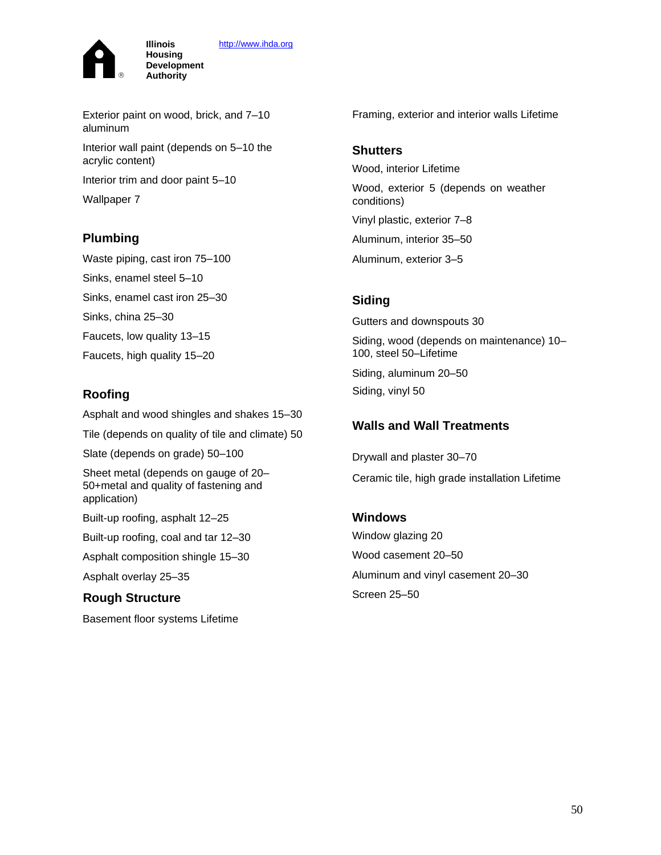#### [http://www.ihda.org](http://www.ihda.org/)



**Housing Development Authority**

Exterior paint on wood, brick, and 7–10 aluminum

Interior wall paint (depends on 5–10 the acrylic content)

Interior trim and door paint 5–10

**Illinois**

Wallpaper 7

## **Plumbing**

Waste piping, cast iron 75–100 Sinks, enamel steel 5–10 Sinks, enamel cast iron 25–30 Sinks, china 25–30 Faucets, low quality 13–15 Faucets, high quality 15–20

## **Roofing**

Asphalt and wood shingles and shakes 15–30

Tile (depends on quality of tile and climate) 50

Slate (depends on grade) 50–100

Sheet metal (depends on gauge of 20– 50+metal and quality of fastening and application)

Built-up roofing, asphalt 12–25

Built-up roofing, coal and tar 12–30

Asphalt composition shingle 15–30

Asphalt overlay 25–35

## **Rough Structure**

Basement floor systems Lifetime

Framing, exterior and interior walls Lifetime

### **Shutters**

Wood, interior Lifetime Wood, exterior 5 (depends on weather conditions) Vinyl plastic, exterior 7–8 Aluminum, interior 35–50 Aluminum, exterior 3–5

## **Siding**

Gutters and downspouts 30 Siding, wood (depends on maintenance) 10– 100, steel 50–Lifetime Siding, aluminum 20–50 Siding, vinyl 50

## **Walls and Wall Treatments**

Drywall and plaster 30–70 Ceramic tile, high grade installation Lifetime

## **Windows**

Window glazing 20 Wood casement 20–50 Aluminum and vinyl casement 20–30 Screen 25–50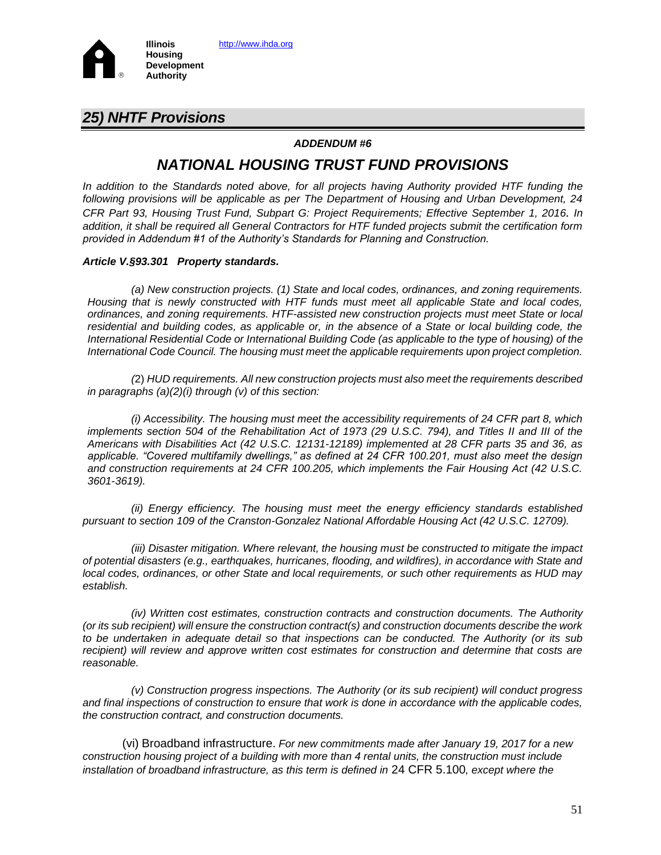

## *25) NHTF Provisions*

#### *ADDENDUM #6*

## *NATIONAL HOUSING TRUST FUND PROVISIONS*

*In addition to the Standards noted above, for all projects having Authority provided HTF funding the following provisions will be applicable as per The Department of Housing and Urban Development, 24 CFR Part 93, Housing Trust Fund, Subpart G: Project Requirements; Effective September 1, 2016. In addition, it shall be required all General Contractors for HTF funded projects submit the certification form provided in Addendum #1 of the Authority's Standards for Planning and Construction.*

#### *Article V.§93.301 Property standards.*

*(a) New construction projects. (1) State and local codes, ordinances, and zoning requirements. Housing that is newly constructed with HTF funds must meet all applicable State and local codes, ordinances, and zoning requirements. HTF-assisted new construction projects must meet State or local*  residential and building codes, as applicable or, in the absence of a State or local building code, the *International Residential Code or International Building Code (as applicable to the type of housing) of the International Code Council. The housing must meet the applicable requirements upon project completion.* 

*(*2) *HUD requirements. All new construction projects must also meet the requirements described in paragraphs (a)(2)(i) through (v) of this section:* 

*(i) Accessibility. The housing must meet the accessibility requirements of 24 CFR part 8, which implements section 504 of the Rehabilitation Act of 1973 (29 U.S.C. 794), and Titles II and III of the Americans with Disabilities Act (42 U.S.C. 12131-12189) implemented at 28 CFR parts 35 and 36, as applicable. "Covered multifamily dwellings," as defined at 24 CFR 100.201, must also meet the design and construction requirements at 24 CFR 100.205, which implements the Fair Housing Act (42 U.S.C. 3601-3619).*

*(ii) Energy efficiency. The housing must meet the energy efficiency standards established pursuant to section 109 of the Cranston-Gonzalez National Affordable Housing Act (42 U.S.C. 12709).*

*(iii) Disaster mitigation. Where relevant, the housing must be constructed to mitigate the impact of potential disasters (e.g., earthquakes, hurricanes, flooding, and wildfires), in accordance with State and local codes, ordinances, or other State and local requirements, or such other requirements as HUD may establish.*

*(iv) Written cost estimates, construction contracts and construction documents. The Authority (or its sub recipient) will ensure the construction contract(s) and construction documents describe the work to be undertaken in adequate detail so that inspections can be conducted. The Authority (or its sub*  recipient) will review and approve written cost estimates for construction and determine that costs are *reasonable.*

*(v) Construction progress inspections. The Authority (or its sub recipient) will conduct progress and final inspections of construction to ensure that work is done in accordance with the applicable codes, the construction contract, and construction documents.*

 (vi) Broadband infrastructure. *For new commitments made after January 19, 2017 for a new construction housing project of a building with more than 4 rental units, the construction must include installation of broadband infrastructure, as this term is defined in* 24 CFR 5.100*, except where the*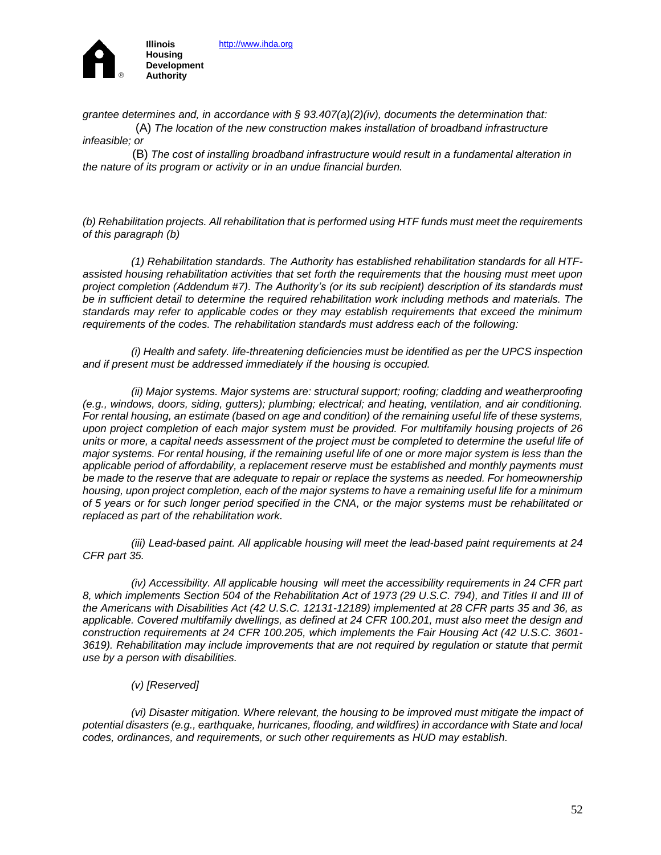

[http://www.ihda.org](http://www.ihda.org/)

*grantee determines and, in accordance with § 93.407(a)(2)(iv), documents the determination that:*

 (A) *The location of the new construction makes installation of broadband infrastructure infeasible; or*

 (B) *The cost of installing broadband infrastructure would result in a fundamental alteration in the nature of its program or activity or in an undue financial burden.*

*(b) Rehabilitation projects. All rehabilitation that is performed using HTF funds must meet the requirements of this paragraph (b)*

*(1) Rehabilitation standards. The Authority has established rehabilitation standards for all HTFassisted housing rehabilitation activities that set forth the requirements that the housing must meet upon project completion (Addendum #7). The Authority's (or its sub recipient) description of its standards must be in sufficient detail to determine the required rehabilitation work including methods and materials. The standards may refer to applicable codes or they may establish requirements that exceed the minimum requirements of the codes. The rehabilitation standards must address each of the following:*

*(i) Health and safety. life-threatening deficiencies must be identified as per the UPCS inspection and if present must be addressed immediately if the housing is occupied.*

*(ii) Major systems. Major systems are: structural support; roofing; cladding and weatherproofing (e.g., windows, doors, siding, gutters); plumbing; electrical; and heating, ventilation, and air conditioning. For rental housing, an estimate (based on age and condition) of the remaining useful life of these systems, upon project completion of each major system must be provided. For multifamily housing projects of 26 units or more, a capital needs assessment of the project must be completed to determine the useful life of major systems. For rental housing, if the remaining useful life of one or more major system is less than the applicable period of affordability, a replacement reserve must be established and monthly payments must be made to the reserve that are adequate to repair or replace the systems as needed. For homeownership housing, upon project completion, each of the major systems to have a remaining useful life for a minimum of 5 years or for such longer period specified in the CNA, or the major systems must be rehabilitated or replaced as part of the rehabilitation work.*

*(iii) Lead-based paint. All applicable housing will meet the lead-based paint requirements at 24 CFR part 35.*

*(iv) Accessibility. All applicable housing will meet the accessibility requirements in 24 CFR part 8, which implements Section 504 of the Rehabilitation Act of 1973 (29 U.S.C. 794), and Titles II and III of the Americans with Disabilities Act (42 U.S.C. 12131-12189) implemented at 28 CFR parts 35 and 36, as applicable. Covered multifamily dwellings, as defined at 24 CFR 100.201, must also meet the design and construction requirements at 24 CFR 100.205, which implements the Fair Housing Act (42 U.S.C. 3601- 3619). Rehabilitation may include improvements that are not required by regulation or statute that permit use by a person with disabilities.*

*(v) [Reserved]*

*(vi) Disaster mitigation. Where relevant, the housing to be improved must mitigate the impact of potential disasters (e.g., earthquake, hurricanes, flooding, and wildfires) in accordance with State and local codes, ordinances, and requirements, or such other requirements as HUD may establish.*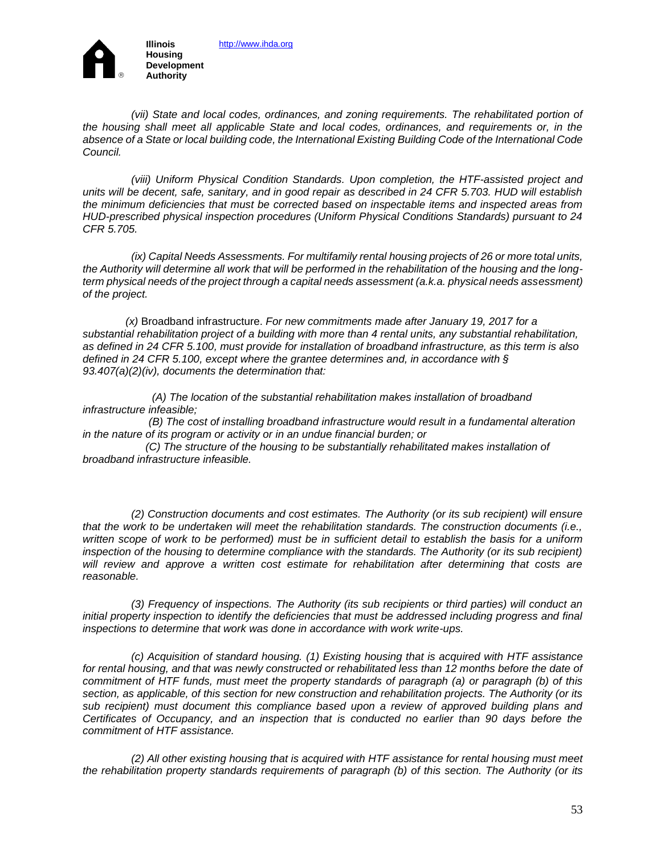

*(vii) State and local codes, ordinances, and zoning requirements. The rehabilitated portion of the housing shall meet all applicable State and local codes, ordinances, and requirements or, in the absence of a State or local building code, the International Existing Building Code of the International Code Council.*

*(viii) Uniform Physical Condition Standards. Upon completion, the HTF-assisted project and units will be decent, safe, sanitary, and in good repair as described in 24 CFR 5.703. HUD will establish the minimum deficiencies that must be corrected based on inspectable items and inspected areas from HUD-prescribed physical inspection procedures (Uniform Physical Conditions Standards) pursuant to 24 CFR 5.705.*

*(ix) Capital Needs Assessments. For multifamily rental housing projects of 26 or more total units, the Authority will determine all work that will be performed in the rehabilitation of the housing and the longterm physical needs of the project through a capital needs assessment (a.k.a. physical needs assessment) of the project.*

 *(x)* Broadband infrastructure. *For new commitments made after January 19, 2017 for a substantial rehabilitation project of a building with more than 4 rental units, any substantial rehabilitation, as defined in 24 CFR 5.100, must provide for installation of broadband infrastructure, as this term is also defined in 24 CFR 5.100, except where the grantee determines and, in accordance with § 93.407(a)(2)(iv), documents the determination that:*

 *(A) The location of the substantial rehabilitation makes installation of broadband infrastructure infeasible;*

 *(B) The cost of installing broadband infrastructure would result in a fundamental alteration in the nature of its program or activity or in an undue financial burden; or*

 *(C) The structure of the housing to be substantially rehabilitated makes installation of broadband infrastructure infeasible.*

*(2) Construction documents and cost estimates. The Authority (or its sub recipient) will ensure that the work to be undertaken will meet the rehabilitation standards. The construction documents (i.e., written scope of work to be performed) must be in sufficient detail to establish the basis for a uniform inspection of the housing to determine compliance with the standards. The Authority (or its sub recipient) will review and approve a written cost estimate for rehabilitation after determining that costs are reasonable.*

*(3) Frequency of inspections. The Authority (its sub recipients or third parties) will conduct an initial property inspection to identify the deficiencies that must be addressed including progress and final inspections to determine that work was done in accordance with work write-ups.*

*(c) Acquisition of standard housing. (1) Existing housing that is acquired with HTF assistance*  for rental housing, and that was newly constructed or rehabilitated less than 12 months before the date of *commitment of HTF funds, must meet the property standards of paragraph (a) or paragraph (b) of this section, as applicable, of this section for new construction and rehabilitation projects. The Authority (or its sub recipient) must document this compliance based upon a review of approved building plans and Certificates of Occupancy, and an inspection that is conducted no earlier than 90 days before the commitment of HTF assistance.*

*(2) All other existing housing that is acquired with HTF assistance for rental housing must meet the rehabilitation property standards requirements of paragraph (b) of this section. The Authority (or its*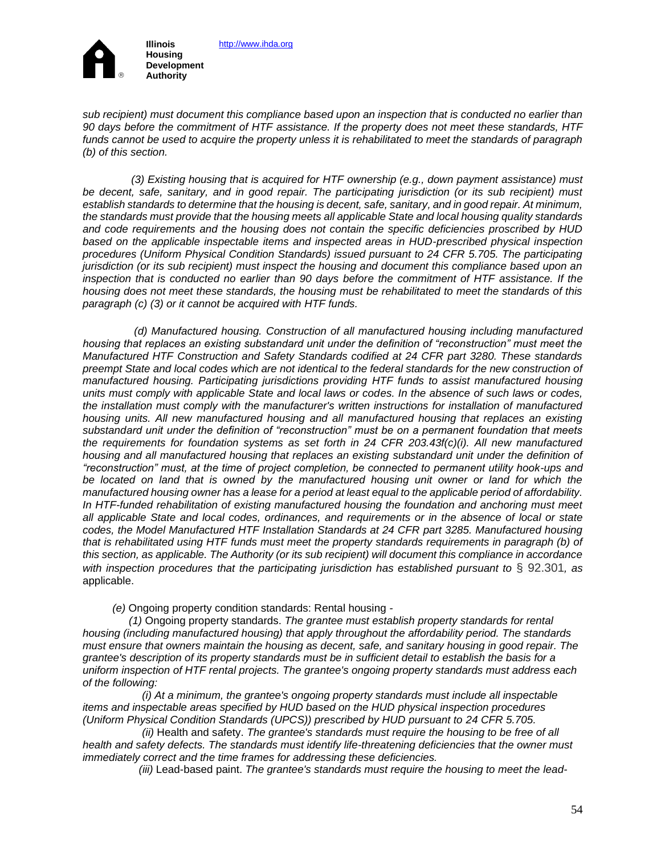

*sub recipient) must document this compliance based upon an inspection that is conducted no earlier than 90 days before the commitment of HTF assistance. If the property does not meet these standards, HTF funds cannot be used to acquire the property unless it is rehabilitated to meet the standards of paragraph (b) of this section.*

*(3) Existing housing that is acquired for HTF ownership (e.g., down payment assistance) must be decent, safe, sanitary, and in good repair. The participating jurisdiction (or its sub recipient) must establish standards to determine that the housing is decent, safe, sanitary, and in good repair. At minimum, the standards must provide that the housing meets all applicable State and local housing quality standards and code requirements and the housing does not contain the specific deficiencies proscribed by HUD based on the applicable inspectable items and inspected areas in HUD-prescribed physical inspection procedures (Uniform Physical Condition Standards) issued pursuant to 24 CFR 5.705. The participating jurisdiction (or its sub recipient) must inspect the housing and document this compliance based upon an inspection that is conducted no earlier than 90 days before the commitment of HTF assistance. If the housing does not meet these standards, the housing must be rehabilitated to meet the standards of this paragraph (c) (3) or it cannot be acquired with HTF funds.*

*(d) Manufactured housing. Construction of all manufactured housing including manufactured housing that replaces an existing substandard unit under the definition of "reconstruction" must meet the Manufactured HTF Construction and Safety Standards codified at 24 CFR part 3280. These standards preempt State and local codes which are not identical to the federal standards for the new construction of manufactured housing. Participating jurisdictions providing HTF funds to assist manufactured housing units must comply with applicable State and local laws or codes. In the absence of such laws or codes, the installation must comply with the manufacturer's written instructions for installation of manufactured housing units. All new manufactured housing and all manufactured housing that replaces an existing substandard unit under the definition of "reconstruction" must be on a permanent foundation that meets the requirements for foundation systems as set forth in 24 CFR 203.43f(c)(i). All new manufactured housing and all manufactured housing that replaces an existing substandard unit under the definition of "reconstruction" must, at the time of project completion, be connected to permanent utility hook-ups and*  be located on land that is owned by the manufactured housing unit owner or land for which the *manufactured housing owner has a lease for a period at least equal to the applicable period of affordability.*  In HTF-funded rehabilitation of existing manufactured housing the foundation and anchoring must meet *all applicable State and local codes, ordinances, and requirements or in the absence of local or state codes, the Model Manufactured HTF Installation Standards at 24 CFR part 3285. Manufactured housing that is rehabilitated using HTF funds must meet the property standards requirements in paragraph (b) of this section, as applicable. The Authority (or its sub recipient) will document this compliance in accordance with inspection procedures that the participating jurisdiction has established pursuant to* § 92.301*, as*  applicable.

 *(e)* Ongoing property condition standards: Rental housing *-*

 *(1)* Ongoing property standards. *The grantee must establish property standards for rental housing (including manufactured housing) that apply throughout the affordability period. The standards must ensure that owners maintain the housing as decent, safe, and sanitary housing in good repair. The grantee's description of its property standards must be in sufficient detail to establish the basis for a uniform inspection of HTF rental projects. The grantee's ongoing property standards must address each of the following:*

 *(i) At a minimum, the grantee's ongoing property standards must include all inspectable items and inspectable areas specified by HUD based on the HUD physical inspection procedures (Uniform Physical Condition Standards (UPCS)) prescribed by HUD pursuant to 24 CFR 5.705.*

 *(ii)* Health and safety. *The grantee's standards must require the housing to be free of all health and safety defects. The standards must identify life-threatening deficiencies that the owner must immediately correct and the time frames for addressing these deficiencies.*

 *(iii)* Lead-based paint. *The grantee's standards must require the housing to meet the lead-*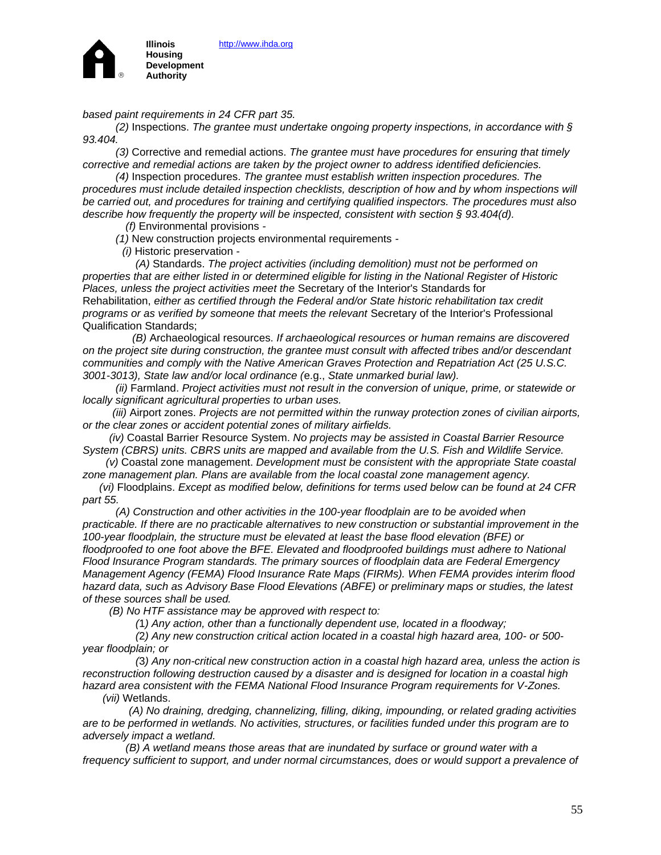

*based paint requirements in 24 CFR part 35.*

 *(2)* Inspections. *The grantee must undertake ongoing property inspections, in accordance with § 93.404.*

 *(3)* Corrective and remedial actions. *The grantee must have procedures for ensuring that timely corrective and remedial actions are taken by the project owner to address identified deficiencies.*

 *(4)* Inspection procedures. *The grantee must establish written inspection procedures. The procedures must include detailed inspection checklists, description of how and by whom inspections will be carried out, and procedures for training and certifying qualified inspectors. The procedures must also describe how frequently the property will be inspected, consistent with section § 93.404(d).*

 *(f)* Environmental provisions *-*

 *(1)* New construction projects environmental requirements *-*

 *(i)* Historic preservation *-*

 *(A)* Standards. *The project activities (including demolition) must not be performed on properties that are either listed in or determined eligible for listing in the National Register of Historic Places, unless the project activities meet the* Secretary of the Interior's Standards for Rehabilitation, *either as certified through the Federal and/or State historic rehabilitation tax credit programs or as verified by someone that meets the relevant* Secretary of the Interior's Professional Qualification Standards;

 *(B)* Archaeological resources. *If archaeological resources or human remains are discovered on the project site during construction, the grantee must consult with affected tribes and/or descendant communities and comply with the Native American Graves Protection and Repatriation Act (25 U.S.C. 3001-3013), State law and/or local ordinance (*e.g., *State unmarked burial law).*

 *(ii)* Farmland. *Project activities must not result in the conversion of unique, prime, or statewide or locally significant agricultural properties to urban uses.*

 *(iii)* Airport zones. *Projects are not permitted within the runway protection zones of civilian airports, or the clear zones or accident potential zones of military airfields.*

 *(iv)* Coastal Barrier Resource System. *No projects may be assisted in Coastal Barrier Resource System (CBRS) units. CBRS units are mapped and available from the U.S. Fish and Wildlife Service.*

 *(v)* Coastal zone management. *Development must be consistent with the appropriate State coastal zone management plan. Plans are available from the local coastal zone management agency.*

 *(vi)* Floodplains. *Except as modified below, definitions for terms used below can be found at 24 CFR part 55.*

 *(A) Construction and other activities in the 100-year floodplain are to be avoided when practicable. If there are no practicable alternatives to new construction or substantial improvement in the 100-year floodplain, the structure must be elevated at least the base flood elevation (BFE) or*  floodproofed to one foot above the BFE. Elevated and floodproofed buildings must adhere to National *Flood Insurance Program standards. The primary sources of floodplain data are Federal Emergency Management Agency (FEMA) Flood Insurance Rate Maps (FIRMs). When FEMA provides interim flood hazard data, such as Advisory Base Flood Elevations (ABFE) or preliminary maps or studies, the latest of these sources shall be used.*

 *(B) No HTF assistance may be approved with respect to:*

 *(*1*) Any action, other than a functionally dependent use, located in a floodway;*

 *(*2*) Any new construction critical action located in a coastal high hazard area, 100- or 500 year floodplain; or*

 *(*3*) Any non-critical new construction action in a coastal high hazard area, unless the action is reconstruction following destruction caused by a disaster and is designed for location in a coastal high hazard area consistent with the FEMA National Flood Insurance Program requirements for V-Zones. (vii)* Wetlands.

 *(A) No draining, dredging, channelizing, filling, diking, impounding, or related grading activities are to be performed in wetlands. No activities, structures, or facilities funded under this program are to adversely impact a wetland.*

 *(B) A wetland means those areas that are inundated by surface or ground water with a frequency sufficient to support, and under normal circumstances, does or would support a prevalence of*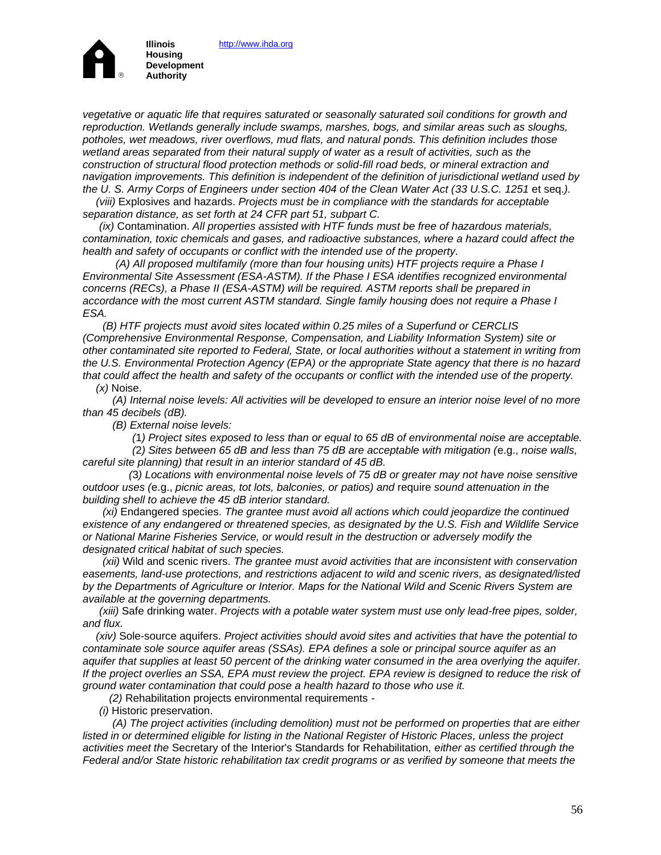

*vegetative or aquatic life that requires saturated or seasonally saturated soil conditions for growth and reproduction. Wetlands generally include swamps, marshes, bogs, and similar areas such as sloughs, potholes, wet meadows, river overflows, mud flats, and natural ponds. This definition includes those*  wetland areas separated from their natural supply of water as a result of activities, such as the *construction of structural flood protection methods or solid-fill road beds, or mineral extraction and navigation improvements. This definition is independent of the definition of jurisdictional wetland used by the U. S. Army Corps of Engineers under section 404 of the Clean Water Act (33 U.S.C. 1251* et seq.*).*

 *(viii)* Explosives and hazards. *Projects must be in compliance with the standards for acceptable separation distance, as set forth at 24 CFR part 51, subpart C.*

 *(ix)* Contamination. *All properties assisted with HTF funds must be free of hazardous materials, contamination, toxic chemicals and gases, and radioactive substances, where a hazard could affect the health and safety of occupants or conflict with the intended use of the property.*

 *(A) All proposed multifamily (more than four housing units) HTF projects require a Phase I Environmental Site Assessment (ESA-ASTM). If the Phase I ESA identifies recognized environmental concerns (RECs), a Phase II (ESA-ASTM) will be required. ASTM reports shall be prepared in accordance with the most current ASTM standard. Single family housing does not require a Phase I ESA.*

 *(B) HTF projects must avoid sites located within 0.25 miles of a Superfund or CERCLIS (Comprehensive Environmental Response, Compensation, and Liability Information System) site or other contaminated site reported to Federal, State, or local authorities without a statement in writing from the U.S. Environmental Protection Agency (EPA) or the appropriate State agency that there is no hazard that could affect the health and safety of the occupants or conflict with the intended use of the property.*

#### *(x)* Noise.

 *(A) Internal noise levels: All activities will be developed to ensure an interior noise level of no more than 45 decibels (dB).*

 *(B) External noise levels:*

 *(*1*) Project sites exposed to less than or equal to 65 dB of environmental noise are acceptable.*

 *(*2*) Sites between 65 dB and less than 75 dB are acceptable with mitigation (*e.g., *noise walls, careful site planning) that result in an interior standard of 45 dB.*

 *(*3*) Locations with environmental noise levels of 75 dB or greater may not have noise sensitive outdoor uses (*e.g., *picnic areas, tot lots, balconies, or patios) and* require *sound attenuation in the building shell to achieve the 45 dB interior standard.*

 *(xi)* Endangered species. *The grantee must avoid all actions which could jeopardize the continued existence of any endangered or threatened species, as designated by the U.S. Fish and Wildlife Service or National Marine Fisheries Service, or would result in the destruction or adversely modify the designated critical habitat of such species.*

 *(xii)* Wild and scenic rivers. *The grantee must avoid activities that are inconsistent with conservation easements, land-use protections, and restrictions adjacent to wild and scenic rivers, as designated/listed by the Departments of Agriculture or Interior. Maps for the National Wild and Scenic Rivers System are available at the governing departments.*

 *(xiii)* Safe drinking water. *Projects with a potable water system must use only lead-free pipes, solder, and flux.*

 *(xiv)* Sole-source aquifers. *Project activities should avoid sites and activities that have the potential to contaminate sole source aquifer areas (SSAs). EPA defines a sole or principal source aquifer as an aquifer that supplies at least 50 percent of the drinking water consumed in the area overlying the aquifer.*  If the project overlies an SSA, EPA must review the project. EPA review is designed to reduce the risk of *ground water contamination that could pose a health hazard to those who use it.*

 *(2)* Rehabilitation projects environmental requirements *-*

 *(i)* Historic preservation.

 *(A) The project activities (including demolition) must not be performed on properties that are either listed in or determined eligible for listing in the National Register of Historic Places, unless the project activities meet the* Secretary of the Interior's Standards for Rehabilitation, *either as certified through the Federal and/or State historic rehabilitation tax credit programs or as verified by someone that meets the*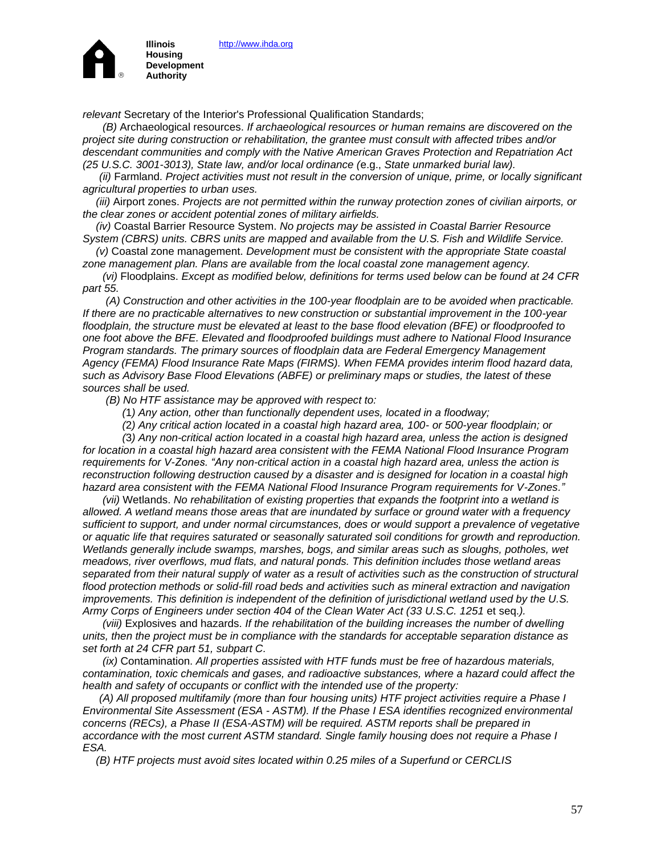

*relevant* Secretary of the Interior's Professional Qualification Standards;

 *(B)* Archaeological resources. *If archaeological resources or human remains are discovered on the project site during construction or rehabilitation, the grantee must consult with affected tribes and/or descendant communities and comply with the Native American Graves Protection and Repatriation Act (25 U.S.C. 3001-3013), State law, and/or local ordinance (*e.g., *State unmarked burial law).*

 *(ii)* Farmland. *Project activities must not result in the conversion of unique, prime, or locally significant agricultural properties to urban uses.*

 *(iii)* Airport zones. *Projects are not permitted within the runway protection zones of civilian airports, or the clear zones or accident potential zones of military airfields.*

 *(iv)* Coastal Barrier Resource System. *No projects may be assisted in Coastal Barrier Resource System (CBRS) units. CBRS units are mapped and available from the U.S. Fish and Wildlife Service.*

 *(v)* Coastal zone management. *Development must be consistent with the appropriate State coastal zone management plan. Plans are available from the local coastal zone management agency.*

 *(vi)* Floodplains. *Except as modified below, definitions for terms used below can be found at 24 CFR part 55.*

 *(A) Construction and other activities in the 100-year floodplain are to be avoided when practicable. If there are no practicable alternatives to new construction or substantial improvement in the 100-year floodplain, the structure must be elevated at least to the base flood elevation (BFE) or floodproofed to one foot above the BFE. Elevated and floodproofed buildings must adhere to National Flood Insurance Program standards. The primary sources of floodplain data are Federal Emergency Management Agency (FEMA) Flood Insurance Rate Maps (FIRMS). When FEMA provides interim flood hazard data, such as Advisory Base Flood Elevations (ABFE) or preliminary maps or studies, the latest of these sources shall be used.*

 *(B) No HTF assistance may be approved with respect to:*

 *(*1*) Any action, other than functionally dependent uses, located in a floodway;*

 *(*2*) Any critical action located in a coastal high hazard area, 100- or 500-year floodplain; or*

 *(*3*) Any non-critical action located in a coastal high hazard area, unless the action is designed for location in a coastal high hazard area consistent with the FEMA National Flood Insurance Program requirements for V-Zones. "Any non-critical action in a coastal high hazard area, unless the action is reconstruction following destruction caused by a disaster and is designed for location in a coastal high hazard area consistent with the FEMA National Flood Insurance Program requirements for V-Zones."*

 *(vii)* Wetlands. *No rehabilitation of existing properties that expands the footprint into a wetland is allowed. A wetland means those areas that are inundated by surface or ground water with a frequency sufficient to support, and under normal circumstances, does or would support a prevalence of vegetative or aquatic life that requires saturated or seasonally saturated soil conditions for growth and reproduction. Wetlands generally include swamps, marshes, bogs, and similar areas such as sloughs, potholes, wet meadows, river overflows, mud flats, and natural ponds. This definition includes those wetland areas*  separated from their natural supply of water as a result of activities such as the construction of structural *flood protection methods or solid-fill road beds and activities such as mineral extraction and navigation improvements. This definition is independent of the definition of jurisdictional wetland used by the U.S. Army Corps of Engineers under section 404 of the Clean Water Act (33 U.S.C. 1251* et seq.*).*

 *(viii)* Explosives and hazards. *If the rehabilitation of the building increases the number of dwelling units, then the project must be in compliance with the standards for acceptable separation distance as set forth at 24 CFR part 51, subpart C.*

 *(ix)* Contamination. *All properties assisted with HTF funds must be free of hazardous materials, contamination, toxic chemicals and gases, and radioactive substances, where a hazard could affect the health and safety of occupants or conflict with the intended use of the property:*

 *(A) All proposed multifamily (more than four housing units) HTF project activities require a Phase I Environmental Site Assessment (ESA - ASTM). If the Phase I ESA identifies recognized environmental concerns (RECs), a Phase II (ESA-ASTM) will be required. ASTM reports shall be prepared in accordance with the most current ASTM standard. Single family housing does not require a Phase I ESA.*

 *(B) HTF projects must avoid sites located within 0.25 miles of a Superfund or CERCLIS*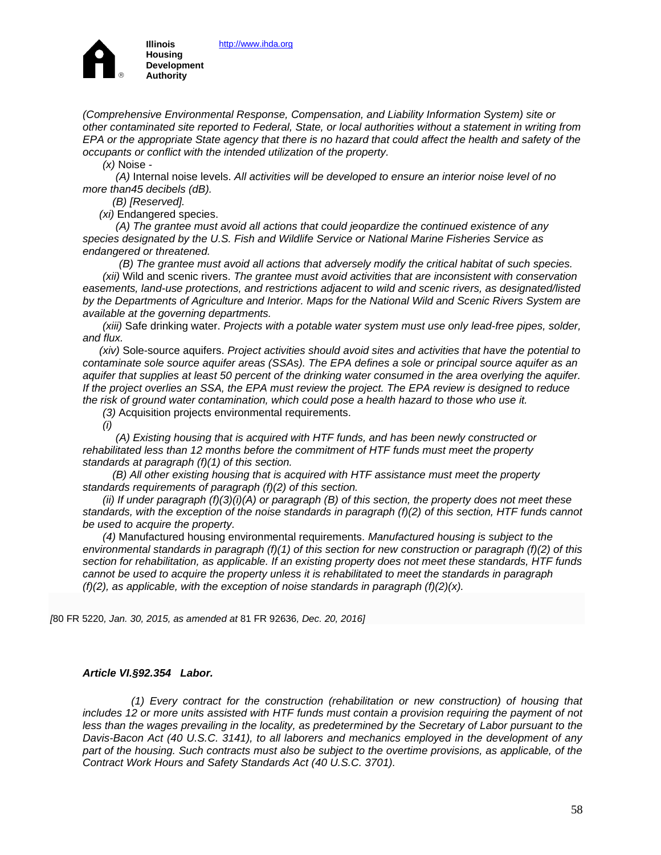

*(Comprehensive Environmental Response, Compensation, and Liability Information System) site or other contaminated site reported to Federal, State, or local authorities without a statement in writing from EPA or the appropriate State agency that there is no hazard that could affect the health and safety of the occupants or conflict with the intended utilization of the property.*

 *(x)* Noise *-*

 *(A)* Internal noise levels. *All activities will be developed to ensure an interior noise level of no more than45 decibels (dB).*

 *(B) [Reserved].*

 *(xi)* Endangered species.

 *(A) The grantee must avoid all actions that could jeopardize the continued existence of any species designated by the U.S. Fish and Wildlife Service or National Marine Fisheries Service as endangered or threatened.*

 *(B) The grantee must avoid all actions that adversely modify the critical habitat of such species.*

 *(xii)* Wild and scenic rivers. *The grantee must avoid activities that are inconsistent with conservation easements, land-use protections, and restrictions adjacent to wild and scenic rivers, as designated/listed by the Departments of Agriculture and Interior. Maps for the National Wild and Scenic Rivers System are available at the governing departments.*

 *(xiii)* Safe drinking water. *Projects with a potable water system must use only lead-free pipes, solder, and flux.*

 *(xiv)* Sole-source aquifers. *Project activities should avoid sites and activities that have the potential to contaminate sole source aquifer areas (SSAs). The EPA defines a sole or principal source aquifer as an aquifer that supplies at least 50 percent of the drinking water consumed in the area overlying the aquifer. If the project overlies an SSA, the EPA must review the project. The EPA review is designed to reduce the risk of ground water contamination, which could pose a health hazard to those who use it.*

 *(3)* Acquisition projects environmental requirements.

 *(i) (A) Existing housing that is acquired with HTF funds, and has been newly constructed or rehabilitated less than 12 months before the commitment of HTF funds must meet the property standards at paragraph (f)(1) of this section.*

 *(B) All other existing housing that is acquired with HTF assistance must meet the property standards requirements of paragraph (f)(2) of this section.*

 *(ii) If under paragraph (f)(3)(i)(A) or paragraph (B) of this section, the property does not meet these standards, with the exception of the noise standards in paragraph (f)(2) of this section, HTF funds cannot be used to acquire the property.*

 *(4)* Manufactured housing environmental requirements. *Manufactured housing is subject to the environmental standards in paragraph (f)(1) of this section for new construction or paragraph (f)(2) of this section for rehabilitation, as applicable. If an existing property does not meet these standards, HTF funds cannot be used to acquire the property unless it is rehabilitated to meet the standards in paragraph (f)(2), as applicable, with the exception of noise standards in paragraph (f)(2)(x).*

*[*80 FR 5220*, Jan. 30, 2015, as amended at* 81 FR 92636*, Dec. 20, 2016]*

### *Article VI.§92.354 Labor.*

*(1) Every contract for the construction (rehabilitation or new construction) of housing that includes 12 or more units assisted with HTF funds must contain a provision requiring the payment of not*  less than the wages prevailing in the locality, as predetermined by the Secretary of Labor pursuant to the *Davis-Bacon Act (40 U.S.C. 3141), to all laborers and mechanics employed in the development of any part of the housing. Such contracts must also be subject to the overtime provisions, as applicable, of the Contract Work Hours and Safety Standards Act (40 U.S.C. 3701).*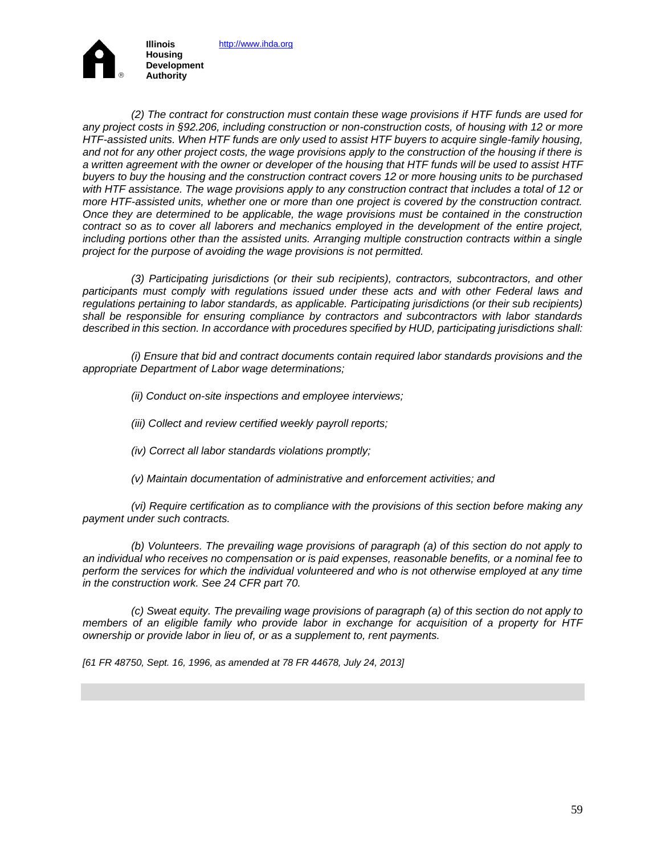

*(2) The contract for construction must contain these wage provisions if HTF funds are used for any project costs in §92.206, including construction or non-construction costs, of housing with 12 or more HTF-assisted units. When HTF funds are only used to assist HTF buyers to acquire single-family housing, and not for any other project costs, the wage provisions apply to the construction of the housing if there is a written agreement with the owner or developer of the housing that HTF funds will be used to assist HTF buyers to buy the housing and the construction contract covers 12 or more housing units to be purchased with HTF assistance. The wage provisions apply to any construction contract that includes a total of 12 or more HTF-assisted units, whether one or more than one project is covered by the construction contract. Once they are determined to be applicable, the wage provisions must be contained in the construction contract so as to cover all laborers and mechanics employed in the development of the entire project, including portions other than the assisted units. Arranging multiple construction contracts within a single project for the purpose of avoiding the wage provisions is not permitted.*

*(3) Participating jurisdictions (or their sub recipients), contractors, subcontractors, and other participants must comply with regulations issued under these acts and with other Federal laws and regulations pertaining to labor standards, as applicable. Participating jurisdictions (or their sub recipients) shall be responsible for ensuring compliance by contractors and subcontractors with labor standards described in this section. In accordance with procedures specified by HUD, participating jurisdictions shall:*

*(i) Ensure that bid and contract documents contain required labor standards provisions and the appropriate Department of Labor wage determinations;*

*(ii) Conduct on-site inspections and employee interviews;*

*(iii) Collect and review certified weekly payroll reports;*

*(iv) Correct all labor standards violations promptly;*

*(v) Maintain documentation of administrative and enforcement activities; and*

*(vi) Require certification as to compliance with the provisions of this section before making any payment under such contracts.*

*(b) Volunteers. The prevailing wage provisions of paragraph (a) of this section do not apply to an individual who receives no compensation or is paid expenses, reasonable benefits, or a nominal fee to perform the services for which the individual volunteered and who is not otherwise employed at any time in the construction work. See 24 CFR part 70.* 

*(c) Sweat equity. The prevailing wage provisions of paragraph (a) of this section do not apply to members of an eligible family who provide labor in exchange for acquisition of a property for HTF ownership or provide labor in lieu of, or as a supplement to, rent payments.* 

*[61 FR 48750, Sept. 16, 1996, as amended at 78 FR 44678, July 24, 2013]*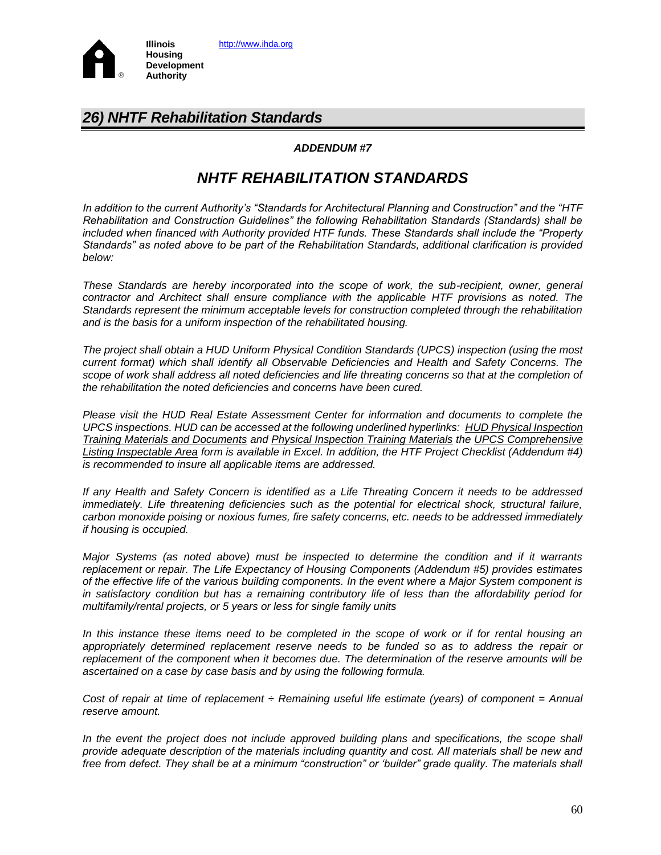

## *26) NHTF Rehabilitation Standards*

### *ADDENDUM #7*

## *NHTF REHABILITATION STANDARDS*

*In addition to the current Authority's "Standards for Architectural Planning and Construction" and the "HTF Rehabilitation and Construction Guidelines" the following Rehabilitation Standards (Standards) shall be included when financed with Authority provided HTF funds. These Standards shall include the "Property Standards" as noted above to be part of the Rehabilitation Standards, additional clarification is provided below:* 

*These Standards are hereby incorporated into the scope of work, the sub-recipient, owner, general contractor and Architect shall ensure compliance with the applicable HTF provisions as noted. The Standards represent the minimum acceptable levels for construction completed through the rehabilitation and is the basis for a uniform inspection of the rehabilitated housing.* 

*The project shall obtain a HUD Uniform Physical Condition Standards (UPCS) inspection (using the most current format) which shall identify all Observable Deficiencies and Health and Safety Concerns. The*  scope of work shall address all noted deficiencies and life threating concerns so that at the completion of *the rehabilitation the noted deficiencies and concerns have been cured.*

*Please visit the HUD Real Estate Assessment Center for information and documents to complete the UPCS inspections. HUD can be accessed at the following underlined hyperlinks: [HUD Physical Inspection](http://www.hud.gov/offices/reac/training/pass_tm.cfm)  [Training Materials and Documents](http://www.hud.gov/offices/reac/training/pass_tm.cfm) and [Physical Inspection Training](http://portal.hud.gov/hudportal/HUD?src=/program_offices/public_indian_housing/reac/products/pass/materials) Materials the [UPCS Comprehensive](http://portal.hud.gov/hudportal/documents/huddoc?id=DOC_26482.xls)  [Listing Inspectable Area](http://portal.hud.gov/hudportal/documents/huddoc?id=DOC_26482.xls) form is available in Excel. In addition, the HTF Project Checklist (Addendum #4) is recommended to insure all applicable items are addressed.*

*If any Health and Safety Concern is identified as a Life Threating Concern it needs to be addressed immediately. Life threatening deficiencies such as the potential for electrical shock, structural failure, carbon monoxide poising or noxious fumes, fire safety concerns, etc. needs to be addressed immediately if housing is occupied.* 

*Major Systems (as noted above) must be inspected to determine the condition and if it warrants replacement or repair. The Life Expectancy of Housing Components (Addendum #5) provides estimates of the effective life of the various building components. In the event where a Major System component is in satisfactory condition but has a remaining contributory life of less than the affordability period for multifamily/rental projects, or 5 years or less for single family units* 

*In this instance these items need to be completed in the scope of work or if for rental housing an appropriately determined replacement reserve needs to be funded so as to address the repair or replacement of the component when it becomes due. The determination of the reserve amounts will be ascertained on a case by case basis and by using the following formula.*

*Cost of repair at time of replacement ÷ Remaining useful life estimate (years) of component = Annual reserve amount.*

*In the event the project does not include approved building plans and specifications, the scope shall provide adequate description of the materials including quantity and cost. All materials shall be new and free from defect. They shall be at a minimum "construction" or 'builder" grade quality. The materials shall*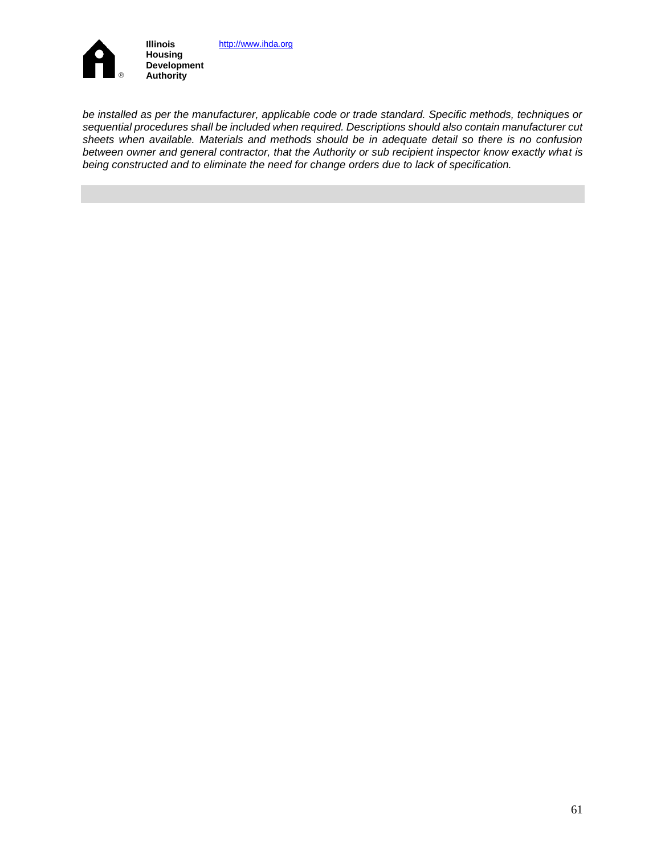

*be installed as per the manufacturer, applicable code or trade standard. Specific methods, techniques or sequential procedures shall be included when required. Descriptions should also contain manufacturer cut sheets when available. Materials and methods should be in adequate detail so there is no confusion between owner and general contractor, that the Authority or sub recipient inspector know exactly what is being constructed and to eliminate the need for change orders due to lack of specification.*